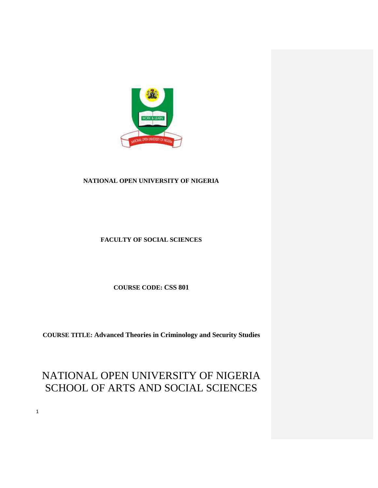

# **NATIONAL OPEN UNIVERSITY OF NIGERIA**

# **FACULTY OF SOCIAL SCIENCES**

**COURSE CODE: CSS 801**

**COURSE TITLE: Advanced Theories in Criminology and Security Studies** 

# NATIONAL OPEN UNIVERSITY OF NIGERIA SCHOOL OF ARTS AND SOCIAL SCIENCES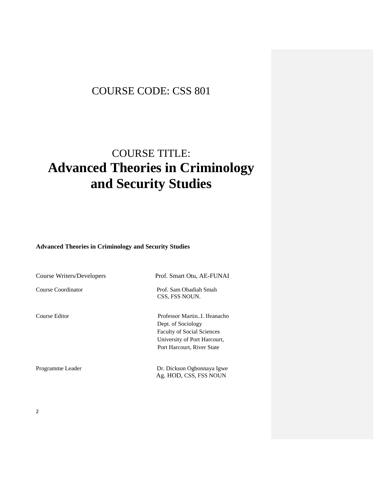# COURSE CODE: CSS 801

# COURSE TITLE: **Advanced Theories in Criminology and Security Studies**

**Advanced Theories in Criminology and Security Studies** 

| <b>Course Writers/Developers</b> | Prof. Smart Otu, AE-FUNAI                                                                                                                            |
|----------------------------------|------------------------------------------------------------------------------------------------------------------------------------------------------|
| Course Coordinator               | Prof. Sam Obadiah Smah<br>CSS, FSS NOUN.                                                                                                             |
| Course Editor                    | Professor MartinI Ifeanacho<br>Dept. of Sociology<br><b>Faculty of Social Sciences</b><br>University of Port Harcourt,<br>Port Harcourt, River State |
| Programme Leader                 | Dr. Dickson Ogbonnaya Igwe<br>Ag. HOD, CSS, FSS NOUN                                                                                                 |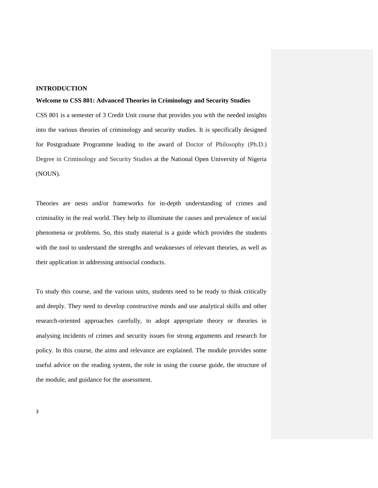# **INTRODUCTION**

#### **Welcome to CSS 801: Advanced Theories in Criminology and Security Studies**

CSS 801 is a semester of 3 Credit Unit course that provides you with the needed insights into the various theories of criminology and security studies. It is specifically designed for Postgraduate Programme leading to the award of Doctor of Philosophy (Ph.D.) Degree in Criminology and Security Studies at the National Open University of Nigeria (NOUN).

Theories are nests and/or frameworks for in-depth understanding of crimes and criminality in the real world. They help to illuminate the causes and prevalence of social phenomena or problems. So, this study material is a guide which provides the students with the tool to understand the strengths and weaknesses of relevant theories, as well as their application in addressing antisocial conducts.

To study this course, and the various units, students need to be ready to think critically and deeply. They need to develop constructive minds and use analytical skills and other research-oriented approaches carefully, to adopt appropriate theory or theories in analysing incidents of crimes and security issues for strong arguments and research for policy. In this course, the aims and relevance are explained. The module provides some useful advice on the reading system, the role in using the course guide, the structure of the module, and guidance for the assessment.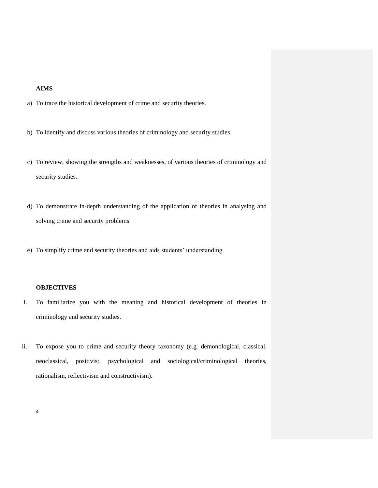# **AIMS**

- a) To trace the historical development of crime and security theories.
- b) To identify and discuss various theories of criminology and security studies.
- c) To review, showing the strengths and weaknesses, of various theories of criminology and security studies.
- d) To demonstrate in-depth understanding of the application of theories in analysing and solving crime and security problems.
- e) To simplify crime and security theories and aids students" understanding

#### **OBJECTIVES**

- i. To familiarize you with the meaning and historical development of theories in criminology and security studies.
- ii. To expose you to crime and security theory taxonomy (e.g. demonological, classical, neoclassical, positivist, psychological and sociological/criminological theories, rationalism, reflectivism and constructivism).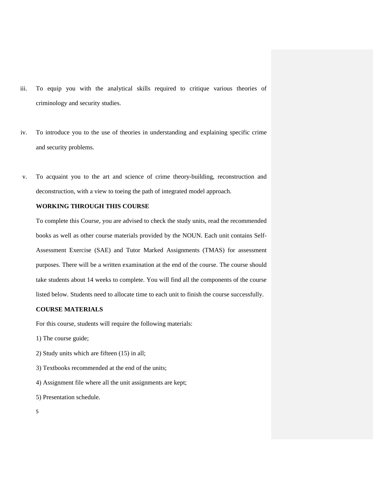- iii. To equip you with the analytical skills required to critique various theories of criminology and security studies.
- iv. To introduce you to the use of theories in understanding and explaining specific crime and security problems.
- v. To acquaint you to the art and science of crime theory-building, reconstruction and deconstruction, with a view to toeing the path of integrated model approach.

#### **WORKING THROUGH THIS COURSE**

To complete this Course, you are advised to check the study units, read the recommended books as well as other course materials provided by the NOUN. Each unit contains Self-Assessment Exercise (SAE) and Tutor Marked Assignments (TMAS) for assessment purposes. There will be a written examination at the end of the course. The course should take students about 14 weeks to complete. You will find all the components of the course listed below. Students need to allocate time to each unit to finish the course successfully.

## **COURSE MATERIALS**

For this course, students will require the following materials:

- 1) The course guide;
- 2) Study units which are fifteen (15) in all;
- 3) Textbooks recommended at the end of the units;
- 4) Assignment file where all the unit assignments are kept;
- 5) Presentation schedule.
- 5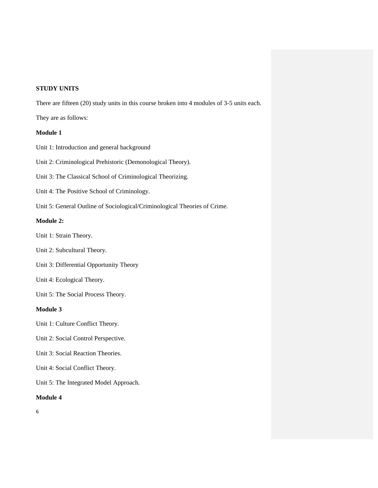# **STUDY UNITS**

There are fifteen (20) study units in this course broken into 4 modules of 3-5 units each.

They are as follows:

# **Module 1**

Unit 1: Introduction and general background

Unit 2: Criminological Prehistoric (Demonological Theory).

Unit 3: The Classical School of Criminological Theorizing.

Unit 4: The Positive School of Criminology.

Unit 5: General Outline of Sociological/Criminological Theories of Crime.

### **Module 2:**

Unit 1: Strain Theory.

- Unit 2: Subcultural Theory.
- Unit 3: Differential Opportunity Theory
- Unit 4: Ecological Theory.

Unit 5: The Social Process Theory.

# **Module 3**

Unit 1: Culture Conflict Theory.

- Unit 2: Social Control Perspective.
- Unit 3: Social Reaction Theories.

Unit 4: Social Conflict Theory.

Unit 5: The Integrated Model Approach.

# **Module 4**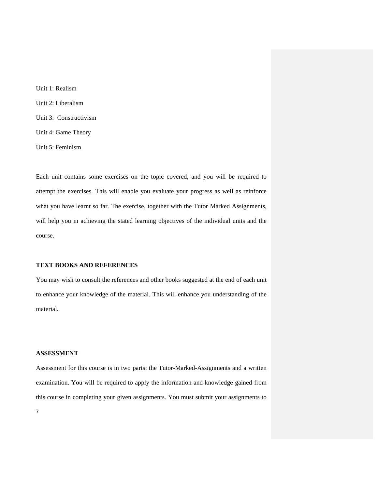Unit 1: Realism Unit 2: Liberalism Unit 3: Constructivism Unit 4: Game Theory Unit 5: Feminism

Each unit contains some exercises on the topic covered, and you will be required to attempt the exercises. This will enable you evaluate your progress as well as reinforce what you have learnt so far. The exercise, together with the Tutor Marked Assignments, will help you in achieving the stated learning objectives of the individual units and the course.

# **TEXT BOOKS AND REFERENCES**

You may wish to consult the references and other books suggested at the end of each unit to enhance your knowledge of the material. This will enhance you understanding of the material.

## **ASSESSMENT**

Assessment for this course is in two parts: the Tutor-Marked-Assignments and a written examination. You will be required to apply the information and knowledge gained from this course in completing your given assignments. You must submit your assignments to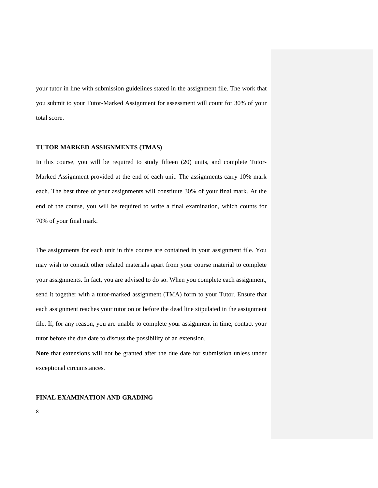your tutor in line with submission guidelines stated in the assignment file. The work that you submit to your Tutor-Marked Assignment for assessment will count for 30% of your total score.

### **TUTOR MARKED ASSIGNMENTS (TMAS)**

In this course, you will be required to study fifteen (20) units, and complete Tutor-Marked Assignment provided at the end of each unit. The assignments carry 10% mark each. The best three of your assignments will constitute 30% of your final mark. At the end of the course, you will be required to write a final examination, which counts for 70% of your final mark.

The assignments for each unit in this course are contained in your assignment file. You may wish to consult other related materials apart from your course material to complete your assignments. In fact, you are advised to do so. When you complete each assignment, send it together with a tutor-marked assignment (TMA) form to your Tutor. Ensure that each assignment reaches your tutor on or before the dead line stipulated in the assignment file. If, for any reason, you are unable to complete your assignment in time, contact your tutor before the due date to discuss the possibility of an extension.

**Note** that extensions will not be granted after the due date for submission unless under exceptional circumstances.

#### **FINAL EXAMINATION AND GRADING**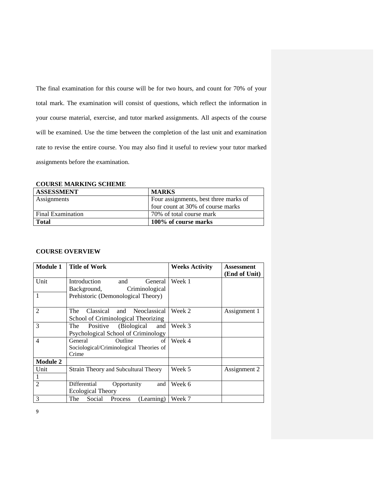The final examination for this course will be for two hours, and count for 70% of your total mark. The examination will consist of questions, which reflect the information in your course material, exercise, and tutor marked assignments. All aspects of the course will be examined. Use the time between the completion of the last unit and examination rate to revise the entire course. You may also find it useful to review your tutor marked assignments before the examination.

#### **COURSE MARKING SCHEME**

| <b>ASSESSMENT</b> | <b>MARKS</b>                          |
|-------------------|---------------------------------------|
| Assignments       | Four assignments, best three marks of |
|                   | four count at 30% of course marks     |
| Final Examination | 70% of total course mark              |
| Total             | 100% of course marks                  |

# **COURSE OVERVIEW**

| <b>Module 1</b> | <b>Title of Work</b>                          | <b>Weeks Activity</b> | <b>Assessment</b> |
|-----------------|-----------------------------------------------|-----------------------|-------------------|
|                 |                                               |                       | (End of Unit)     |
| Unit            | Introduction<br>and<br>General                | Week 1                |                   |
|                 | Background,<br>Criminological                 |                       |                   |
| $\mathbf{1}$    | Prehistoric (Demonological Theory)            |                       |                   |
|                 |                                               |                       |                   |
| $\overline{2}$  | Classical<br>The<br>and Neoclassical          | Week 2                | Assignment 1      |
|                 | School of Criminological Theorizing           |                       |                   |
| 3               | Positive<br>(Biological)<br>The<br>and        | Week 3                |                   |
|                 | Psychological School of Criminology           |                       |                   |
| $\overline{4}$  | General<br>Outline<br>of                      | Week 4                |                   |
|                 | Sociological/Criminological Theories of       |                       |                   |
|                 | Crime                                         |                       |                   |
| <b>Module 2</b> |                                               |                       |                   |
| Unit            | Strain Theory and Subcultural Theory          | Week 5                | Assignment 2      |
| 1               |                                               |                       |                   |
| $\overline{2}$  | Differential<br>Opportunity<br>and            | Week 6                |                   |
|                 | <b>Ecological Theory</b>                      |                       |                   |
| 3               | Social<br>(Learning)<br>The<br><b>Process</b> | Week 7                |                   |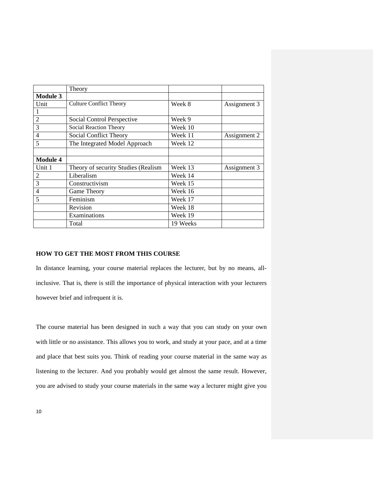|                          | Theory                              |          |              |
|--------------------------|-------------------------------------|----------|--------------|
| <b>Module 3</b>          |                                     |          |              |
| Unit                     | <b>Culture Conflict Theory</b>      | Week 8   | Assignment 3 |
|                          |                                     |          |              |
| $\overline{2}$           | Social Control Perspective          | Week 9   |              |
| 3                        | Social Reaction Theory              | Week 10  |              |
| $\overline{4}$           | Social Conflict Theory              | Week 11  | Assignment 2 |
| $\overline{\phantom{0}}$ | The Integrated Model Approach       | Week 12  |              |
|                          |                                     |          |              |
| <b>Module 4</b>          |                                     |          |              |
| Unit 1                   | Theory of security Studies (Realism | Week 13  | Assignment 3 |
| 2                        | Liberalism                          | Week 14  |              |
| 3                        | Constructivism                      | Week 15  |              |
| $\overline{4}$           | Game Theory                         | Week 16  |              |
| 5                        | Feminism                            | Week 17  |              |
|                          | Revision                            | Week 18  |              |
|                          | Examinations                        | Week 19  |              |
|                          | Total                               | 19 Weeks |              |

# **HOW TO GET THE MOST FROM THIS COURSE**

In distance learning, your course material replaces the lecturer, but by no means, allinclusive. That is, there is still the importance of physical interaction with your lecturers however brief and infrequent it is.

The course material has been designed in such a way that you can study on your own with little or no assistance. This allows you to work, and study at your pace, and at a time and place that best suits you. Think of reading your course material in the same way as listening to the lecturer. And you probably would get almost the same result. However, you are advised to study your course materials in the same way a lecturer might give you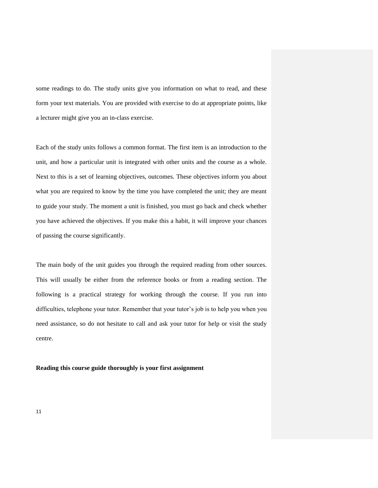some readings to do. The study units give you information on what to read, and these form your text materials. You are provided with exercise to do at appropriate points, like a lecturer might give you an in-class exercise.

Each of the study units follows a common format. The first item is an introduction to the unit, and how a particular unit is integrated with other units and the course as a whole. Next to this is a set of learning objectives, outcomes. These objectives inform you about what you are required to know by the time you have completed the unit; they are meant to guide your study. The moment a unit is finished, you must go back and check whether you have achieved the objectives. If you make this a habit, it will improve your chances of passing the course significantly.

The main body of the unit guides you through the required reading from other sources. This will usually be either from the reference books or from a reading section. The following is a practical strategy for working through the course. If you run into difficulties, telephone your tutor. Remember that your tutor"s job is to help you when you need assistance, so do not hesitate to call and ask your tutor for help or visit the study centre.

**Reading this course guide thoroughly is your first assignment**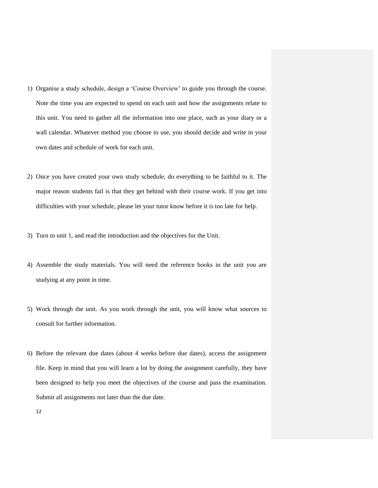- 1) Organise a study schedule, design a "Course Overview" to guide you through the course. Note the time you are expected to spend on each unit and how the assignments relate to this unit. You need to gather all the information into one place, such as your diary or a wall calendar. Whatever method you choose to use, you should decide and write in your own dates and schedule of work for each unit.
- 2) Once you have created your own study schedule, do everything to be faithful to it. The major reason students fail is that they get behind with their course work. If you get into difficulties with your schedule, please let your tutor know before it is too late for help.
- 3) Turn to unit 1, and read the introduction and the objectives for the Unit.
- 4) Assemble the study materials. You will need the reference books in the unit you are studying at any point in time.
- 5) Work through the unit. As you work through the unit, you will know what sources to consult for further information.
- 6) Before the relevant due dates (about 4 weeks before due dates), access the assignment file. Keep in mind that you will learn a lot by doing the assignment carefully, they have been designed to help you meet the objectives of the course and pass the examination. Submit all assignments not later than the due date.
	- 12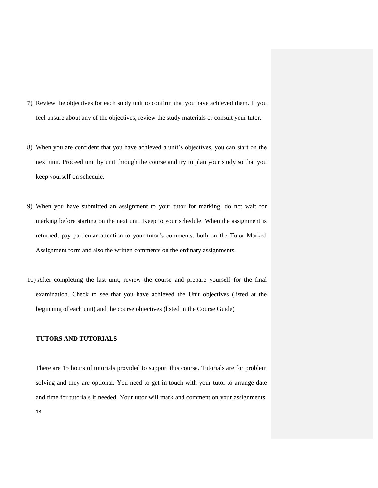- 7) Review the objectives for each study unit to confirm that you have achieved them. If you feel unsure about any of the objectives, review the study materials or consult your tutor.
- 8) When you are confident that you have achieved a unit"s objectives, you can start on the next unit. Proceed unit by unit through the course and try to plan your study so that you keep yourself on schedule.
- 9) When you have submitted an assignment to your tutor for marking, do not wait for marking before starting on the next unit. Keep to your schedule. When the assignment is returned, pay particular attention to your tutor"s comments, both on the Tutor Marked Assignment form and also the written comments on the ordinary assignments.
- 10) After completing the last unit, review the course and prepare yourself for the final examination. Check to see that you have achieved the Unit objectives (listed at the beginning of each unit) and the course objectives (listed in the Course Guide)

### **TUTORS AND TUTORIALS**

There are 15 hours of tutorials provided to support this course. Tutorials are for problem solving and they are optional. You need to get in touch with your tutor to arrange date and time for tutorials if needed. Your tutor will mark and comment on your assignments,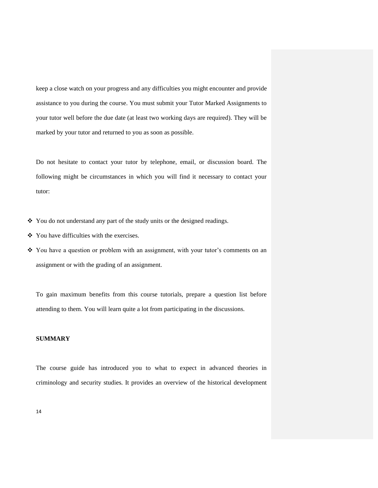keep a close watch on your progress and any difficulties you might encounter and provide assistance to you during the course. You must submit your Tutor Marked Assignments to your tutor well before the due date (at least two working days are required). They will be marked by your tutor and returned to you as soon as possible.

Do not hesitate to contact your tutor by telephone, email, or discussion board. The following might be circumstances in which you will find it necessary to contact your tutor:

- $\hat{\mathbf{y}}$  You do not understand any part of the study units or the designed readings.
- You have difficulties with the exercises.
- You have a question or problem with an assignment, with your tutor"s comments on an assignment or with the grading of an assignment.

To gain maximum benefits from this course tutorials, prepare a question list before attending to them. You will learn quite a lot from participating in the discussions.

# **SUMMARY**

The course guide has introduced you to what to expect in advanced theories in criminology and security studies. It provides an overview of the historical development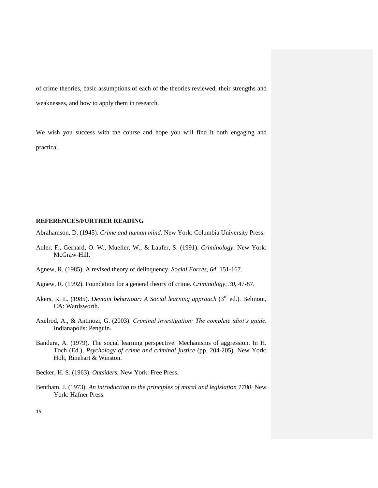of crime theories, basic assumptions of each of the theories reviewed, their strengths and weaknesses, and how to apply them in research.

We wish you success with the course and hope you will find it both engaging and practical.

#### **REFERENCES/FURTHER READING**

Abrahamson, D. (1945). *Crime and human mind*. New York: Columbia University Press.

- Adler, F., Gerhard, O. W., Mueller, W., & Laufer, S. (1991). *Criminology*. New York: McGraw-Hill.
- Agnew, R. (1985). A revised theory of delinquency. *Social Forces, 64*, 151-167.
- Agnew, R. (1992). Foundation for a general theory of crime. *Criminology, 30*, 47-87.
- Akers, R. L. (1985). *Deviant behaviour: A Social learning approach* (3rd ed.). Belmont, CA: Wardsworth.
- Axelrod, A., & Antinozi, G. (2003). *Criminal investigation: The complete idiot's guide*. Indianapolis: Penguin.
- Bandura, A. (1979). The social learning perspective: Mechanisms of aggression. In H. Toch (Ed.), *Psychology of crime and criminal justice* (pp. 204-205). New York: Holt, Rinehart & Winston.
- Becker, H. S. (1963). *Outsiders.* New York: Free Press.
- Bentham, J. (1973). *An introduction to the principles of moral and legislation 1780*. New York: Hafner Press.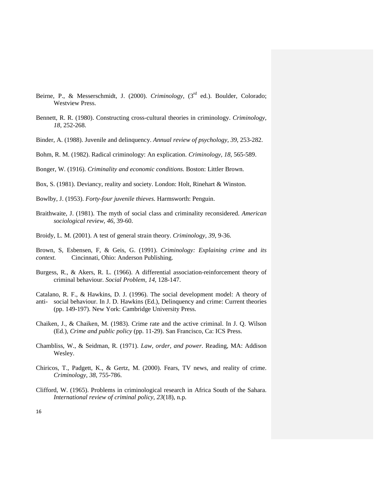- Beirne, P., & Messerschmidt, J. (2000). *Criminology*, (3<sup>rd</sup> ed.). Boulder, Colorado; Westview Press.
- Bennett, R. R. (1980). Constructing cross-cultural theories in criminology. *Criminology, 18*, 252-268.
- Binder, A. (1988). Juvenile and delinquency. *Annual review of psychology, 39*, 253-282.
- Bohm, R. M. (1982). Radical criminology: An explication. *Criminology, 18*, 565-589.
- Bonger, W. (1916). *Criminality and economic conditions*. Boston: Littler Brown.
- Box, S. (1981). Deviancy, reality and society. London: Holt, Rinehart & Winston.
- Bowlby, J. (1953). *Forty-four juvenile thieves*. Harmsworth: Penguin.
- Braithwaite, J. (1981). The myth of social class and criminality reconsidered. *American sociological review, 46*, 39-60.
- Broidy, L. M. (2001). A test of general strain theory. *Criminology, 39*, 9-36.
- Brown, S, Esbensen, F, & Geis, G. (1991). *Criminology: Explaining crime* and *its context.* Cincinnati, Ohio: Anderson Publishing.
- Burgess, R., & Akers, R. L. (1966). A differential association-reinforcement theory of criminal behaviour. *Social Problem, 14*, 128-147.
- Catalano, R. F., & Hawkins, D. J. (1996). The social development model: A theory of anti- social behaviour. In J. D. Hawkins (Ed.), Delinquency and crime: Current theories (pp. 149-197). New York: Cambridge University Press.
- Chaiken, J., & Chaiken, M. (1983). Crime rate and the active criminal. In J. Q. Wilson (Ed.), *Crime and public policy* (pp. 11-29). San Francisco, Ca: ICS Press.
- Chambliss, W., & Seidman, R. (1971). *Law, order, and power*. Reading, MA: Addison Wesley.
- Chiricos, T., Padgett, K., & Gertz, M. (2000). Fears, TV news, and reality of crime. *Criminology, 38*, 755-786.
- Clifford, W. (1965). Problems in criminological research in Africa South of the Sahara. *International review of criminal policy, 23*(18), n.p.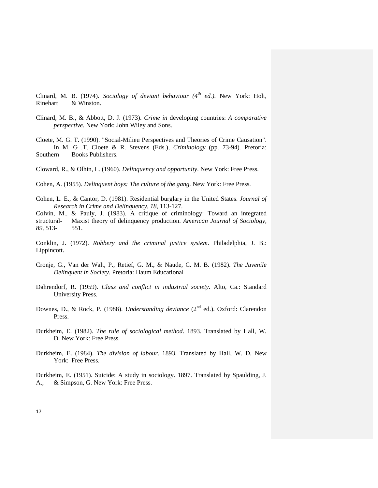Clinard, M. B. (1974). *Sociology of deviant behaviour (4th ed.).* New York: Holt, Rinehart & Winston.

- Clinard, M. B., & Abbott, D. J. (1973). *Crime in* developing countries: *A comparative perspective.* New York: John Wiley and Sons.
- Cloete, M. G. T. (1990). "Social-Milieu Perspectives and Theories of Crime Causation". In M. G .T. Cloete & R. Stevens (Eds.), *Criminology* (pp. 73-94)*.* Pretoria: Southern Books Publishers.
- Cloward, R., & Olhin, L. (1960). *Delinquency and opportunity*. New York: Free Press.

Cohen, A. (1955). *Delinquent boys: The culture of the gang*. New York: Free Press.

Cohen, L. E., & Cantor, D. (1981). Residential burglary in the United States. *Journal of Research in Crime and Delinquency, 18*, 113-127.

Colvin, M., & Pauly, J. (1983). A critique of criminology: Toward an integrated structural- Maxist theory of delinquency production. *American Journal of Sociology, 89*, 513- 551.

Conklin, J. (1972). *Robbery and the criminal justice system*. Philadelphia, J. B.: Lippincott.

- Cronje, G., Van der Walt, P., Retief, G. M., & Naude, C. M. B. (1982). *The Juvenile Delinquent in Society.* Pretoria: Haum Educational
- Dahrendorf, R. (1959). *Class and conflict in industrial society*. Alto, Ca.: Standard University Press.
- Downes, D., & Rock, P. (1988). *Understanding deviance* (2<sup>nd</sup> ed.). Oxford: Clarendon Press.
- Durkheim, E. (1982). *The rule of sociological method*. 1893. Translated by Hall, W. D. New York: Free Press.
- Durkheim, E. (1984). *The division of labour*. 1893. Translated by Hall, W. D. New York: Free Press.

Durkheim, E. (1951). Suicide: A study in sociology. 1897. Translated by Spaulding, J. A., & Simpson, G. New York: Free Press.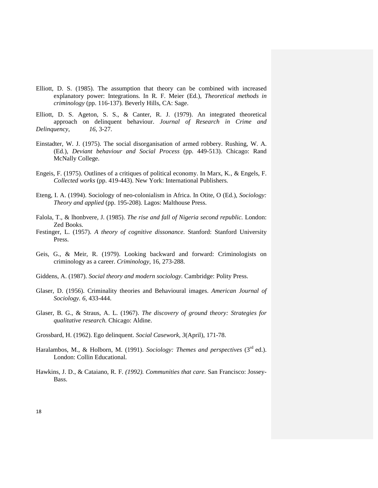- Elliott, D. S. (1985). The assumption that theory can be combined with increased explanatory power: Integrations. In R. F. Meier (Ed.), *Theoretical methods in criminology* (pp. 116-137)*.* Beverly Hills, CA: Sage.
- Elliott, D. S. Ageton, S. S., & Canter, R. J. (1979). An integrated theoretical approach on delinquent behaviour. *Journal of Research in Crime and Delinquency, 16*, 3-27.
- Einstadter, W. J. (1975). The social disorganisation of armed robbery. Rushing, W. A. (Ed.), *Deviant behaviour and Social Process* (pp. 449-513). Chicago: Rand McNally College.
- Engeis, F. (1975). Outlines of a critiques of political economy. In Marx, K., & Engels, F. *Collected works* (pp. 419-443). New York: International Publishers.
- Eteng, I. A. (1994). Sociology of neo-colonialism in Africa. In Otite, O (Ed.), *Sociology: Theory and applied* (pp. 195-208)*.* Lagos: Malthouse Press.
- Falola, T., & lhonbvere, J. (1985). *The rise and fall of Nigeria second republic.* London: Zed Books.
- Festinger, L. (1957). *A theory of cognitive dissonance*. Stanford: Stanford University Press.
- Geis, G., & Meir, R. (1979). Looking backward and forward: Criminologists on criminology as a career. *Criminology,* 16, 273-288.
- Giddens, A. (1987). *Social theory and modern sociology.* Cambridge: Polity Press.
- Glaser, D. (1956). Criminality theories and Behavioural images. *American Journal of Sociology. 6,* 433-444.
- Glaser, B. G., & Straus, A. L. (1967). *The discovery of ground theory: Strategies for qualitative research.* Chicago: Aldine.
- Grossbard, H. (1962). Ego delinquent. *Social Casework, 3*(April), 171-78.
- Haralambos, M., & Holborn, M. (1991). *Sociology: Themes and perspectives* (3<sup>rd</sup> ed.). London: Collin Educational.
- Hawkins, J. D., & Cataiano, R. F. *(1992). Communities that care.* San Francisco: Jossey-Bass.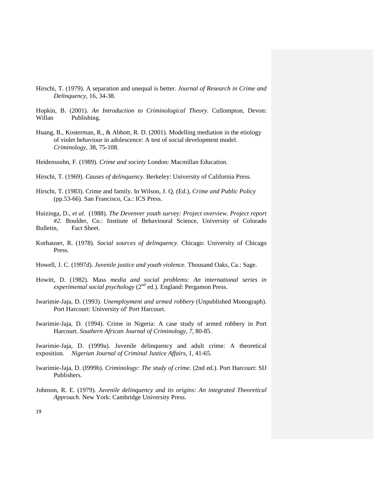- Hirschi, T. (1979). A separation and unequal is better. *Journal of Research in Crime and Delinquency,* 16, 34-38.
- Hopkin, B. (2001). *An Introduction to Criminological Theory.* Cullompton, Devon: Willan Publishing.
- Huang, B., Kosterman, R., & Abbott, R. D. (2001). Modelling mediation in the etiology of violet behaviour in adolescence: A test of social development model. *Criminology,* 38, 75-108.
- Heidenssohn, F. (1989). *Crime and society* London: Macmillan Education.
- Hirschi, T. (1969). *Causes of delinquency.* Berkeley: University of California Press.
- Hirschi, T. (1983). Crime and family. In Wilson, J. Q. (Ed.), *Crime and Public Policy* (pp.53-66)*.* San Francisco, Ca.: ICS Press.
- Huizinga, D., *et al.* (1988). *The Devenver youth survey: Project overview. Project report #2.* Boulder, Co.: Institute of Behavioural Science, University of Colorado Bulletin, Fact Sheet.
- Korhauser, R. (1978). *Social sources of delinquency.* Chicago: University of Chicago Press.
- Howell, J. C. (1997d). *Juvenile justice and youth violence.* Thousand Oaks, Ca.: Sage.
- Howitt, D. (1982). Mass *media and social problems: An international series in experimental social psychology* (2nd ed.)*.* England: Pergamon Press.
- Iwarimie-Jaja, D. (1993). *Unemployment and armed robbery* (Unpublished Monograph). Port Harcourt: University of' Port Harcourt.
- Iwarimie-Jaja, D. (1994). Crime in Nigeria: A case study of armed robbery in Port Harcourt*. Southern African Journal of Criminology, 7,* 80-85.

Iwarimie-Jaja, D. (1999a). Juvenile delinquency and adult crime: A theoretical exposition*. Nigerian Journal of Criminal Justice Affairs,* 1, 41-65.

- Iwarimie-Jaja, D. (I999b). *Criminology: The study of crime.* (2nd ed.). Port Harcourt: SIJ Publishers.
- Johnson, R. E. (1979). *Juvenile delinquency and its origins: An integrated Theoretical Approach.* New York: Cambridge University Press.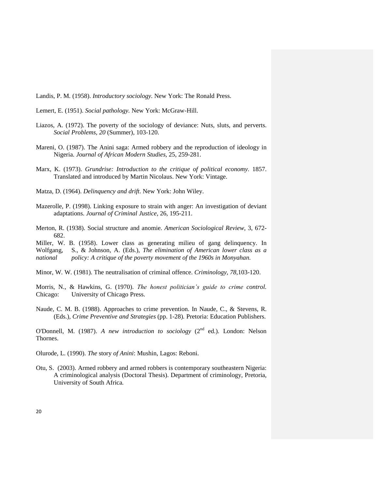Landis, P. M. (1958). *Introductory sociology.* New York: The Ronald Press.

Lemert, E. (1951). *Social pathology.* New York: McGraw-Hill.

- Liazos, A. (1972). The poverty of the sociology of deviance: Nuts, sluts, and perverts. *Social Problems, 20* (Summer), 103-120.
- Mareni, O. (1987). The Anini saga: Armed robbery and the reproduction of ideology in Nigeria. *Journal of African Modern Studies,* 25, 259-281.
- Marx, K. (1973). *Grundrise: Introduction to the critique of political economy.* 1857. Translated and introduced by Martin Nicolaus. New York: Vintage.
- Matza, D. (1964). *Delinquency and drift*. New York: John Wiley.
- Mazerolle, P. (1998). Linking exposure to strain with anger: An investigation of deviant adaptations. *Journal of Criminal Justice,* 26, 195-211.
- Merton, R. (1938). Social structure and anomie. *American Sociological Review,* 3, 672- 682.

Miller, W. B. (1958). Lower class as generating milieu of gang delinquency. In Wolfgang, S., & Johnson, A. (Eds.), *The elimination of American lower class as a national policy: A critique of the poverty movement of the 1960s in Monyahan.* 

Minor, W. W. (1981). The neutralisation of criminal offence. *Criminology*, *78*,103-120.

Morris, N., & Hawkins, G. (1970). *The honest politician's guide to crime control.*  Chicago: University of Chicago Press.

Naude, C. M. B. (1988). Approaches to crime prevention. In Naude, C., & Stevens, R. (Eds.)*, Crime Preventive and Strategies* (pp. 1-28)*.* Pretoria: Education Publishers.

O'Donnell, M. (1987). *A new introduction to sociology* (2<sup>nd</sup> ed.). London: Nelson Thornes.

Olurode, L. (1990). *The* story *of Anini*: Mushin, Lagos: Reboni.

Otu, S. (2003). Armed robbery and armed robbers is contemporary southeastern Nigeria: A criminological analysis (Doctoral Thesis). Department of criminology, Pretoria, University of South Africa*.*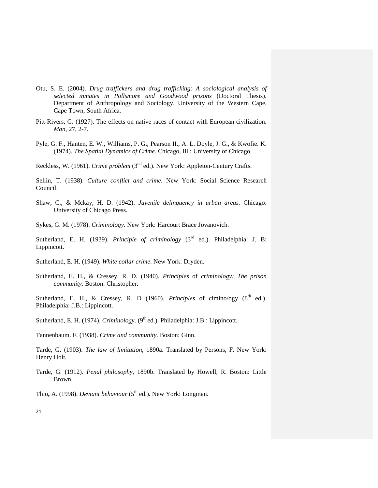- Otu, S. E. (2004). *Drug traffickers and drug trafficking: A sociological analysis of selected inmates in Pollsmore and Goodwood prisons* (Doctoral Thesis). Department of Anthropology and Sociology, University of the Western Cape, Cape Town, South Africa.
- Pitt-Rivers, G. (1927). The effects on native races of contact with European civilization. *Man,* 27, 2-7.
- Pyle, G. F., Hanten, E. W., Williams, P. G., Pearson II., A. L. Doyle, J. G., & Kwofie. K. (1974). *The Spatial Dynamics of Crime.* Chicago, Ill.: University of Chicago.

Reckless, W. (1961). *Crime problem* (3<sup>nd</sup> ed.). New York: Appleton-Century Crafts.

Sellin, T. (1938). *Culture conflict and crime*. New York: Social Science Research Council.

Shaw, C., & Mckay, H. D. (1942). *Juvenile delinquency in urban areas.* Chicago: University of Chicago Press.

Sykes, G. M. (1978). *Criminology.* New York: Harcourt Brace Jovanovich.

Sutherland, E. H. (1939). *Principle of criminology* (3<sup>rd</sup> ed.). Philadelphia: J. B: Lippincott.

Sutherland, E. H. (1949). *White collar crime*. New York: Dryden.

Sutherland, E. H., & Cressey, R. D. (1940). *Principles* of *criminology: The prison community.* Boston: Christopher.

Sutherland, E. H., & Cressey, R. D (1960). *Principles* of cimino/ogy  $(8<sup>th</sup>$  ed.). Philadelphia: J.B.: Lippincott.

Sutherland, E. H. (1974). *Criminology*. (9<sup>th</sup> ed.). Philadelphia: J.B.: Lippincott.

Tannenbaum. F. (1938). *Crime and community.* Boston: Ginn.

Tarde, G. (1903). *The law of limitation*, 1890a. Translated by Persons, F. New York: Henry Holt.

Tarde, G. (1912). *Penal philosophy,* 1890b. Translated by Howell, R. Boston: Little Brown.

Thio, A. (1998). *Deviant behaviour* (5<sup>th</sup> ed.). New York: Longman.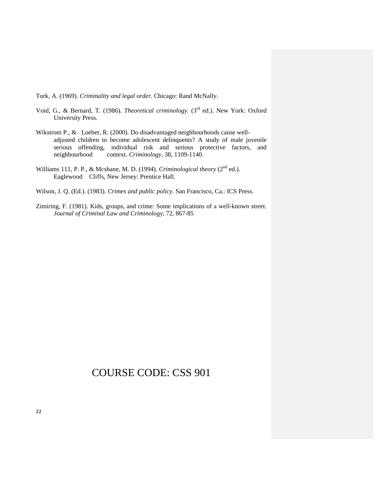Turk, A. (1969). *Criminality and legal order.* Chicago: Rand McNally.

- Void, G., & Bernard, T. (1986). *Theoretical criminology*. (3<sup>rd</sup> ed.). New York: Oxford University Press.
- Wikstrom P., & Loeber, R. (2000). Do disadvantaged neighbourhoods cause welladjusted children to become adolescent delinquents? A study of male juvenile serious offending, individual risk and serious protective factors, and neighbourhood context. *Criminology,* 38, 1109-1140.
- Williams 111, P. P., & Mcshane, M. D. (1994). *Criminological theory* (2<sup>nd</sup> ed.). Eaglewood Cliffs, New Jersey: Prentice Hall.
- Wilson, J. Q. (Ed.). (1983). *Crimes and public policy.* San Francisco, Ca.: ICS Press.
- Zimiring, F. (1981). Kids, groups, and crime: Some implications of a well-known street. *Journal of Criminal Law and Criminology,* 72, 867-85

# COURSE CODE: CSS 901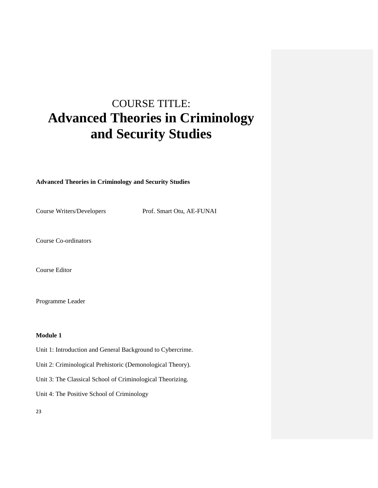# COURSE TITLE: **Advanced Theories in Criminology and Security Studies**

### **Advanced Theories in Criminology and Security Studies**

Course Writers/Developers Prof. Smart Otu, AE-FUNAI

Course Co-ordinators

Course Editor

Programme Leader

# **Module 1**

- Unit 1: Introduction and General Background to Cybercrime.
- Unit 2: Criminological Prehistoric (Demonological Theory).
- Unit 3: The Classical School of Criminological Theorizing.
- Unit 4: The Positive School of Criminology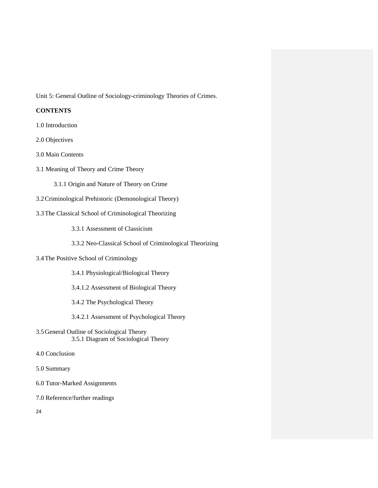Unit 5: General Outline of Sociology-criminology Theories of Crimes.

# **CONTENTS**

- 1.0 Introduction
- 2.0 Objectives
- 3.0 Main Contents
- 3.1 Meaning of Theory and Crime Theory
	- 3.1.1 Origin and Nature of Theory on Crime
- 3.2Criminological Prehistoric (Demonological Theory)
- 3.3The Classical School of Criminological Theorizing
	- 3.3.1 Assessment of Classicism
	- 3.3.2 Neo-Classical School of Criminological Theorizing
- 3.4The Positive School of Criminology
	- 3.4.1 Physiological/Biological Theory
	- 3.4.1.2 Assessment of Biological Theory
	- 3.4.2 The Psychological Theory
	- 3.4.2.1 Assessment of Psychological Theory
- 3.5General Outline of Sociological Theory 3.5.1 Diagram of Sociological Theory
- 4.0 Conclusion
- 5.0 Summary
- 6.0 Tutor-Marked Assignments
- 7.0 Reference/further readings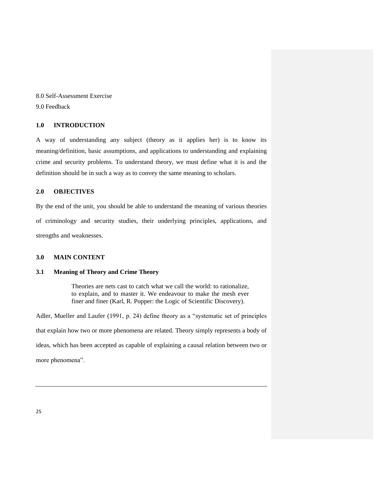8.0 Self-Assessment Exercise 9.0 Feedback

# **1.0 INTRODUCTION**

A way of understanding any subject (theory as it applies her) is to know its meaning/definition, basic assumptions, and applications to understanding and explaining crime and security problems. To understand theory, we must define what it is and the definition should be in such a way as to convey the same meaning to scholars.

# **2.0 OBJECTIVES**

By the end of the unit, you should be able to understand the meaning of various theories of criminology and security studies, their underlying principles, applications, and strengths and weaknesses.

#### **3.0 MAIN CONTENT**

## **3.1 Meaning of Theory and Crime Theory**

Theories are nets cast to catch what we call the world: to rationalize, to explain, and to master it. We endeavour to make the mesh ever finer and finer (Karl, R. Popper: the Logic of Scientific Discovery).

Adler, Mueller and Laufer (1991, p. 24) define theory as a "systematic set of principles that explain how two or more phenomena are related. Theory simply represents a body of ideas, which has been accepted as capable of explaining a causal relation between two or more phenomena".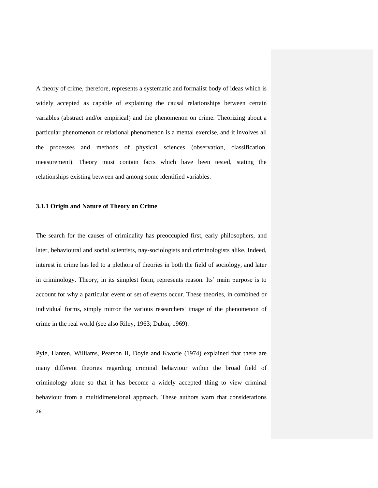A theory of crime, therefore, represents a systematic and formalist body of ideas which is widely accepted as capable of explaining the causal relationships between certain variables (abstract and/or empirical) and the phenomenon on crime. Theorizing about a particular phenomenon or relational phenomenon is a mental exercise, and it involves all the processes and methods of physical sciences (observation, classification, measurement). Theory must contain facts which have been tested, stating the relationships existing between and among some identified variables.

#### **3.1.1 Origin and Nature of Theory on Crime**

The search for the causes of criminality has preoccupied first, early philosophers, and later, behavioural and social scientists, nay-sociologists and criminologists alike. Indeed, interest in crime has led to a plethora of theories in both the field of sociology, and later in criminology. Theory, in its simplest form, represents reason. Its' main purpose is to account for why a particular event or set of events occur. These theories, in combined or individual forms, simply mirror the various researchers' image of the phenomenon of crime in the real world (see also Riley, 1963; Dubin, 1969).

Pyle, Hanten, Williams, Pearson II, Doyle and Kwofie (1974) explained that there are many different theories regarding criminal behaviour within the broad field of criminology alone so that it has become a widely accepted thing to view criminal behaviour from a multidimensional approach. These authors warn that considerations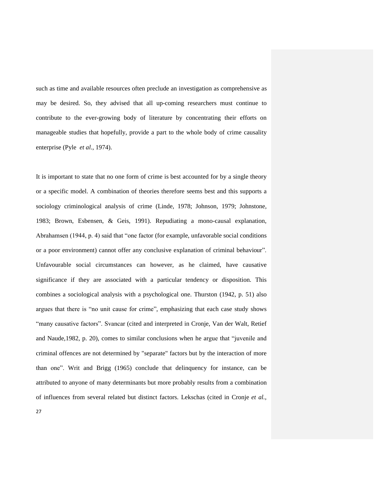such as time and available resources often preclude an investigation as comprehensive as may be desired. So, they advised that all up-coming researchers must continue to contribute to the ever-growing body of literature by concentrating their efforts on manageable studies that hopefully, provide a part to the whole body of crime causality enterprise (Pyle *et al*., 1974).

It is important to state that no one form of crime is best accounted for by a single theory or a specific model. A combination of theories therefore seems best and this supports a sociology criminological analysis of crime (Linde, 1978; Johnson, 1979; Johnstone, 1983; Brown, Esbensen, & Geis, 1991). Repudiating a mono-causal explanation, Abrahamsen (1944, p. 4) said that "one factor (for example, unfavorable social conditions or a poor environment) cannot offer any conclusive explanation of criminal behaviour". Unfavourable social circumstances can however, as he claimed, have causative significance if they are associated with a particular tendency or disposition. This combines a sociological analysis with a psychological one. Thurston (1942, p. 51) also argues that there is "no unit cause for crime", emphasizing that each case study shows "many causative factors". Svancar (cited and interpreted in Cronje, Van der Walt, Retief and Naude,1982, p. 20), comes to similar conclusions when he argue that "juvenile and criminal offences are not determined by "separate" factors but by the interaction of more than one". Writ and Brigg (1965) conclude that delinquency for instance, can be attributed to anyone of many determinants but more probably results from a combination of influences from several related but distinct factors. Lekschas (cited in Cronje *et al.,*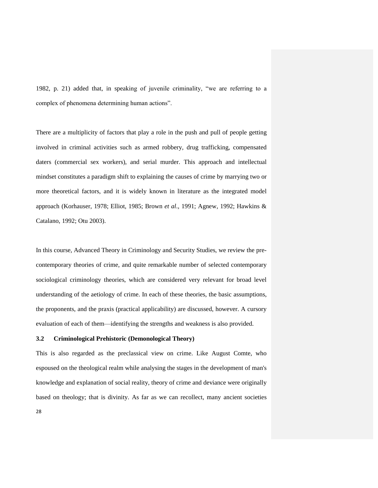1982, p. 21) added that, in speaking of juvenile criminality, "we are referring to a complex of phenomena determining human actions".

There are a multiplicity of factors that play a role in the push and pull of people getting involved in criminal activities such as armed robbery, drug trafficking, compensated daters (commercial sex workers), and serial murder. This approach and intellectual mindset constitutes a paradigm shift to explaining the causes of crime by marrying two or more theoretical factors, and it is widely known in literature as the integrated model approach (Korhauser, 1978; Elliot, 1985; Brown *et al*.*,* 1991; Agnew, 1992; Hawkins & Catalano, 1992; Otu 2003).

In this course, Advanced Theory in Criminology and Security Studies, we review the precontemporary theories of crime, and quite remarkable number of selected contemporary sociological criminology theories, which are considered very relevant for broad level understanding of the aetiology of crime. In each of these theories, the basic assumptions, the proponents, and the praxis (practical applicability) are discussed, however. A cursory evaluation of each of them—identifying the strengths and weakness is also provided.

### **3.2 Criminological Prehistoric (Demonological Theory)**

This is also regarded as the preclassical view on crime. Like August Comte, who espoused on the theological realm while analysing the stages in the development of man's knowledge and explanation of social reality, theory of crime and deviance were originally based on theology; that is divinity. As far as we can recollect, many ancient societies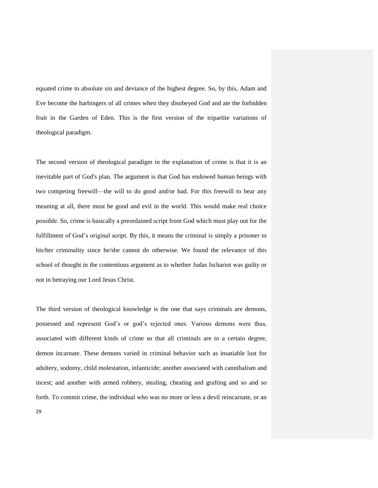equated crime to absolute sin and deviance of the highest degree. So, by this, Adam and Eve become the harbingers of all crimes when they disobeyed God and ate the forbidden fruit in the Garden of Eden. This is the first version of the tripartite variations of theological paradigm.

The second version of theological paradigm in the explanation of crime is that it is an inevitable part of God's plan. The argument is that God has endowed human beings with two competing freewill—the will to do good and/or bad. For this freewill to bear any meaning at all, there must be good and evil in the world. This would make real choice possible. So, crime is basically a preordained script from God which must play out for the fulfillment of God's original script. By this, it means the criminal is simply a prisoner to his/her criminality since he/she cannot do otherwise. We found the relevance of this school of thought in the contentious argument as to whether Judas Ischariot was guilty or not in betraying our Lord Jesus Christ.

The third version of theological knowledge is the one that says criminals are demons, possessed and represent God"s or god"s rejected ones. Various demons were thus, associated with different kinds of crime so that all criminals are to a certain degree, demon incarnate. These demons varied in criminal behavior such as insatiable lust for adultery, sodomy, child molestation, infanticide; another associated with cannibalism and incest; and another with armed robbery, stealing, cheating and grafting and so and so forth. To commit crime, the individual who was no more or less a devil reincarnate, or an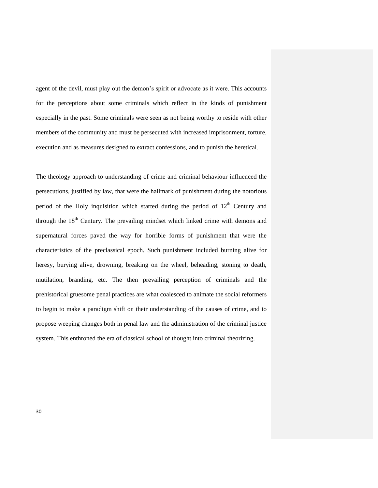agent of the devil, must play out the demon's spirit or advocate as it were. This accounts for the perceptions about some criminals which reflect in the kinds of punishment especially in the past. Some criminals were seen as not being worthy to reside with other members of the community and must be persecuted with increased imprisonment, torture, execution and as measures designed to extract confessions, and to punish the heretical.

The theology approach to understanding of crime and criminal behaviour influenced the persecutions, justified by law, that were the hallmark of punishment during the notorious period of the Holy inquisition which started during the period of  $12<sup>th</sup>$  Century and through the  $18<sup>th</sup>$  Century. The prevailing mindset which linked crime with demons and supernatural forces paved the way for horrible forms of punishment that were the characteristics of the preclassical epoch. Such punishment included burning alive for heresy, burying alive, drowning, breaking on the wheel, beheading, stoning to death, mutilation, branding, etc. The then prevailing perception of criminals and the prehistorical gruesome penal practices are what coalesced to animate the social reformers to begin to make a paradigm shift on their understanding of the causes of crime, and to propose weeping changes both in penal law and the administration of the criminal justice system. This enthroned the era of classical school of thought into criminal theorizing.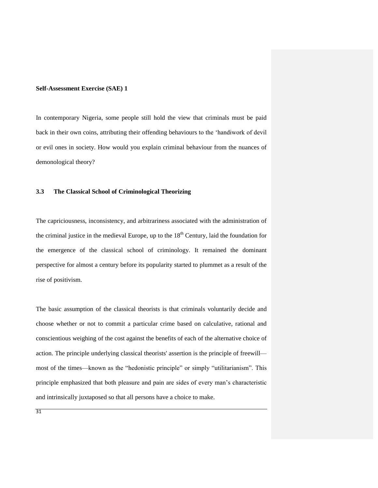## **Self-Assessment Exercise (SAE) 1**

In contemporary Nigeria, some people still hold the view that criminals must be paid back in their own coins, attributing their offending behaviours to the "handiwork of devil or evil ones in society. How would you explain criminal behaviour from the nuances of demonological theory?

# **3.3 The Classical School of Criminological Theorizing**

The capriciousness, inconsistency, and arbitrariness associated with the administration of the criminal justice in the medieval Europe, up to the  $18<sup>th</sup>$  Century, laid the foundation for the emergence of the classical school of criminology. It remained the dominant perspective for almost a century before its popularity started to plummet as a result of the rise of positivism.

The basic assumption of the classical theorists is that criminals voluntarily decide and choose whether or not to commit a particular crime based on calculative, rational and conscientious weighing of the cost against the benefits of each of the alternative choice of action. The principle underlying classical theorists' assertion is the principle of freewill most of the times—known as the "hedonistic principle" or simply "utilitarianism". This principle emphasized that both pleasure and pain are sides of every man"s characteristic and intrinsically juxtaposed so that all persons have a choice to make.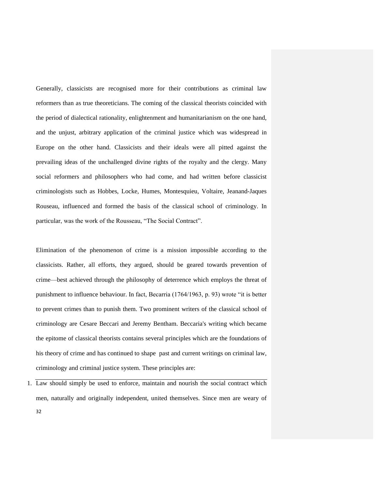Generally, classicists are recognised more for their contributions as criminal law reformers than as true theoreticians. The coming of the classical theorists coincided with the period of dialectical rationality, enlightenment and humanitarianism on the one hand, and the unjust, arbitrary application of the criminal justice which was widespread in Europe on the other hand. Classicists and their ideals were all pitted against the prevailing ideas of the unchallenged divine rights of the royalty and the clergy. Many social reformers and philosophers who had come, and had written before classicist criminologists such as Hobbes, Locke, Humes, Montesquieu, Voltaire, Jeanand-Jaques Rouseau, influenced and formed the basis of the classical school of criminology. In particular, was the work of the Rousseau, "The Social Contract".

Elimination of the phenomenon of crime is a mission impossible according to the classicists. Rather, all efforts, they argued, should be geared towards prevention of crime—best achieved through the philosophy of deterrence which employs the threat of punishment to influence behaviour. In fact, Becarria (1764/1963, p. 93) wrote "it is better to prevent crimes than to punish them. Two prominent writers of the classical school of criminology are Cesare Beccari and Jeremy Bentham. Beccaria's writing which became the epitome of classical theorists contains several principles which are the foundations of his theory of crime and has continued to shape past and current writings on criminal law, criminology and criminal justice system. These principles are:

32 1. Law should simply be used to enforce, maintain and nourish the social contract which men, naturally and originally independent, united themselves. Since men are weary of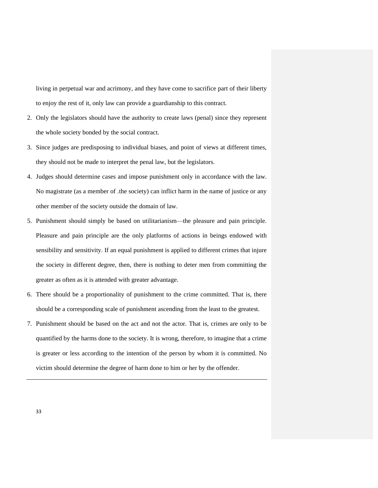living in perpetual war and acrimony, and they have come to sacrifice part of their liberty to enjoy the rest of it, only law can provide a guardianship to this contract.

- 2. Only the legislators should have the authority to create laws (penal) since they represent the whole society bonded by the social contract.
- 3. Since judges are predisposing to individual biases, and point of views at different times, they should not be made to interpret the penal law, but the legislators.
- 4. Judges should determine cases and impose punishment only in accordance with the law. No magistrate (as a member of .the society) can inflict harm in the name of justice or any other member of the society outside the domain of law.
- 5. Punishment should simply be based on utilitarianism—the pleasure and pain principle. Pleasure and pain principle are the only platforms of actions in beings endowed with sensibility and sensitivity. If an equal punishment is applied to different crimes that injure the society in different degree, then, there is nothing to deter men from committing the greater as often as it is attended with greater advantage.
- 6. There should be a proportionality of punishment to the crime committed. That is, there should be a corresponding scale of punishment ascending from the least to the greatest.
- 7. Punishment should be based on the act and not the actor. That is, crimes are only to be quantified by the harms done to the society. It is wrong, therefore, to imagine that a crime is greater or less according to the intention of the person by whom it is committed. No victim should determine the degree of harm done to him or her by the offender.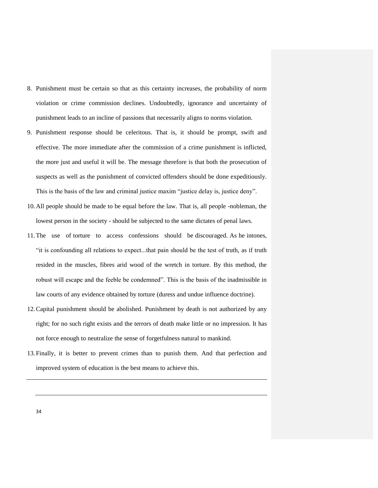- 8. Punishment must be certain so that as this certainty increases, the probability of norm violation or crime commission declines. Undoubtedly, ignorance and uncertainty of punishment leads to an incline of passions that necessarily aligns to norms violation.
- 9. Punishment response should be celeritous. That is, it should be prompt, swift and effective. The more immediate after the commission of a crime punishment is inflicted, the more just and useful it will be. The message therefore is that both the prosecution of suspects as well as the punishment of convicted offenders should be done expeditiously. This is the basis of the law and criminal justice maxim "justice delay is, justice deny".
- 10.All people should be made to be equal before the law. That is, all people -nobleman, the lowest person in the society - should be subjected to the same dictates of penal laws.
- 11.The use of torture to access confessions should be discouraged. As he intones, "it is confounding all relations to expect...that pain should be the test of truth, as if truth resided in the muscles, fibres arid wood of the wretch in torture. By this method, the robust will escape and the feeble be condemned". This is the basis of the inadmissible in law courts of any evidence obtained by torture (duress and undue influence doctrine).
- 12.Capital punishment should be abolished. Punishment by death is not authorized by any right; for no such right exists and the terrors of death make little or no impression. It has not force enough to neutralize the sense of forgetfulness natural to mankind.
- 13.Finally, it is better to prevent crimes than to punish them. And that perfection and improved system of education is the best means to achieve this.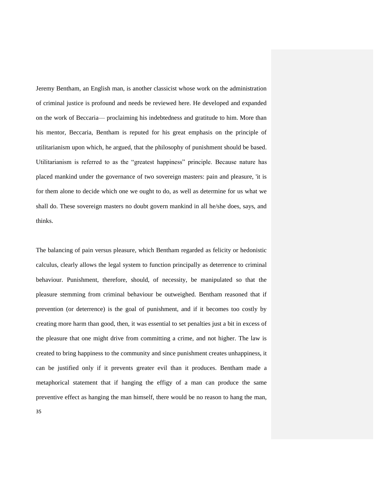Jeremy Bentham, an English man, is another classicist whose work on the administration of criminal justice is profound and needs be reviewed here. He developed and expanded on the work of Beccaria— proclaiming his indebtedness and gratitude to him. More than his mentor, Beccaria, Bentham is reputed for his great emphasis on the principle of utilitarianism upon which, he argued, that the philosophy of punishment should be based. Utilitarianism is referred to as the "greatest happiness" principle. Because nature has placed mankind under the governance of two sovereign masters: pain and pleasure, 'it is for them alone to decide which one we ought to do, as well as determine for us what we shall do. These sovereign masters no doubt govern mankind in all he/she does, says, and thinks.

The balancing of pain versus pleasure, which Bentham regarded as felicity or hedonistic calculus, clearly allows the legal system to function principally as deterrence to criminal behaviour. Punishment, therefore, should, of necessity, be manipulated so that the pleasure stemming from criminal behaviour be outweighed. Bentham reasoned that if prevention (or deterrence) is the goal of punishment, and if it becomes too costly by creating more harm than good, then, it was essential to set penalties just a bit in excess of the pleasure that one might drive from committing a crime, and not higher. The law is created to bring happiness to the community and since punishment creates unhappiness, it can be justified only if it prevents greater evil than it produces. Bentham made a metaphorical statement that if hanging the effigy of a man can produce the same preventive effect as hanging the man himself, there would be no reason to hang the man,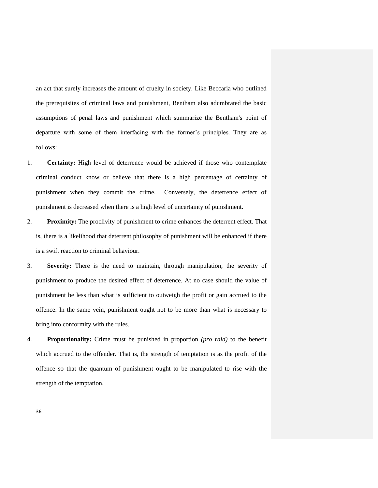an act that surely increases the amount of cruelty in society. Like Beccaria who outlined the prerequisites of criminal laws and punishment, Bentham also adumbrated the basic assumptions of penal laws and punishment which summarize the Bentham's point of departure with some of them interfacing with the former's principles. They are as follows:

- 1. **Certainty:** High level of deterrence would be achieved if those who contemplate criminal conduct know or believe that there is a high percentage of certainty of punishment when they commit the crime. Conversely, the deterrence effect of punishment is decreased when there is a high level of uncertainty of punishment.
- 2. **Proximity:** The proclivity of punishment to crime enhances the deterrent effect. That is, there is a likelihood that deterrent philosophy of punishment will be enhanced if there is a swift reaction to criminal behaviour.
- 3. **Severity:** There is the need to maintain, through manipulation, the severity of punishment to produce the desired effect of deterrence. At no case should the value of punishment be less than what is sufficient to outweigh the profit or gain accrued to the offence. In the same vein, punishment ought not to be more than what is necessary to bring into conformity with the rules.
- 4. **Proportionality:** Crime must be punished in proportion *(pro raid)* to the benefit which accrued to the offender. That is, the strength of temptation is as the profit of the offence so that the quantum of punishment ought to be manipulated to rise with the strength of the temptation.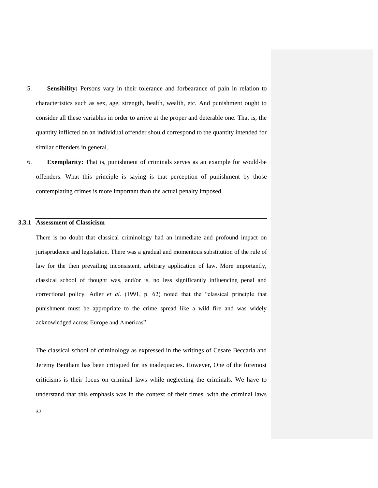- 5. **Sensibility:** Persons vary in their tolerance and forbearance of pain in relation to characteristics such as sex, age, strength, health, wealth, etc. And punishment ought to consider all these variables in order to arrive at the proper and deterable one. That is, the quantity inflicted on an individual offender should correspond to the quantity intended for similar offenders in general.
- 6. **Exemplarity:** That is, punishment of criminals serves as an example for would-be offenders. What this principle is saying is that perception of punishment by those contemplating crimes is more important than the actual penalty imposed.

## **3.3.1 Assessment of Classicism**

There is no doubt that classical criminology had an immediate and profound impact on jurisprudence and legislation. There was a gradual and momentous substitution of the rule of law for the then prevailing inconsistent, arbitrary application of law. More importantly, classical school of thought was, and/or is, no less significantly influencing penal and correctional policy. Adler *et al*. (1991, p. 62) noted that the "classical principle that punishment must be appropriate to the crime spread like a wild fire and was widely acknowledged across Europe and Americas".

The classical school of criminology as expressed in the writings of Cesare Beccaria and Jeremy Bentham has been critiqued for its inadequacies. However, One of the foremost criticisms is their focus on criminal laws while neglecting the criminals. We have to understand that this emphasis was in the context of their times, with the criminal laws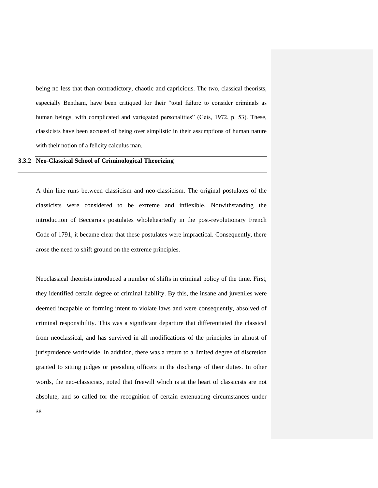being no less that than contradictory, chaotic and capricious. The two, classical theorists, especially Bentham, have been critiqued for their "total failure to consider criminals as human beings, with complicated and variegated personalities" (Geis, 1972, p. 53). These, classicists have been accused of being over simplistic in their assumptions of human nature with their notion of a felicity calculus man.

# **3.3.2 Neo-Classical School of Criminological Theorizing**

A thin line runs between classicism and neo-classicism. The original postulates of the classicists were considered to be extreme and inflexible. Notwithstanding the introduction of Beccaria's postulates wholeheartedly in the post-revolutionary French Code of 1791, it became clear that these postulates were impractical. Consequently, there arose the need to shift ground on the extreme principles.

Neoclassical theorists introduced a number of shifts in criminal policy of the time. First, they identified certain degree of criminal liability. By this, the insane and juveniles were deemed incapable of forming intent to violate laws and were consequently, absolved of criminal responsibility. This was a significant departure that differentiated the classical from neoclassical, and has survived in all modifications of the principles in almost of jurisprudence worldwide. In addition, there was a return to a limited degree of discretion granted to sitting judges or presiding officers in the discharge of their duties. In other words, the neo-classicists, noted that freewill which is at the heart of classicists are not absolute, and so called for the recognition of certain extenuating circumstances under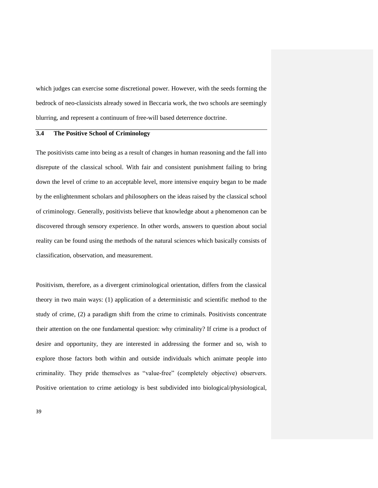which judges can exercise some discretional power. However, with the seeds forming the bedrock of neo-classicists already sowed in Beccaria work, the two schools are seemingly blurring, and represent a continuum of free-will based deterrence doctrine.

# **3.4 The Positive School of Criminology**

The positivists came into being as a result of changes in human reasoning and the fall into disrepute of the classical school. With fair and consistent punishment failing to bring down the level of crime to an acceptable level, more intensive enquiry began to be made by the enlightenment scholars and philosophers on the ideas raised by the classical school of criminology. Generally, positivists believe that knowledge about a phenomenon can be discovered through sensory experience. In other words, answers to question about social reality can be found using the methods of the natural sciences which basically consists of classification, observation, and measurement.

Positivism, therefore, as a divergent criminological orientation, differs from the classical theory in two main ways: (1) application of a deterministic and scientific method to the study of crime, (2) a paradigm shift from the crime to criminals. Positivists concentrate their attention on the one fundamental question: why criminality? If crime is a product of desire and opportunity, they are interested in addressing the former and so, wish to explore those factors both within and outside individuals which animate people into criminality. They pride themselves as "value-free" (completely objective) observers. Positive orientation to crime aetiology is best subdivided into biological/physiological,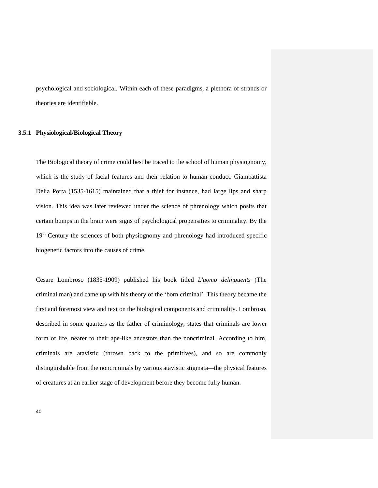psychological and sociological. Within each of these paradigms, a plethora of strands or theories are identifiable.

## **3.5.1 Physiological/Biological Theory**

The Biological theory of crime could best be traced to the school of human physiognomy, which is the study of facial features and their relation to human conduct. Giambattista Delia Porta (1535-1615) maintained that a thief for instance, had large lips and sharp vision. This idea was later reviewed under the science of phrenology which posits that certain bumps in the brain were signs of psychological propensities to criminality. By the 19<sup>th</sup> Century the sciences of both physiognomy and phrenology had introduced specific biogenetic factors into the causes of crime.

Cesare Lombroso (1835-1909) published his book titled *L'uomo delinquents* (The criminal man) and came up with his theory of the "born criminal". This theory became the first and foremost view and text on the biological components and criminality. Lombroso, described in some quarters as the father of criminology, states that criminals are lower form of life, nearer to their ape-like ancestors than the noncriminal. According to him, criminals are atavistic (thrown back to the primitives), and so are commonly distinguishable from the noncriminals by various atavistic stigmata—the physical features of creatures at an earlier stage of development before they become fully human.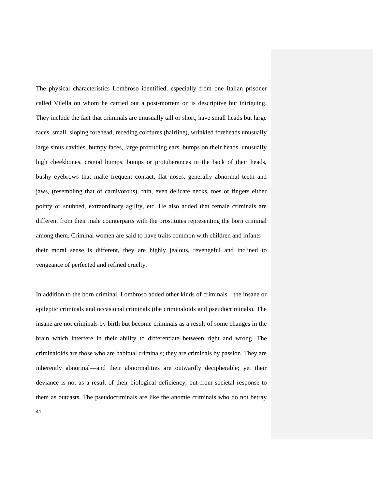The physical characteristics Lombroso identified, especially from one Italian prisoner called Vilella on whom he carried out a post-mortem on is descriptive but intriguing. They include the fact that criminals are unusually tall or short, have small heads but large faces, small, sloping forehead, receding coiffures (hairline), wrinkled foreheads unusually large sinus cavities, bumpy faces, large protruding ears, bumps on their heads, unusually high cheekbones, cranial bumps, bumps or protuberances in the back of their heads, bushy eyebrows that make frequent contact, flat noses, generally abnormal teeth and jaws, (resembling that of carnivorous), thin, even delicate necks, toes or fingers either pointy or snubbed, extraordinary agility, etc. He also added that female criminals are different from their male counterparts with the prostitutes representing the born criminal among them. Criminal women are said to have traits common with children and infants their moral sense is different, they are highly jealous, revengeful and inclined to vengeance of perfected and refined cruelty.

In addition to the born criminal, Lombroso added other kinds of criminals—the insane or epileptic criminals and occasional criminals (the criminaloids and pseudocriminals). The insane are not criminals by birth but become criminals as a result of some changes in the brain which interfere in their ability to differentiate between right and wrong. The criminaloids are those who are habitual criminals; they are criminals by passion. They are inherently abnormal—and their abnormalities are outwardly decipherable; yet their deviance is not as a result of their biological deficiency, but from societal response to them as outcasts. The pseudocriminals are like the anomie criminals who do not betray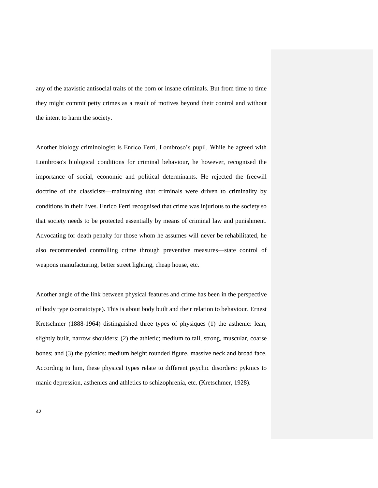any of the atavistic antisocial traits of the born or insane criminals. But from time to time they might commit petty crimes as a result of motives beyond their control and without the intent to harm the society.

Another biology criminologist is Enrico Ferri, Lombroso's pupil. While he agreed with Lombroso's biological conditions for criminal behaviour, he however, recognised the importance of social, economic and political determinants. He rejected the freewill doctrine of the classicists—maintaining that criminals were driven to criminality by conditions in their lives. Enrico Ferri recognised that crime was injurious to the society so that society needs to be protected essentially by means of criminal law and punishment. Advocating for death penalty for those whom he assumes will never be rehabilitated, he also recommended controlling crime through preventive measures—state control of weapons manufacturing, better street lighting, cheap house, etc.

Another angle of the link between physical features and crime has been in the perspective of body type (somatotype). This is about body built and their relation to behaviour. Ernest Kretschmer (1888-1964) distinguished three types of physiques (1) the asthenic: lean, slightly built, narrow shoulders; (2) the athletic; medium to tall, strong, muscular, coarse bones; and (3) the pyknics: medium height rounded figure, massive neck and broad face. According to him, these physical types relate to different psychic disorders: pyknics to manic depression, asthenics and athletics to schizophrenia, etc. (Kretschmer, 1928).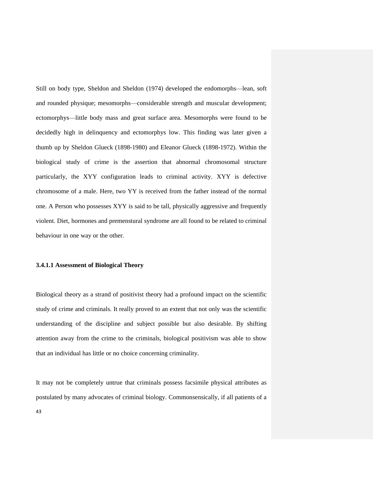Still on body type, Sheldon and Sheldon (1974) developed the endomorphs—lean, soft and rounded physique; mesomorphs—considerable strength and muscular development; ectomorphys—little body mass and great surface area. Mesomorphs were found to be decidedly high in delinquency and ectomorphys low. This finding was later given a thumb up by Sheldon Glueck (1898-1980) and Eleanor Glueck (1898-1972). Within the biological study of crime is the assertion that abnormal chromosomal structure particularly, the XYY configuration leads to criminal activity. XYY is defective chromosome of a male. Here, two YY is received from the father instead of the normal one. A Person who possesses XYY is said to be tall, physically aggressive and frequently violent. Diet, hormones and premenstural syndrome are all found to be related to criminal behaviour in one way or the other.

## **3.4.1.1 Assessment of Biological Theory**

Biological theory as a strand of positivist theory had a profound impact on the scientific study of crime and criminals. It really proved to an extent that not only was the scientific understanding of the discipline and subject possible but also desirable. By shifting attention away from the crime to the criminals, biological positivism was able to show that an individual has little or no choice concerning criminality.

It may not be completely untrue that criminals possess facsimile physical attributes as postulated by many advocates of criminal biology. Commonsensically, if all patients of a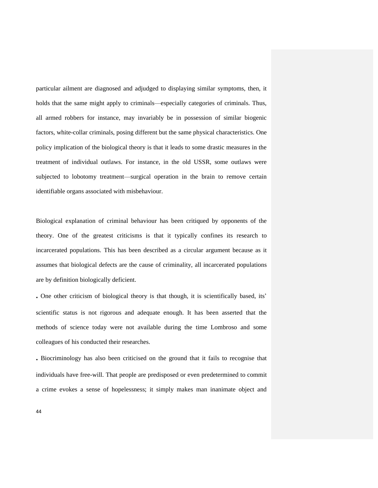particular ailment are diagnosed and adjudged to displaying similar symptoms, then, it holds that the same might apply to criminals—especially categories of criminals. Thus, all armed robbers for instance, may invariably be in possession of similar biogenic factors, white-collar criminals, posing different but the same physical characteristics. One policy implication of the biological theory is that it leads to some drastic measures in the treatment of individual outlaws. For instance, in the old USSR, some outlaws were subjected to lobotomy treatment—surgical operation in the brain to remove certain identifiable organs associated with misbehaviour.

Biological explanation of criminal behaviour has been critiqued by opponents of the theory. One of the greatest criticisms is that it typically confines its research to incarcerated populations. This has been described as a circular argument because as it assumes that biological defects are the cause of criminality, all incarcerated populations are by definition biologically deficient.

**.** One other criticism of biological theory is that though, it is scientifically based, its" scientific status is not rigorous and adequate enough. It has been asserted that the methods of science today were not available during the time Lombroso and some colleagues of his conducted their researches.

**.** Biocriminology has also been criticised on the ground that it fails to recognise that individuals have free-will. That people are predisposed or even predetermined to commit a crime evokes a sense of hopelessness; it simply makes man inanimate object and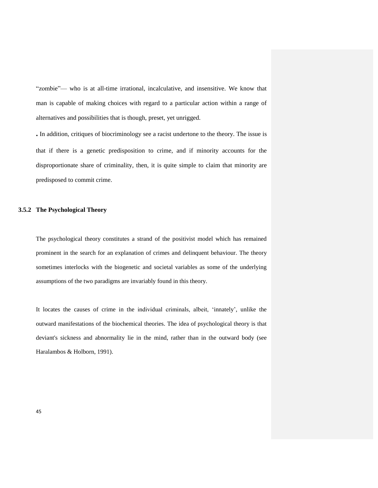"zombie"— who is at all-time irrational, incalculative, and insensitive. We know that man is capable of making choices with regard to a particular action within a range of alternatives and possibilities that is though, preset, yet unrigged.

**.** In addition, critiques of biocriminology see a racist undertone to the theory. The issue is that if there is a genetic predisposition to crime, and if minority accounts for the disproportionate share of criminality, then, it is quite simple to claim that minority are predisposed to commit crime.

## **3.5.2 The Psychological Theory**

The psychological theory constitutes a strand of the positivist model which has remained prominent in the search for an explanation of crimes and delinquent behaviour. The theory sometimes interlocks with the biogenetic and societal variables as some of the underlying assumptions of the two paradigms are invariably found in this theory.

It locates the causes of crime in the individual criminals, albeit, "innately", unlike the outward manifestations of the biochemical theories. The idea of psychological theory is that deviant's sickness and abnormality lie in the mind, rather than in the outward body (see Haralambos & Holborn, 1991).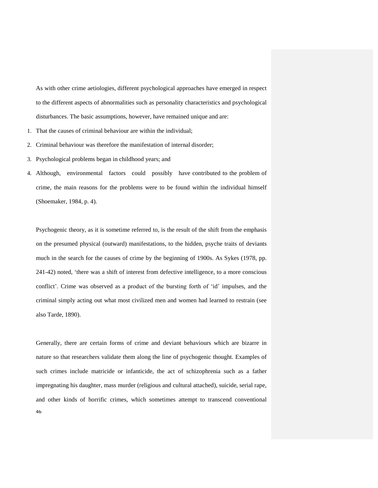As with other crime aetiologies, different psychological approaches have emerged in respect to the different aspects of abnormalities such as personality characteristics and psychological disturbances. The basic assumptions, however, have remained unique and are:

- 1. That the causes of criminal behaviour are within the individual;
- 2. Criminal behaviour was therefore the manifestation of internal disorder;
- 3. Psychological problems began in childhood years; and
- 4. Although, environmental factors could possibly have contributed to the problem of crime, the main reasons for the problems were to be found within the individual himself (Shoemaker, 1984, p. 4).

Psychogenic theory, as it is sometime referred to, is the result of the shift from the emphasis on the presumed physical (outward) manifestations, to the hidden, psyche traits of deviants much in the search for the causes of crime by the beginning of 1900s. As Sykes (1978, pp. 241-42) noted, "there was a shift of interest from defective intelligence, to a more conscious conflict". Crime was observed as a product of the bursting forth of "id" impulses, and the criminal simply acting out what most civilized men and women had learned to restrain (see also Tarde, 1890).

46 Generally, there are certain forms of crime and deviant behaviours which are bizarre in nature so that researchers validate them along the line of psychogenic thought. Examples of such crimes include matricide or infanticide, the act of schizophrenia such as a father impregnating his daughter, mass murder (religious and cultural attached), suicide, serial rape, and other kinds of horrific crimes, which sometimes attempt to transcend conventional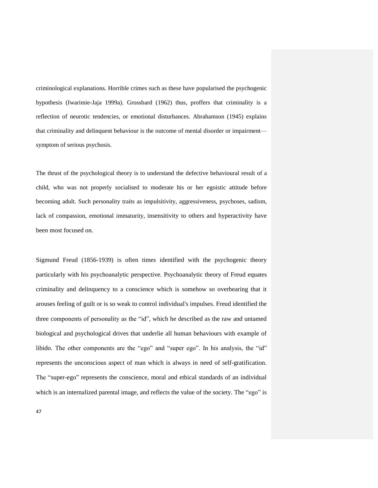criminological explanations. Horrible crimes such as these have popularised the psychogenic hypothesis (Iwarimie-Jaja 1999a). Grossbard (1962) thus, proffers that criminality is a reflection of neurotic tendencies, or emotional disturbances. Abrahamson (1945) explains that criminality and delinquent behaviour is the outcome of mental disorder or impairment symptom of serious psychosis.

The thrust of the psychological theory is to understand the defective behavioural result of a child, who was not properly socialised to moderate his or her egoistic attitude before becoming adult. Such personality traits as impulsitivity, aggressiveness, psychoses, sadism, lack of compassion, emotional immaturity, insensitivity to others and hyperactivity have been most focused on.

Sigmund Freud (1856-1939) is often times identified with the psychogenic theory particularly with his psychoanalytic perspective. Psychoanalytic theory of Freud equates criminality and delinquency to a conscience which is somehow so overbearing that it arouses feeling of guilt or is so weak to control individual's impulses. Freud identified the three components of personality as the "id", which he described as the raw and untamed biological and psychological drives that underlie all human behaviours with example of libido. The other components are the "ego" and "super ego". In his analysis, the "id" represents the unconscious aspect of man which is always in need of self-gratification. The "super-ego" represents the conscience, moral and ethical standards of an individual which is an internalized parental image, and reflects the value of the society. The "ego" is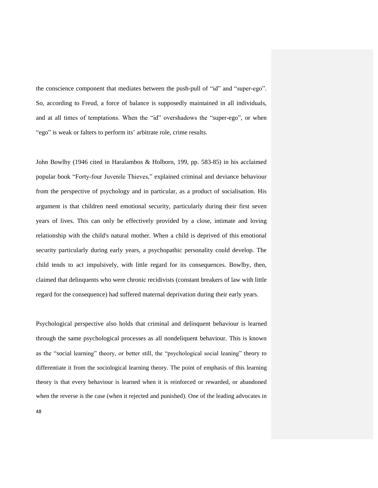the conscience component that mediates between the push-pull of "id" and "super-ego". So, according to Freud, a force of balance is supposedly maintained in all individuals, and at all times of temptations. When the "id" overshadows the "super-ego", or when "ego" is weak or falters to perform its' arbitrate role, crime results.

John Bowlby (1946 cited in Haralambos & Holborn, 199, pp. 583-85) in his acclaimed popular book "Forty-four Juvenile Thieves," explained criminal and deviance behaviour from the perspective of psychology and in particular, as a product of socialisation. His argument is that children need emotional security, particularly during their first seven years of lives. This can only be effectively provided by a close, intimate and loving relationship with the child's natural mother. When a child is deprived of this emotional security particularly during early years, a psychopathic personality could develop. The child tends to act impulsively, with little regard for its consequences. Bowlby, then, claimed that delinquents who were chronic recidivists (constant breakers of law with little regard for the consequence) had suffered maternal deprivation during their early years.

Psychological perspective also holds that criminal and delinquent behaviour is learned through the same psychological processes as all nondeliquent behaviour. This is known as the "social learning" theory, or better still, the "psychological social leaning" theory to differentiate it from the sociological learning theory. The point of emphasis of this learning theory is that every behaviour is learned when it is reinforced or rewarded, or abandoned when the reverse is the case (when it rejected and punished). One of the leading advocates in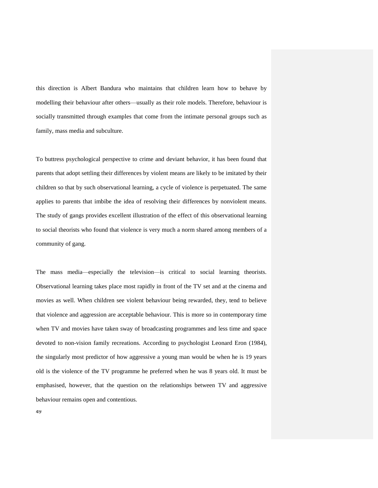this direction is Albert Bandura who maintains that children learn how to behave by modelling their behaviour after others—usually as their role models. Therefore, behaviour is socially transmitted through examples that come from the intimate personal groups such as family, mass media and subculture.

To buttress psychological perspective to crime and deviant behavior, it has been found that parents that adopt settling their differences by violent means are likely to be imitated by their children so that by such observational learning, a cycle of violence is perpetuated. The same applies to parents that imbibe the idea of resolving their differences by nonviolent means. The study of gangs provides excellent illustration of the effect of this observational learning to social theorists who found that violence is very much a norm shared among members of a community of gang.

The mass media—especially the television—is critical to social learning theorists. Observational learning takes place most rapidly in front of the TV set and at the cinema and movies as well. When children see violent behaviour being rewarded, they, tend to believe that violence and aggression are acceptable behaviour. This is more so in contemporary time when TV and movies have taken sway of broadcasting programmes and less time and space devoted to non-vision family recreations. According to psychologist Leonard Eron (1984), the singularly most predictor of how aggressive a young man would be when he is 19 years old is the violence of the TV programme he preferred when he was 8 years old. It must be emphasised, however, that the question on the relationships between TV and aggressive behaviour remains open and contentious.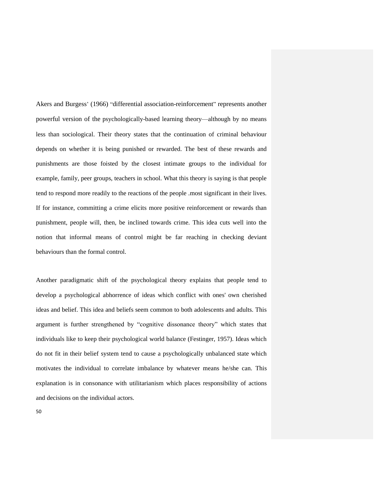Akers and Burgess" (1966) "differential association-reinforcement" represents another powerful version of the psychologically-based learning theory—although by no means less than sociological. Their theory states that the continuation of criminal behaviour depends on whether it is being punished or rewarded. The best of these rewards and punishments are those foisted by the closest intimate groups to the individual for example, family, peer groups, teachers in school. What this theory is saying is that people tend to respond more readily to the reactions of the people .most significant in their lives. If for instance, committing a crime elicits more positive reinforcement or rewards than punishment, people will, then, be inclined towards crime. This idea cuts well into the notion that informal means of control might be far reaching in checking deviant behaviours than the formal control.

Another paradigmatic shift of the psychological theory explains that people tend to develop a psychological abhorrence of ideas which conflict with ones' own cherished ideas and belief. This idea and beliefs seem common to both adolescents and adults. This argument is further strengthened by "cognitive dissonance theory" which states that individuals like to keep their psychological world balance (Festinger, 1957). Ideas which do not fit in their belief system tend to cause a psychologically unbalanced state which motivates the individual to correlate imbalance by whatever means he/she can. This explanation is in consonance with utilitarianism which places responsibility of actions and decisions on the individual actors.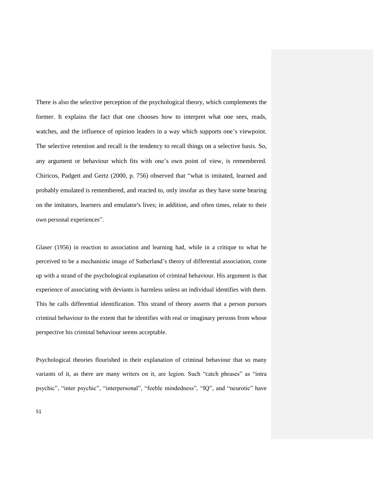There is also the selective perception of the psychological theory, which complements the former. It explains the fact that one chooses how to interpret what one sees, reads, watches, and the influence of opinion leaders in a way which supports one"s viewpoint. The selective retention and recall is the tendency to recall things on a selective basis. So, any argument or behaviour which fits with one"s own point of view, is remembered. Chiricos, Padgett and Gertz (2000, p. 756) observed that "what is imitated, learned and probably emulated is remembered, and reacted to, only insofar as they have some bearing on the imitators, learners and emulator's lives; in addition, and often times, relate to their own personal experiences".

Glaser (1956) in reaction to association and learning had, while in a critique to what he perceived to be a mechanistic image of Sutherland"s theory of differential association, come up with a strand of the psychological explanation of criminal behaviour. His argument is that experience of associating with deviants is harmless unless an individual identifies with them. This he calls differential identification. This strand of theory asserts that a person pursues criminal behaviour to the extent that he identifies with real or imaginary persons from whose perspective his criminal behaviour seems acceptable.

Psychological theories flourished in their explanation of criminal behaviour that so many variants of it, as there are many writers on it, are legion. Such "catch phrases" as "intra psychic", "inter psychic", "interpersonal", "feeble mindedness", "IQ", and "neurotic" have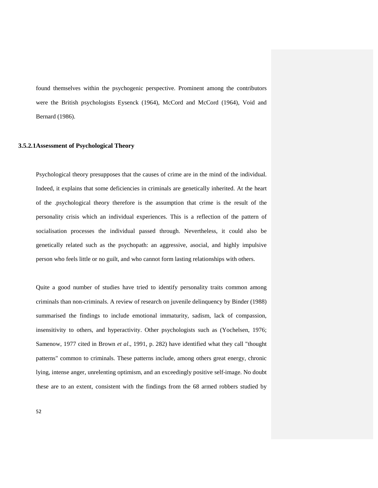found themselves within the psychogenic perspective. Prominent among the contributors were the British psychologists Eysenck (1964), McCord and McCord (1964), Void and Bernard (1986).

## **3.5.2.1Assessment of Psychological Theory**

Psychological theory presupposes that the causes of crime are in the mind of the individual. Indeed, it explains that some deficiencies in criminals are genetically inherited. At the heart of the .psychological theory therefore is the assumption that crime is the result of the personality crisis which an individual experiences. This is a reflection of the pattern of socialisation processes the individual passed through. Nevertheless, it could also be genetically related such as the psychopath: an aggressive, asocial, and highly impulsive person who feels little or no guilt, and who cannot form lasting relationships with others.

Quite a good number of studies have tried to identify personality traits common among criminals than non-criminals. A review of research on juvenile delinquency by Binder (1988) summarised the findings to include emotional immaturity, sadism, lack of compassion, insensitivity to others, and hyperactivity. Other psychologists such as (Yochelsen, 1976; Samenow, 1977 cited in Brown *et al*., 1991, p. 282) have identified what they call "thought patterns" common to criminals. These patterns include, among others great energy, chronic lying, intense anger, unrelenting optimism, and an exceedingly positive self-image. No doubt these are to an extent, consistent with the findings from the 68 armed robbers studied by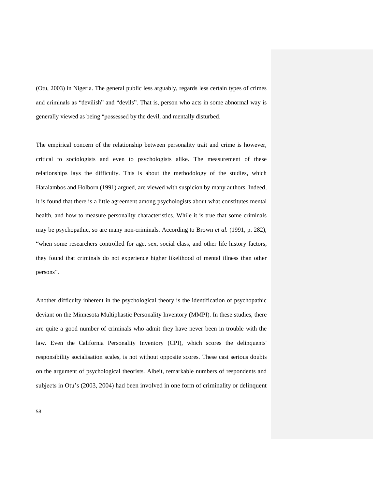(Otu, 2003) in Nigeria. The general public less arguably, regards less certain types of crimes and criminals as "devilish" and "devils". That is, person who acts in some abnormal way is generally viewed as being "possessed by the devil, and mentally disturbed.

The empirical concern of the relationship between personality trait and crime is however, critical to sociologists and even to psychologists alike. The measurement of these relationships lays the difficulty. This is about the methodology of the studies, which Haralambos and Holborn (1991) argued, are viewed with suspicion by many authors. Indeed, it is found that there is a little agreement among psychologists about what constitutes mental health, and how to measure personality characteristics. While it is true that some criminals may be psychopathic, so are many non-criminals. According to Brown *et al.* (1991, p. 282), "when some researchers controlled for age, sex, social class, and other life history factors, they found that criminals do not experience higher likelihood of mental illness than other persons".

Another difficulty inherent in the psychological theory is the identification of psychopathic deviant on the Minnesota Multiphastic Personality Inventory (MMPI). In these studies, there are quite a good number of criminals who admit they have never been in trouble with the law. Even the California Personality Inventory (CPI), which scores the delinquents' responsibility socialisation scales, is not without opposite scores. These cast serious doubts on the argument of psychological theorists. Albeit, remarkable numbers of respondents and subjects in Otu"s (2003, 2004) had been involved in one form of criminality or delinquent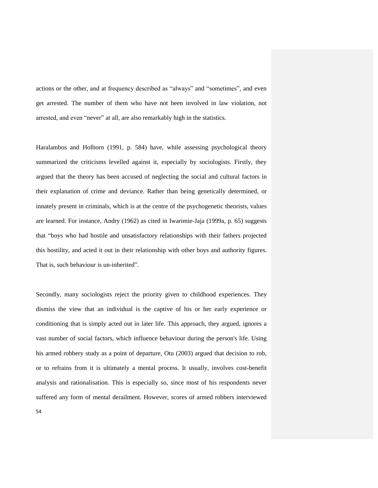actions or the other, and at frequency described as "always" and "sometimes", and even get arrested. The number of them who have not been involved in law violation, not arrested, and even "never" at all, are also remarkably high in the statistics.

Haralambos and Holborn (1991, p. 584) have, while assessing psychological theory summarized the criticisms levelled against it, especially by sociologists. Firstly, they argued that the theory has been accused of neglecting the social and cultural factors in their explanation of crime and deviance. Rather than being genetically determined, or innately present in criminals, which is at the centre of the psychogenetic theorists, values are learned. For instance, Andry (1962) as cited in Iwarimie-Jaja (1999a, p. 65) suggests that "boys who had hostile and unsatisfactory relationships with their fathers projected this hostility, and acted it out in their relationship with other boys and authority figures. That is, such behaviour is un-inherited".

Secondly, many sociologists reject the priority given to childhood experiences. They dismiss the view that an individual is the captive of his or her early experience or conditioning that is simply acted out in later life. This approach, they argued, ignores a vast number of social factors, which influence behaviour during the person's life. Using his armed robbery study as a point of departure, Otu (2003) argued that decision to rob, or to refrains from it is ultimately a mental process. It usually, involves cost-benefit analysis and rationalisation. This is especially so, since most of his respondents never suffered any form of mental derailment. However, scores of armed robbers interviewed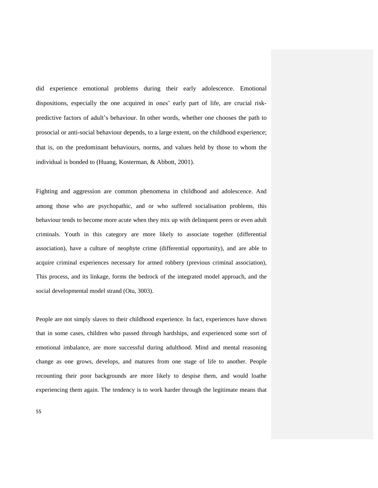did experience emotional problems during their early adolescence. Emotional dispositions, especially the one acquired in ones' early part of life, are crucial riskpredictive factors of adult"s behaviour. In other words, whether one chooses the path to prosocial or anti-social behaviour depends, to a large extent, on the childhood experience; that is, on the predominant behaviours, norms, and values held by those to whom the individual is bonded to (Huang, Kosterman, & Abbott, 2001).

Fighting and aggression are common phenomena in childhood and adolescence. And among those who are psychopathic, and or who suffered socialisation problems, this behaviour tends to become more acute when they mix up with delinquent peers or even adult criminals. Youth in this category are more likely to associate together (differential association), have a culture of neophyte crime (differential opportunity), and are able to acquire criminal experiences necessary for armed robbery (previous criminal association), This process, and its linkage, forms the bedrock of the integrated model approach, and the social developmental model strand (Otu, 3003).

People are not simply slaves to their childhood experience. In fact, experiences have shown that in some cases, children who passed through hardships, and experienced some sort of emotional imbalance, are more successful during adulthood. Mind and mental reasoning change as one grows, develops, and matures from one stage of life to another. People recounting their poor backgrounds are more likely to despise them, and would loathe experiencing them again. The tendency is to work harder through the legitimate means that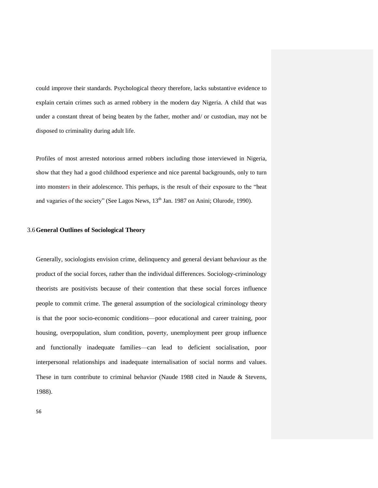could improve their standards. Psychological theory therefore, lacks substantive evidence to explain certain crimes such as armed robbery in the modern day Nigeria. A child that was under a constant threat of being beaten by the father, mother and/ or custodian, may not be disposed to criminality during adult life.

Profiles of most arrested notorious armed robbers including those interviewed in Nigeria, show that they had a good childhood experience and nice parental backgrounds, only to turn into monsters in their adolescence. This perhaps, is the result of their exposure to the "heat and vagaries of the society" (See Lagos News, 13<sup>th</sup> Jan. 1987 on Anini; Olurode, 1990).

## 3.6**General Outlines of Sociological Theory**

Generally, sociologists envision crime, delinquency and general deviant behaviour as the product of the social forces, rather than the individual differences. Sociology-criminology theorists are positivists because of their contention that these social forces influence people to commit crime. The general assumption of the sociological criminology theory is that the poor socio-economic conditions—poor educational and career training, poor housing, overpopulation, slum condition, poverty, unemployment peer group influence and functionally inadequate families—can lead to deficient socialisation, poor interpersonal relationships and inadequate internalisation of social norms and values. These in turn contribute to criminal behavior (Naude 1988 cited in Naude & Stevens, 1988).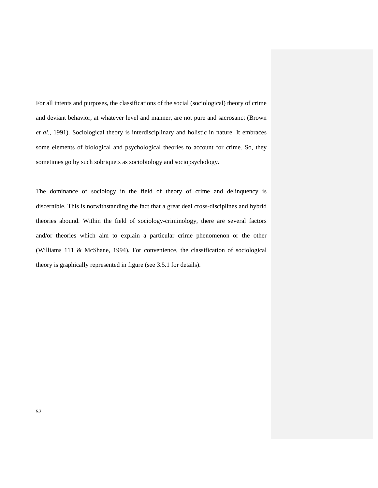For all intents and purposes, the classifications of the social (sociological) theory of crime and deviant behavior, at whatever level and manner, are not pure and sacrosanct (Brown *et al.*, 1991). Sociological theory is interdisciplinary and holistic in nature. It embraces some elements of biological and psychological theories to account for crime. So, they sometimes go by such sobriquets as sociobiology and sociopsychology.

The dominance of sociology in the field of theory of crime and delinquency is discernible. This is notwithstanding the fact that a great deal cross-disciplines and hybrid theories abound. Within the field of sociology-criminology, there are several factors and/or theories which aim to explain a particular crime phenomenon or the other (Williams 111 & McShane, 1994)*.* For convenience, the classification of sociological theory is graphically represented in figure (see 3.5.1 for details).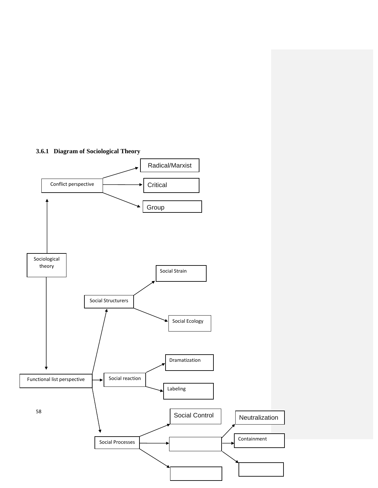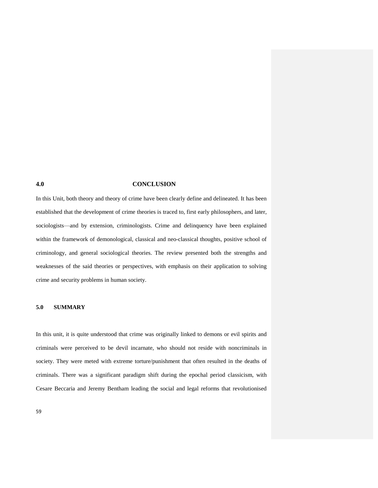## **4.0 CONCLUSION**

In this Unit, both theory and theory of crime have been clearly define and delineated. It has been established that the development of crime theories is traced to, first early philosophers, and later, sociologists—and by extension, criminologists. Crime and delinquency have been explained within the framework of demonological, classical and neo-classical thoughts, positive school of criminology, and general sociological theories. The review presented both the strengths and weaknesses of the said theories or perspectives, with emphasis on their application to solving crime and security problems in human society.

#### **5.0 SUMMARY**

In this unit, it is quite understood that crime was originally linked to demons or evil spirits and criminals were perceived to be devil incarnate, who should not reside with noncriminals in society. They were meted with extreme torture/punishment that often resulted in the deaths of criminals. There was a significant paradigm shift during the epochal period classicism, with Cesare Beccaria and Jeremy Bentham leading the social and legal reforms that revolutionised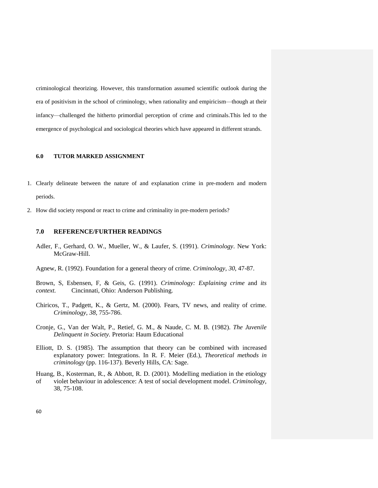criminological theorizing. However, this transformation assumed scientific outlook during the era of positivism in the school of criminology, when rationality and empiricism—though at their infancy—challenged the hitherto primordial perception of crime and criminals.This led to the emergence of psychological and sociological theories which have appeared in different strands.

#### **6.0 TUTOR MARKED ASSIGNMENT**

- 1. Clearly delineate between the nature of and explanation crime in pre-modern and modern periods.
- 2. How did society respond or react to crime and criminality in pre-modern periods?

## **7.0 REFERENCE/FURTHER READINGS**

- Adler, F., Gerhard, O. W., Mueller, W., & Laufer, S. (1991). *Criminology*. New York: McGraw-Hill.
- Agnew, R. (1992). Foundation for a general theory of crime. *Criminology, 30*, 47-87.
- Brown, S, Esbensen, F, & Geis, G. (1991). *Criminology: Explaining crime* and *its context.* Cincinnati, Ohio: Anderson Publishing.
- Chiricos, T., Padgett, K., & Gertz, M. (2000). Fears, TV news, and reality of crime. *Criminology, 38*, 755-786.
- Cronje, G., Van der Walt, P., Retief, G. M., & Naude, C. M. B. (1982). *The Juvenile Delinquent in Society.* Pretoria: Haum Educational
- Elliott, D. S. (1985). The assumption that theory can be combined with increased explanatory power: Integrations. In R. F. Meier (Ed.), *Theoretical methods in criminology* (pp. 116-137)*.* Beverly Hills, CA: Sage.
- Huang, B., Kosterman, R., & Abbott, R. D. (2001). Modelling mediation in the etiology of violet behaviour in adolescence: A test of social development model. *Criminology,*  38, 75-108.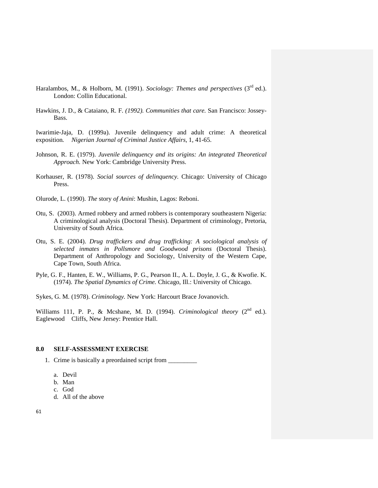- Haralambos, M., & Holborn, M. (1991). *Sociology: Themes and perspectives* (3<sup>rd</sup> ed.). London: Collin Educational.
- Hawkins, J. D., & Cataiano, R. F. *(1992). Communities that care.* San Francisco: Jossey-Bass.

Iwarimie-Jaja, D. (1999a). Juvenile delinquency and adult crime: A theoretical exposition*. Nigerian Journal of Criminal Justice Affairs,* 1, 41-65.

- Johnson, R. E. (1979). *Juvenile delinquency and its origins: An integrated Theoretical Approach.* New York: Cambridge University Press.
- Korhauser, R. (1978). *Social sources of delinquency.* Chicago: University of Chicago Press.
- Olurode, L. (1990). *The* story *of Anini*: Mushin, Lagos: Reboni.
- Otu, S. (2003). Armed robbery and armed robbers is contemporary southeastern Nigeria: A criminological analysis (Doctoral Thesis). Department of criminology, Pretoria, University of South Africa*.*
- Otu, S. E. (2004). *Drug traffickers and drug trafficking: A sociological analysis of selected inmates in Pollsmore and Goodwood prisons* (Doctoral Thesis). Department of Anthropology and Sociology, University of the Western Cape, Cape Town, South Africa.
- Pyle, G. F., Hanten, E. W., Williams, P. G., Pearson II., A. L. Doyle, J. G., & Kwofie. K. (1974). *The Spatial Dynamics of Crime.* Chicago, Ill.: University of Chicago.

Sykes, G. M. (1978). *Criminology.* New York: Harcourt Brace Jovanovich.

Williams 111, P. P., & Mcshane, M. D. (1994). *Criminological theory* (2<sup>nd</sup> ed.). Eaglewood Cliffs, New Jersey: Prentice Hall.

## **8.0 SELF-ASSESSMENT EXERCISE**

- 1. Crime is basically a preordained script from \_\_\_\_\_\_\_\_\_
	- a. Devil
	- b. Man
	- c. God
	- d. All of the above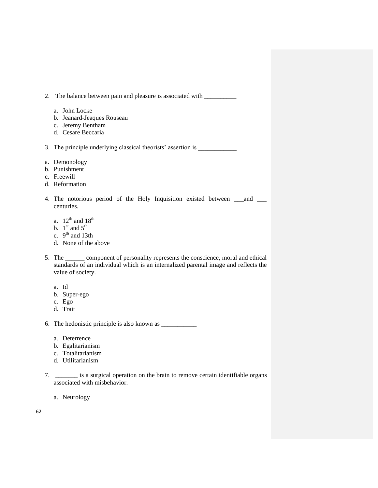2. The balance between pain and pleasure is associated with \_\_\_\_\_\_\_\_\_\_\_\_\_\_\_\_\_\_\_\_\_ a. John Locke b. Jeanard-Jeaques Rouseau c. Jeremy Bentham d. Cesare Beccaria 3. The principle underlying classical theorists' assertion is a. Demonology b. Punishment c. Freewill d. Reformation 4. The notorious period of the Holy Inquisition existed between \_\_\_and \_\_\_ centuries. a.  $12^{th}$  and  $18^{th}$ b.  $1^{\text{st}}$  and  $5^{\text{th}}$ c.  $9<sup>th</sup>$  and 13th d. None of the above 5. The \_\_\_\_\_\_ component of personality represents the conscience, moral and ethical standards of an individual which is an internalized parental image and reflects the value of society. a. Id b. Super-ego c. Ego d. Trait 6. The hedonistic principle is also known as \_\_\_\_\_\_\_\_\_\_\_ a. Deterrence b. Egalitarianism c. Totalitarianism d. Utilitarianism

7. \_\_\_\_\_\_\_ is a surgical operation on the brain to remove certain identifiable organs associated with misbehavior.

a. Neurology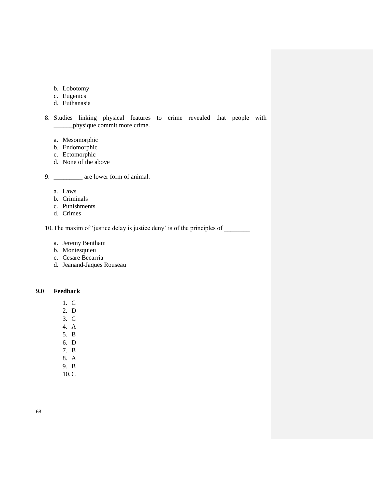- b. Lobotomy
- c. Eugenics
- d. Euthanasia
- 8. Studies linking physical features to crime revealed that people with \_\_\_\_\_\_physique commit more crime.
	- a. Mesomorphic
	- b. Endomorphic
	- c. Ectomorphic
	- d. None of the above

9. \_\_\_\_\_\_\_\_\_ are lower form of animal.

- a. Laws
- b. Criminals
- c. Punishments
- d. Crimes

10. The maxim of 'justice delay is justice deny' is of the principles of

- a. Jeremy Bentham
- b. Montesquieu
- c. Cesare Becarria
- d. Jeanand-Jaques Rouseau

**9.0 Feedback**

- 1. C
- 2. D
- 3. C
- 4. A
- 5. B
- 6. D
- 7. B
- 8. A 9. B
- 10.C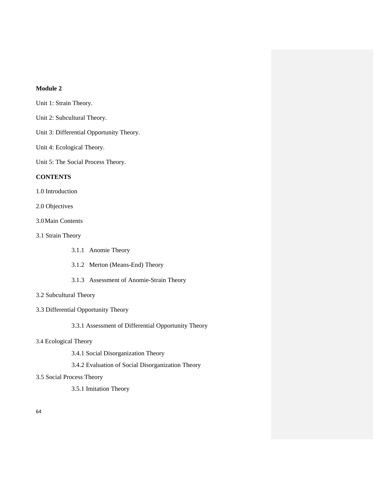# **Module 2**

Unit 1: Strain Theory.

- Unit 2: Subcultural Theory.
- Unit 3: Differential Opportunity Theory.
- Unit 4: Ecological Theory.

Unit 5: The Social Process Theory.

# **CONTENTS**

1.0 Introduction

2.0 Objectives

3.0Main Contents

3.1 Strain Theory

- 3.1.1 Anomie Theory
- 3.1.2 Merton (Means-End) Theory
- 3.1.3 Assessment of Anomie-Strain Theory

# 3.2 Subcultural Theory

# 3.3 Differential Opportunity Theory

3.3.1 Assessment of Differential Opportunity Theory

# 3.4 Ecological Theory

3.4.1 Social Disorganization Theory

# 3.4.2 Evaluation of Social Disorganization Theory

# 3.5 Social Process Theory

3.5.1 Imitation Theory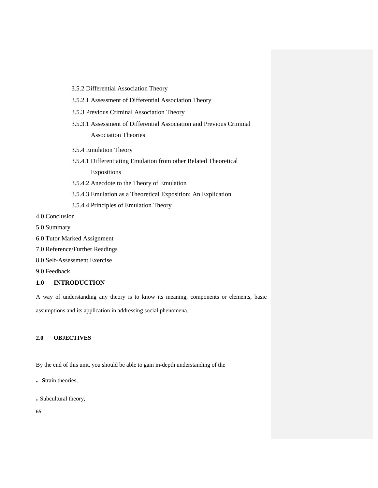- 3.5.2 Differential Association Theory
- 3.5.2.1 Assessment of Differential Association Theory
- 3.5.3 Previous Criminal Association Theory
- 3.5.3.1 Assessment of Differential Association and Previous Criminal Association Theories
- 3.5.4 Emulation Theory
- 3.5.4.1 Differentiating Emulation from other Related Theoretical Expositions
- 3.5.4.2 Anecdote to the Theory of Emulation
- 3.5.4.3 Emulation as a Theoretical Exposition: An Explication
- 3.5.4.4 Principles of Emulation Theory

4.0 Conclusion

- 5.0 Summary
- 6.0 Tutor Marked Assignment
- 7.0 Reference/Further Readings
- 8.0 Self-Assessment Exercise

9.0 Feedback

# **1.0 INTRODUCTION**

A way of understanding any theory is to know its meaning, components or elements, basic assumptions and its application in addressing social phenomena.

## **2.0 OBJECTIVES**

By the end of this unit, you should be able to gain in-depth understanding of the

- **. S**train theories,
- **.** Subcultural theory,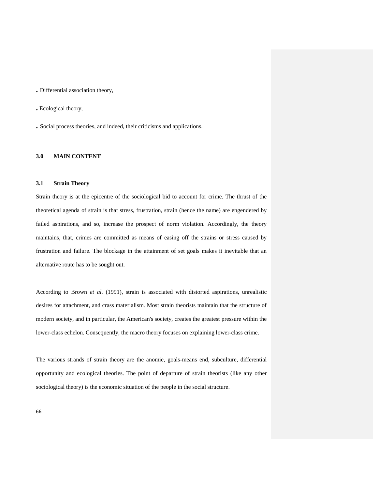**.** Differential association theory,

**.** Ecological theory,

**.** Social process theories, and indeed, their criticisms and applications.

## **3.0 MAIN CONTENT**

## **3.1 Strain Theory**

Strain theory is at the epicentre of the sociological bid to account for crime. The thrust of the theoretical agenda of strain is that stress, frustration, strain (hence the name) are engendered by failed aspirations, and so, increase the prospect of norm violation. Accordingly, the theory maintains, that, crimes are committed as means of easing off the strains or stress caused by frustration and failure. The blockage in the attainment of set goals makes it inevitable that an alternative route has to be sought out.

According to Brown *et al.* (1991), strain is associated with distorted aspirations, unrealistic desires for attachment, and crass materialism. Most strain theorists maintain that the structure of modern society, and in particular, the American's society, creates the greatest pressure within the lower-class echelon. Consequently, the macro theory focuses on explaining lower-class crime.

The various strands of strain theory are the anomie, goals-means end, subculture, differential opportunity and ecological theories. The point of departure of strain theorists (like any other sociological theory) is the economic situation of the people in the social structure.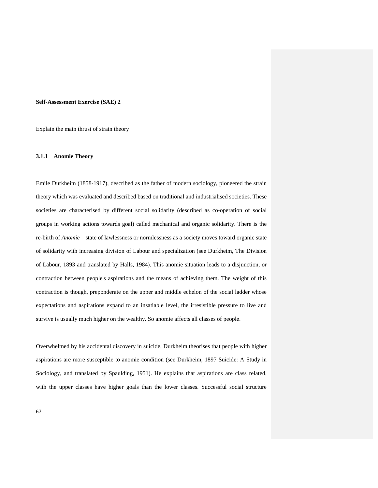#### **Self-Assessment Exercise (SAE) 2**

Explain the main thrust of strain theory

#### **3.1.1 Anomie Theory**

Emile Durkheim (1858-1917), described as the father of modern sociology, pioneered the strain theory which was evaluated and described based on traditional and industrialised societies. These societies are characterised by different social solidarity (described as co-operation of social groups in working actions towards goal) called mechanical and organic solidarity. There is the re-birth of *Anomie*—state of lawlessness or normlessness as a society moves toward organic state of solidarity with increasing division of Labour and specialization (see Durkheim, The Division of Labour, 1893 and translated by Halls, 1984). This anomie situation leads to a disjunction, or contraction between people's aspirations and the means of achieving them. The weight of this contraction is though, preponderate on the upper and middle echelon of the social ladder whose expectations and aspirations expand to an insatiable level, the irresistible pressure to live and survive is usually much higher on the wealthy. So anomie affects all classes of people.

Overwhelmed by his accidental discovery in suicide, Durkheim theorises that people with higher aspirations are more susceptible to anomie condition (see Durkheim, 1897 Suicide: A Study in Sociology, and translated by Spaulding, 1951). He explains that aspirations are class related, with the upper classes have higher goals than the lower classes. Successful social structure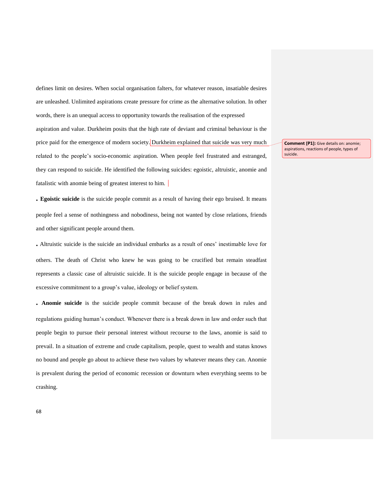defines limit on desires. When social organisation falters, for whatever reason, insatiable desires are unleashed. Unlimited aspirations create pressure for crime as the alternative solution. In other words, there is an unequal access to opportunity towards the realisation of the expressed aspiration and value. Durkheim posits that the high rate of deviant and criminal behaviour is the price paid for the emergence of modern society. Durkheim explained that suicide was very much related to the people"s socio-economic aspiration. When people feel frustrated and estranged, they can respond to suicide. He identified the following suicides: egoistic, altruistic, anomie and fatalistic with anomie being of greatest interest to him.

**. Egoistic suicide** is the suicide people commit as a result of having their ego bruised. It means people feel a sense of nothingness and nobodiness, being not wanted by close relations, friends and other significant people around them.

**.** Altruistic suicide is the suicide an individual embarks as a result of ones" inestimable love for others. The death of Christ who knew he was going to be crucified but remain steadfast represents a classic case of altruistic suicide. It is the suicide people engage in because of the excessive commitment to a group"s value, ideology or belief system.

**. Anomie suicide** is the suicide people commit because of the break down in rules and regulations guiding human"s conduct. Whenever there is a break down in law and order such that people begin to pursue their personal interest without recourse to the laws, anomie is said to prevail. In a situation of extreme and crude capitalism, people, quest to wealth and status knows no bound and people go about to achieve these two values by whatever means they can. Anomie is prevalent during the period of economic recession or downturn when everything seems to be crashing.

**Comment [P1]:** Give details on: anomie; aspirations, reactions of people, types of suicide.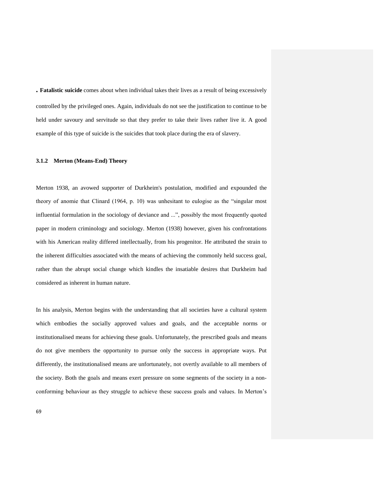**. Fatalistic suicide** comes about when individual takes their lives as a result of being excessively controlled by the privileged ones. Again, individuals do not see the justification to continue to be held under savoury and servitude so that they prefer to take their lives rather live it. A good example of this type of suicide is the suicides that took place during the era of slavery.

#### **3.1.2 Merton (Means-End) Theory**

Merton 1938, an avowed supporter of Durkheim's postulation, modified and expounded the theory of anomie that Clinard (1964, p. 10) was unhesitant to eulogise as the "singular most influential formulation in the sociology of deviance and ...", possibly the most frequently quoted paper in modern criminology and sociology. Merton (1938) however, given his confrontations with his American reality differed intellectually, from his progenitor. He attributed the strain to the inherent difficulties associated with the means of achieving the commonly held success goal, rather than the abrupt social change which kindles the insatiable desires that Durkheim had considered as inherent in human nature.

In his analysis, Merton begins with the understanding that all societies have a cultural system which embodies the socially approved values and goals, and the acceptable norms or institutionalised means for achieving these goals. Unfortunately, the prescribed goals and means do not give members the opportunity to pursue only the success in appropriate ways. Put differently, the institutionalised means are unfortunately, not overtly available to all members of the society. Both the goals and means exert pressure on some segments of the society in a nonconforming behaviour as they struggle to achieve these success goals and values. In Merton"s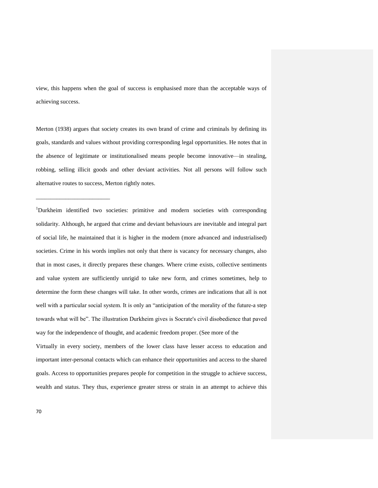view, this happens when the goal of success is emphasised more than the acceptable ways of achieving success.

Merton (1938) argues that society creates its own brand of crime and criminals by defining its goals, standards and values without providing corresponding legal opportunities. He notes that in the absence of legitimate or institutionalised means people become innovative—in stealing, robbing, selling illicit goods and other deviant activities. Not all persons will follow such alternative routes to success, Merton rightly notes.

<sup>1</sup>Durkheim identified two societies: primitive and modern societies with corresponding solidarity. Although, he argued that crime and deviant behaviours are inevitable and integral part of social life, he maintained that it is higher in the modem (more advanced and industrialised) societies. Crime in his words implies not only that there is vacancy for necessary changes, also that in most cases, it directly prepares these changes. Where crime exists, collective sentiments and value system are sufficiently unrigid to take new form, and crimes sometimes, help to determine the form these changes will take. In other words, crimes are indications that all is not well with a particular social system. It is only an "anticipation of the morality of the future-a step towards what will be". The illustration Durkheim gives is Socrate's civil disobedience that paved way for the independence of thought, and academic freedom proper. (See more of the

Virtually in every society, members of the lower class have lesser access to education and important inter-personal contacts which can enhance their opportunities and access to the shared goals. Access to opportunities prepares people for competition in the struggle to achieve success, wealth and status. They thus, experience greater stress or strain in an attempt to achieve this

\_\_\_\_\_\_\_\_\_\_\_\_\_\_\_\_\_\_\_\_\_\_\_\_\_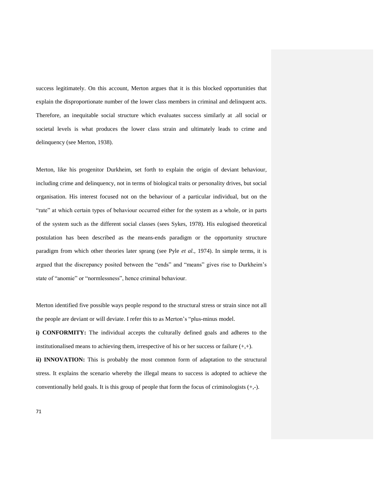success legitimately. On this account, Merton argues that it is this blocked opportunities that explain the disproportionate number of the lower class members in criminal and delinquent acts. Therefore, an inequitable social structure which evaluates success similarly at .all social or societal levels is what produces the lower class strain and ultimately leads to crime and delinquency (see Merton, 1938).

Merton, like his progenitor Durkheim, set forth to explain the origin of deviant behaviour, including crime and delinquency, not in terms of biological traits or personality drives, but social organisation. His interest focused not on the behaviour of a particular individual, but on the "rate" at which certain types of behaviour occurred either for the system as a whole, or in parts of the system such as the different social classes (sees Sykes, 1978). His eulogised theoretical postulation has been described as the means-ends paradigm or the opportunity structure paradigm from which other theories later sprang (see Pyle *et al.,* 1974). In simple terms, it is argued that the discrepancy posited between the "ends" and "means" gives rise to Durkheim"s state of "anomie" or "normlessness", hence criminal behaviour.

Merton identified five possible ways people respond to the structural stress or strain since not all the people are deviant or will deviate. I refer this to as Merton"s "plus-minus model.

**i) CONFORMITY:** The individual accepts the culturally defined goals and adheres to the institutionalised means to achieving them, irrespective of his or her success or failure  $(+, +)$ .

**ii) INNOVATION:** This is probably the most common form of adaptation to the structural stress. It explains the scenario whereby the illegal means to success is adopted to achieve the conventionally held goals. It is this group of people that form the focus of criminologists  $(+,.)$ .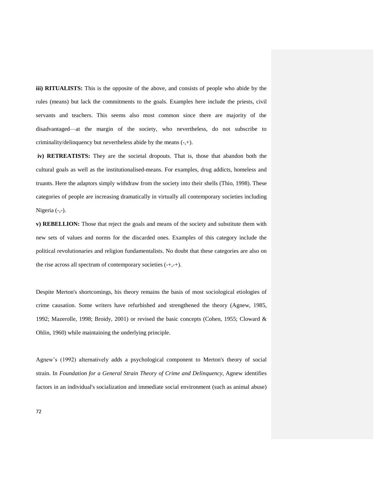**iii) RITUALISTS:** This is the opposite of the above, and consists of people who abide by the rules (means) but lack the commitments to the goals. Examples here include the priests, civil servants and teachers. This seems also most common since there are majority of the disadvantaged—at the margin of the society, who nevertheless, do not subscribe to criminality/delinquency but nevertheless abide by the means (-,+).

**iv) RETREATISTS:** They are the societal dropouts. That is, those that abandon both the cultural goals as well as the institutionalised-means. For examples, drug addicts, homeless and truants. Here the adaptors simply withdraw from the society into their shells (Thio, 1998). These categories of people are increasing dramatically in virtually all contemporary societies including Nigeria (-,-).

**v) REBELLION:** Those that reject the goals and means of the society and substitute them with new sets of values and norms for the discarded ones. Examples of this category include the political revolutionaries and religion fundamentalists. No doubt that these categories are also on the rise across all spectrum of contemporary societies (-+,-+).

Despite Merton's shortcomings, his theory remains the basis of most sociological etiologies of crime causation. Some writers have refurbished and strengthened the theory (Agnew, 1985, 1992; Mazerolle, 1998; Broidy, 2001) or revised the basic concepts (Cohen, 1955; Cloward & Ohlin, 1960) while maintaining the underlying principle.

Agnew"s (1992) alternatively adds a psychological component to Merton's theory of social strain. In *Foundation for a General Strain Theory of Crime and Delinquency*, Agnew identifies factors in an individual's socialization and immediate social environment (such as animal abuse)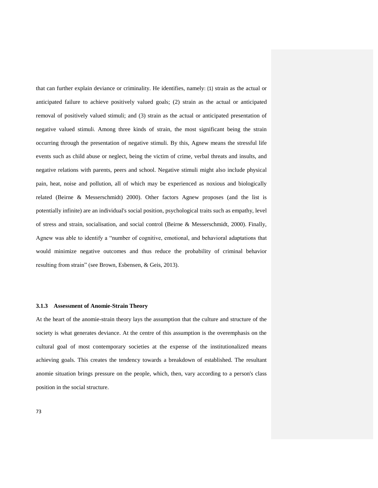that can further explain deviance or criminality. He identifies, namely: (1) strain as the actual or anticipated failure to achieve positively valued goals; (2) strain as the actual or anticipated removal of positively valued stimuli; and (3) strain as the actual or anticipated presentation of negative valued stimuli. Among three kinds of strain, the most significant being the strain occurring through the presentation of negative stimuli. By this, Agnew means the stressful life events such as child abuse or neglect, being the victim of crime, verbal threats and insults, and negative relations with parents, peers and school. Negative stimuli might also include physical pain, heat, noise and pollution, all of which may be experienced as noxious and biologically related (Beirne & Messerschmidt) 2000). Other factors Agnew proposes (and the list is potentially infinite) are an individual's social position, psychological traits such as empathy, level of stress and strain, socialisation, and social control (Beirne & Messerschmidt, 2000). Finally, Agnew was able to identify a "number of cognitive, emotional, and behavioral adaptations that would minimize negative outcomes and thus reduce the probability of criminal behavior resulting from strain" (see Brown, Esbensen, & Geis, 2013).

#### **3.1.3 Assessment of Anomie-Strain Theory**

At the heart of the anomie-strain theory lays the assumption that the culture and structure of the society is what generates deviance. At the centre of this assumption is the overemphasis on the cultural goal of most contemporary societies at the expense of the institutionalized means achieving goals. This creates the tendency towards a breakdown of established. The resultant anomie situation brings pressure on the people, which, then, vary according to a person's class position in the social structure.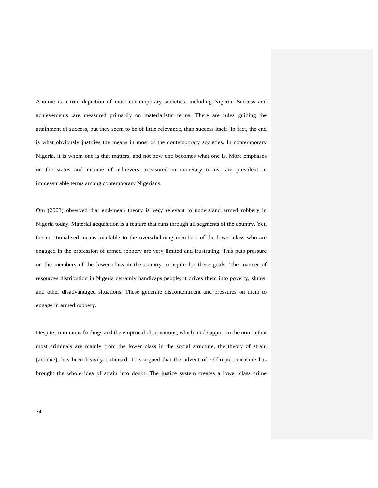Anomie is a true depiction of most contemporary societies, including Nigeria. Success and achievements .are measured primarily on materialistic terms. There are rules guiding the attainment of success, but they seem to be of little relevance, than success itself. In fact, the end is what obviously justifies the means in most of the contemporary societies. In contemporary Nigeria, it is whom one is that matters, and not how one becomes what one is. More emphases on the status and income of achievers—measured in monetary terms—are prevalent in immeasurable terms among contemporary Nigerians.

Otu (2003) observed that end-mean theory is very relevant to understand armed robbery in Nigeria today. Material acquisition is a feature that runs through all segments of the country. Yet, the institionalised means available to the overwhelming members of the lower class who are engaged in the profession of armed robbery are very limited and frustrating. This puts pressure on the members of the lower class in the country to aspire for these goals. The manner of resources distribution in Nigeria certainly handicaps people; it drives them into poverty, slums, and other disadvantaged situations. These generate discontentment and pressures on them to engage in armed robbery.

Despite continuous findings and the empirical observations, which lend support to the notion that most criminals are mainly from the lower class in the social structure, the theory of strain (anomie), has been heavily criticised. It is argued that the advent of self-report measure has brought the whole idea of strain into doubt. The justice system creates a lower class crime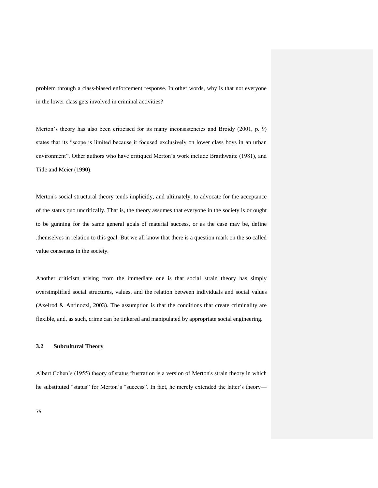problem through a class-biased enforcement response. In other words, why is that not everyone in the lower class gets involved in criminal activities?

Merton's theory has also been criticised for its many inconsistencies and Broidy (2001, p. 9) states that its "scope is limited because it focused exclusively on lower class boys in an urban environment". Other authors who have critiqued Merton"s work include Braithwaite (1981), and Title and Meier (1990).

Merton's social structural theory tends implicitly, and ultimately, to advocate for the acceptance of the status quo uncritically. That is, the theory assumes that everyone in the society is or ought to be gunning for the same general goals of material success, or as the case may be, define .themselves in relation to this goal. But we all know that there is a question mark on the so called value consensus in the society.

Another criticism arising from the immediate one is that social strain theory has simply oversimplified social structures, values, and the relation between individuals and social values (Axelrod & Antinozzi, 2003). The assumption is that the conditions that create criminality are flexible, and, as such, crime can be tinkered and manipulated by appropriate social engineering.

## **3.2 Subcultural Theory**

Albert Cohen"s (1955) theory of status frustration is a version of Merton's strain theory in which he substituted "status" for Merton's "success". In fact, he merely extended the latter's theory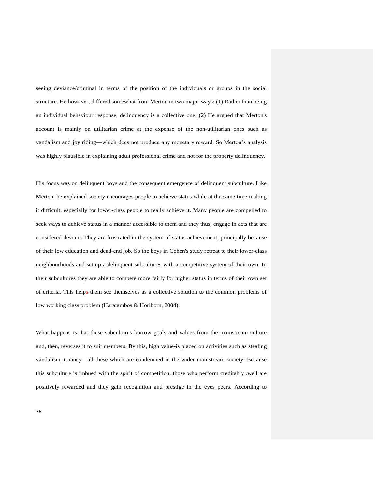seeing deviance/criminal in terms of the position of the individuals or groups in the social structure. He however, differed somewhat from Merton in two major ways: (1) Rather than being an individual behaviour response, delinquency is a collective one; (2) He argued that Merton's account is mainly on utilitarian crime at the expense of the non-utilitarian ones such as vandalism and joy riding—which does not produce any monetary reward. So Merton"s analysis was highly plausible in explaining adult professional crime and not for the property delinquency.

His focus was on delinquent boys and the consequent emergence of delinquent subculture. Like Merton, he explained society encourages people to achieve status while at the same time making it difficult, especially for lower-class people to really achieve it. Many people are compelled to seek ways to achieve status in a manner accessible to them and they thus, engage in acts that are considered deviant. They are frustrated in the system of status achievement, principally because of their low education and dead-end job. So the boys in Cohen's study retreat to their lower-class neighbourhoods and set up a delinquent subcultures with a competitive system of their own. In their subcultures they are able to compete more fairly for higher status in terms of their own set of criteria. This helps them see themselves as a collective solution to the common problems of low working class problem (Haraiambos & Horlborn, 2004).

What happens is that these subcultures borrow goals and values from the mainstream culture and, then, reverses it to suit members. By this, high value-is placed on activities such as stealing vandalism, truancy—all these which are condemned in the wider mainstream society. Because this subculture is imbued with the spirit of competition, those who perform creditably .well are positively rewarded and they gain recognition and prestige in the eyes peers. According to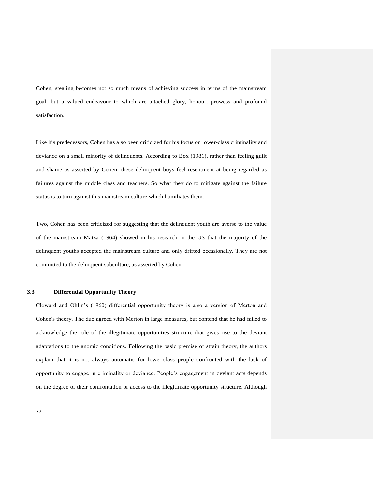Cohen, stealing becomes not so much means of achieving success in terms of the mainstream goal, but a valued endeavour to which are attached glory, honour, prowess and profound satisfaction.

Like his predecessors, Cohen has also been criticized for his focus on lower-class criminality and deviance on a small minority of delinquents. According to Box (1981), rather than feeling guilt and shame as asserted by Cohen, these delinquent boys feel resentment at being regarded as failures against the middle class and teachers. So what they do to mitigate against the failure status is to turn against this mainstream culture which humiliates them.

Two, Cohen has been criticized for suggesting that the delinquent youth are averse to the value of the mainstream Matza (1964) showed in his research in the US that the majority of the delinquent youths accepted the mainstream culture and only drifted occasionally. They are not committed to the delinquent subculture, as asserted by Cohen.

## **3.3 Differential Opportunity Theory**

Cloward and Ohlin"s (1960) differential opportunity theory is also a version of Merton and Cohen's theory. The duo agreed with Merton in large measures, but contend that he had failed to acknowledge the role of the illegitimate opportunities structure that gives rise to the deviant adaptations to the anomic conditions. Following the basic premise of strain theory, the authors explain that it is not always automatic for lower-class people confronted with the lack of opportunity to engage in criminality or deviance. People"s engagement in deviant acts depends on the degree of their confrontation or access to the illegitimate opportunity structure. Although

77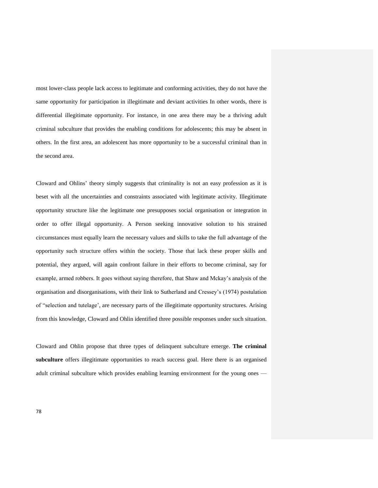most lower-class people lack access to legitimate and conforming activities, they do not have the same opportunity for participation in illegitimate and deviant activities In other words, there is differential illegitimate opportunity. For instance, in one area there may be a thriving adult criminal subculture that provides the enabling conditions for adolescents; this may be absent in others. In the first area, an adolescent has more opportunity to be a successful criminal than in the second area.

Cloward and Ohlins" theory simply suggests that criminality is not an easy profession as it is beset with all the uncertainties and constraints associated with legitimate activity. Illegitimate opportunity structure like the legitimate one presupposes social organisation or integration in order to offer illegal opportunity. A Person seeking innovative solution to his strained circumstances must equally learn the necessary values and skills to take the full advantage of the opportunity such structure offers within the society. Those that lack these proper skills and potential, they argued, will again confront failure in their efforts to become criminal, say for example, armed robbers. It goes without saying therefore, that Shaw and Mckay"s analysis of the organisation and disorganisations, with their link to Sutherland and Cressey"s (1974) postulation of "selection and tutelage", are necessary parts of the illegitimate opportunity structures. Arising from this knowledge, Cloward and Ohlin identified three possible responses under such situation.

Cloward and Ohlin propose that three types of delinquent subculture emerge. **The criminal subculture** offers illegitimate opportunities to reach success goal. Here there is an organised adult criminal subculture which provides enabling learning environment for the young ones —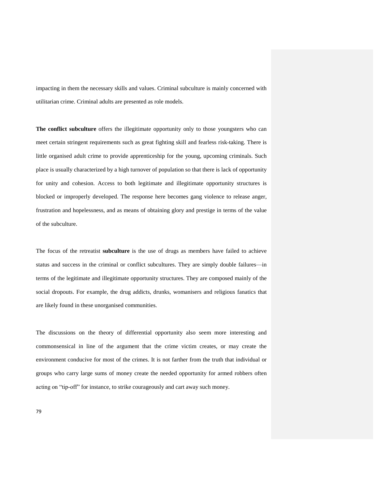impacting in them the necessary skills and values. Criminal subculture is mainly concerned with utilitarian crime. Criminal adults are presented as role models.

**The conflict subculture** offers the illegitimate opportunity only to those youngsters who can meet certain stringent requirements such as great fighting skill and fearless risk-taking. There is little organised adult crime to provide apprenticeship for the young, upcoming criminals. Such place is usually characterized by a high turnover of population so that there is lack of opportunity for unity and cohesion. Access to both legitimate and illegitimate opportunity structures is blocked or improperly developed. The response here becomes gang violence to release anger, frustration and hopelessness, and as means of obtaining glory and prestige in terms of the value of the subculture.

The focus of the retreatist **subculture** is the use of drugs as members have failed to achieve status and success in the criminal or conflict subcultures. They are simply double failures—in terms of the legitimate and illegitimate opportunity structures. They are composed mainly of the social dropouts. For example, the drug addicts, drunks, womanisers and religious fanatics that are likely found in these unorganised communities.

The discussions on the theory of differential opportunity also seem more interesting and commonsensical in line of the argument that the crime victim creates, or may create the environment conducive for most of the crimes. It is not farther from the truth that individual or groups who carry large sums of money create the needed opportunity for armed robbers often acting on "tip-off" for instance, to strike courageously and cart away such money.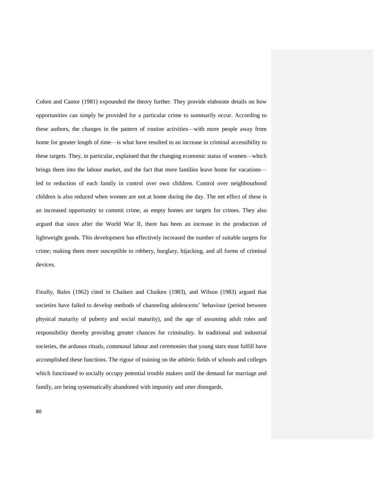Cohen and Cantor (1981) expounded the theory further. They provide elaborate details on how opportunities can simply be provided for a particular crime to summarily occur. According to these authors, the changes in the pattern of routine activities—with more people away from home for greater length of time—is what have resulted to an increase in criminal accessibility to these targets. They, in particular, explained that the changing economic status of women—which brings them into the labour market, and the fact that more families leave home for vacations led to reduction of each family in control over own children. Control over neighbourhood children is also reduced when women are not at home during the day. The net effect of these is an increased opportunity to commit crime, as empty homes are targets for crimes. They also argued that since after the World War II, there has been an increase in the production of lightweight goods. This development has effectively increased the number of suitable targets for crime; making them more susceptible to robbery, burglary, hijacking, and all forms of criminal devices.

Finally, Bales (1962) cited in Chaiken and Chaiken (1983), and Wilson (1983) argued that societies have failed to develop methods of channeling adolescents" behaviour (period between physical maturity of puberty and social maturity), and the age of assuming adult roles and responsibility thereby providing greater chances for criminality. In traditional and industrial societies, the arduous rituals, communal labour and ceremonies that young stars must fulfill have accomplished these functions. The rigour of training on the athletic fields of schools and colleges which functioned to socially occupy potential trouble makers until the demand for marriage and family, are being systematically abandoned with impunity and utter disregards.

80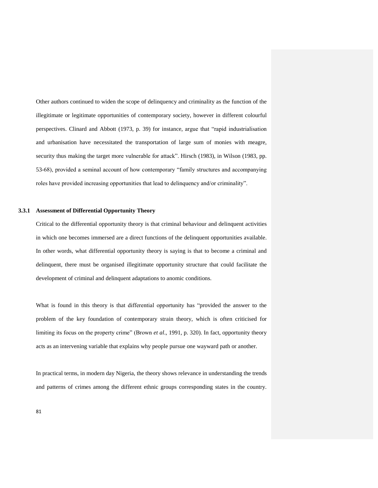Other authors continued to widen the scope of delinquency and criminality as the function of the illegitimate or legitimate opportunities of contemporary society, however in different colourful perspectives. Clinard and Abbott (1973, p. 39) for instance, argue that "rapid industrialisation and urbanisation have necessitated the transportation of large sum of monies with meagre, security thus making the target more vulnerable for attack". Hirsch (1983), in Wilson (1983, pp. 53-68), provided a seminal account of how contemporary "family structures and accompanying roles have provided increasing opportunities that lead to delinquency and/or criminality".

## **3.3.1 Assessment of Differential Opportunity Theory**

Critical to the differential opportunity theory is that criminal behaviour and delinquent activities in which one becomes immersed are a direct functions of the delinquent opportunities available. In other words, what differential opportunity theory is saying is that to become a criminal and delinquent, there must be organised illegitimate opportunity structure that could facilitate the development of criminal and delinquent adaptations to anomic conditions.

What is found in this theory is that differential opportunity has "provided the answer to the problem of the key foundation of contemporary strain theory, which is often criticised for limiting its focus on the property crime" (Brown *et al*., 1991, p. 320). In fact, opportunity theory acts as an intervening variable that explains why people pursue one wayward path or another.

In practical terms, in modern day Nigeria, the theory shows relevance in understanding the trends and patterns of crimes among the different ethnic groups corresponding states in the country.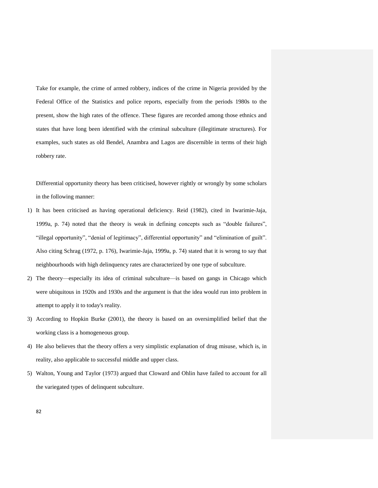Take for example, the crime of armed robbery, indices of the crime in Nigeria provided by the Federal Office of the Statistics and police reports, especially from the periods 1980s to the present, show the high rates of the offence. These figures are recorded among those ethnics and states that have long been identified with the criminal subculture (illegitimate structures). For examples, such states as old Bendel, Anambra and Lagos are discernible in terms of their high robbery rate.

Differential opportunity theory has been criticised, however rightly or wrongly by some scholars in the following manner:

- 1) It has been criticised as having operational deficiency. Reid (1982), cited in Iwarimie-Jaja, 1999a, p. 74) noted that the theory is weak in defining concepts such as "double failures", "illegal opportunity", "denial of legitimacy", differential opportunity" and "elimination of guilt". Also citing Schrag (1972, p. 176), Iwarimie-Jaja, 1999a, p. 74) stated that it is wrong to say that neighbourhoods with high delinquency rates are characterized by one type of subculture.
- 2) The theory—especially its idea of criminal subculture—is based on gangs in Chicago which were ubiquitous in 1920s and 1930s and the argument is that the idea would run into problem in attempt to apply it to today's reality.
- 3) According to Hopkin Burke (2001), the theory is based on an oversimplified belief that the working class is a homogeneous group.
- 4) He also believes that the theory offers a very simplistic explanation of drug misuse, which is, in reality, also applicable to successful middle and upper class.
- 5) Walton, Young and Taylor (1973) argued that Cloward and Ohlin have failed to account for all the variegated types of delinquent subculture.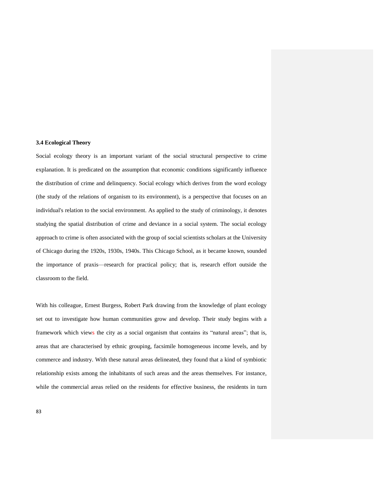## **3.4 Ecological Theory**

Social ecology theory is an important variant of the social structural perspective to crime explanation. It is predicated on the assumption that economic conditions significantly influence the distribution of crime and delinquency. Social ecology which derives from the word ecology (the study of the relations of organism to its environment), is a perspective that focuses on an individual's relation to the social environment. As applied to the study of criminology, it denotes studying the spatial distribution of crime and deviance in a social system. The social ecology approach to crime is often associated with the group of social scientists scholars at the University of Chicago during the 1920s, 1930s, 1940s. This Chicago School, as it became known, sounded the importance of praxis—research for practical policy; that is, research effort outside the classroom to the field.

With his colleague, Ernest Burgess, Robert Park drawing from the knowledge of plant ecology set out to investigate how human communities grow and develop. Their study begins with a framework which views the city as a social organism that contains its "natural areas"; that is, areas that are characterised by ethnic grouping, facsimile homogeneous income levels, and by commerce and industry. With these natural areas delineated, they found that a kind of symbiotic relationship exists among the inhabitants of such areas and the areas themselves. For instance, while the commercial areas relied on the residents for effective business, the residents in turn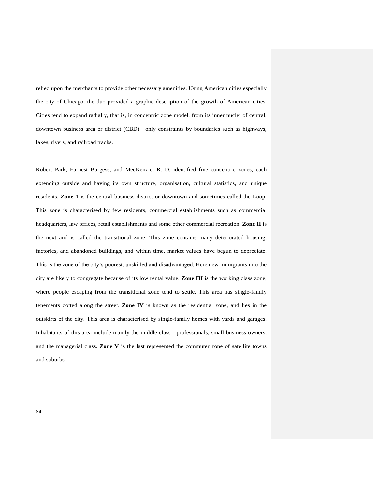relied upon the merchants to provide other necessary amenities. Using American cities especially the city of Chicago, the duo provided a graphic description of the growth of American cities. Cities tend to expand radially, that is, in concentric zone model, from its inner nuclei of central, downtown business area or district (CBD)—only constraints by boundaries such as highways, lakes, rivers, and railroad tracks.

Robert Park, Earnest Burgess, and MecKenzie, R. D. identified five concentric zones, each extending outside and having its own structure, organisation, cultural statistics, and unique residents. **Zone 1** is the central business district or downtown and sometimes called the Loop. This zone is characterised by few residents, commercial establishments such as commercial headquarters, law offices, retail establishments and some other commercial recreation. **Zone II** is the next and is called the transitional zone. This zone contains many deteriorated housing, factories, and abandoned buildings, and within time, market values have begun to depreciate. This is the zone of the city"s poorest, unskilled and disadvantaged. Here new immigrants into the city are likely to congregate because of its low rental value. **Zone III** is the working class zone, where people escaping from the transitional zone tend to settle. This area has single-family tenements dotted along the street. **Zone IV** is known as the residential zone, and lies in the outskirts of the city. This area is characterised by single-family homes with yards and garages. Inhabitants of this area include mainly the middle-class—professionals, small business owners, and the managerial class. **Zone V** is the last represented the commuter zone of satellite towns and suburbs.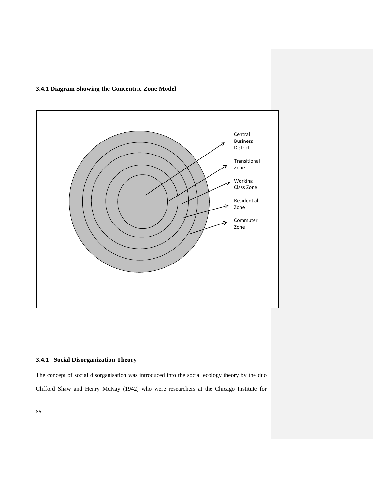# **3.4.1 Diagram Showing the Concentric Zone Model**



# **3.4.1 Social Disorganization Theory**

The concept of social disorganisation was introduced into the social ecology theory by the duo Clifford Shaw and Henry McKay (1942) who were researchers at the Chicago Institute for

85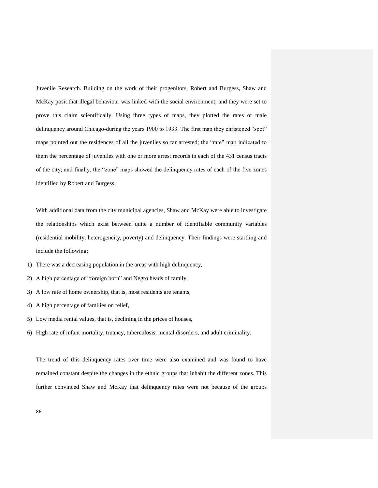Juvenile Research. Building on the work of their progenitors, Robert and Burgess, Shaw and McKay posit that illegal behaviour was linked-with the social environment, and they were set to prove this claim scientifically. Using three types of maps, they plotted the rates of male delinquency around Chicago-during the years 1900 to 1933. The first map they christened "spot" maps pointed out the residences of all the juveniles so far arrested; the "rate" map indicated to them the percentage of juveniles with one or more arrest records in each of the 431 census tracts of the city; and finally, the "zone" maps showed the delinquency rates of each of the five zones identified by Robert and Burgess.

With additional data from the city municipal agencies, Shaw and McKay were able to investigate the relationships which exist between quite a number of identifiable community variables (residential mobility, heterogeneity, poverty) and delinquency. Their findings were startling and include the following:

- 1) There was a decreasing population in the areas with high delinquency,
- 2) A high percentage of "foreign born" and Negro heads of family,
- 3) A low rate of home ownership, that is, most residents are tenants,
- 4) A high percentage of families on relief,
- 5) Low media rental values, that is, declining in the prices of houses,
- 6) High rate of infant mortality, truancy, tuberculosis, mental disorders, and adult criminality.

The trend of this delinquency rates over time were also examined and was found to have remained constant despite the changes in the ethnic groups that inhabit the different zones. This further convinced Shaw and McKay that delinquency rates were not because of the groups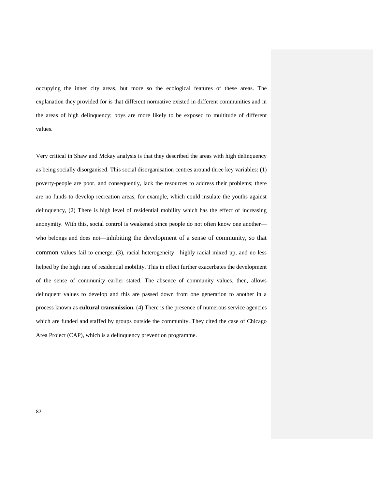occupying the inner city areas, but more so the ecological features of these areas. The explanation they provided for is that different normative existed in different communities and in the areas of high delinquency; boys are more likely to be exposed to multitude of different values.

Very critical in Shaw and Mckay analysis is that they described the areas with high delinquency as being socially disorganised. This social disorganisation centres around three key variables: (1) poverty-people are poor, and consequently, lack the resources to address their problems; there are no funds to develop recreation areas, for example, which could insulate the youths against delinquency, (2) There is high level of residential mobility which has the effect of increasing anonymity. With this, social control is weakened since people do not often know one another who belongs and does not—inhibiting the development of a sense of community, so that common values fail to emerge, (3), racial heterogeneity—highly racial mixed up, and no less helped by the high rate of residential mobility. This in effect further exacerbates the development of the sense of community earlier stated. The absence of community values, then, allows delinquent values to develop and this are passed down from one generation to another in a process known as **cultural transmission.** (4) There is the presence of numerous service agencies which are funded and staffed by groups outside the community. They cited the case of Chicago Area Project (CAP), which is a delinquency prevention programme.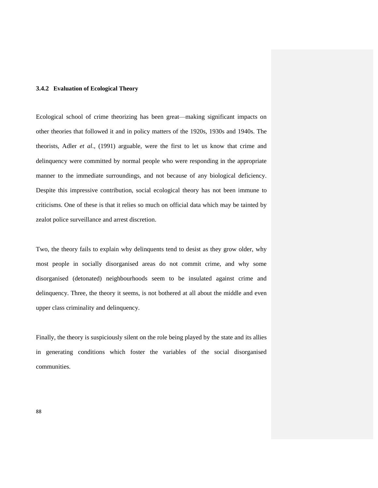# **3.4.2 Evaluation of Ecological Theory**

Ecological school of crime theorizing has been great—making significant impacts on other theories that followed it and in policy matters of the 1920s, 1930s and 1940s. The theorists, Adler *et al*., (1991) arguable, were the first to let us know that crime and delinquency were committed by normal people who were responding in the appropriate manner to the immediate surroundings, and not because of any biological deficiency. Despite this impressive contribution, social ecological theory has not been immune to criticisms. One of these is that it relies so much on official data which may be tainted by zealot police surveillance and arrest discretion.

Two, the theory fails to explain why delinquents tend to desist as they grow older, why most people in socially disorganised areas do not commit crime, and why some disorganised (detonated) neighbourhoods seem to be insulated against crime and delinquency. Three, the theory it seems, is not bothered at all about the middle and even upper class criminality and delinquency.

Finally, the theory is suspiciously silent on the role being played by the state and its allies in generating conditions which foster the variables of the social disorganised communities.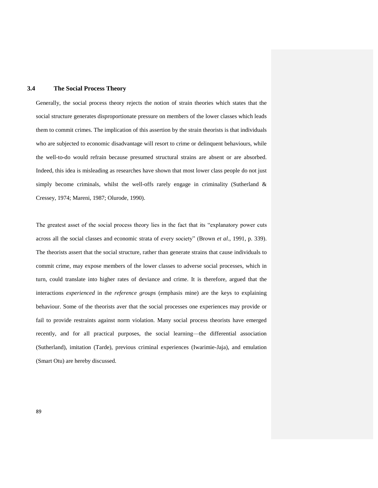# **3.4 The Social Process Theory**

Generally, the social process theory rejects the notion of strain theories which states that the social structure generates disproportionate pressure on members of the lower classes which leads them to commit crimes. The implication of this assertion by the strain theorists is that individuals who are subjected to economic disadvantage will resort to crime or delinquent behaviours, while the well-to-do would refrain because presumed structural strains are absent or are absorbed. Indeed, this idea is misleading as researches have shown that most lower class people do not just simply become criminals, whilst the well-offs rarely engage in criminality (Sutherland  $\&$ Cressey, 1974; Mareni, 1987; Olurode, 1990).

The greatest asset of the social process theory lies in the fact that its "explanatory power cuts across all the social classes and economic strata of every society" (Brown *et al*., 1991, p. 339). The theorists assert that the social structure, rather than generate strains that cause individuals to commit crime, may expose members of the lower classes to adverse social processes, which in turn, could translate into higher rates of deviance and crime. It is therefore, argued that the interactions *experienced* in the *reference groups* (emphasis mine) are the keys to explaining behaviour. Some of the theorists aver that the social processes one experiences may provide or fail to provide restraints against norm violation. Many social process theorists have emerged recently, and for all practical purposes, the social learning—the differential association (Sutherland), imitation (Tarde), previous criminal experiences (Iwarimie-Jaja), and emulation (Smart Otu) are hereby discussed.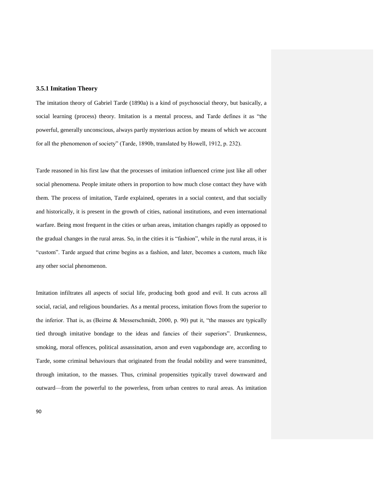# **3.5.1 Imitation Theory**

The imitation theory of Gabriel Tarde (1890a) is a kind of psychosocial theory, but basically, a social learning (process) theory. Imitation is a mental process, and Tarde defines it as "the powerful, generally unconscious, always partly mysterious action by means of which we account for all the phenomenon of society" (Tarde, 1890b, translated by Howell, 1912, p. 232).

Tarde reasoned in his first law that the processes of imitation influenced crime just like all other social phenomena. People imitate others in proportion to how much close contact they have with them. The process of imitation, Tarde explained, operates in a social context, and that socially and historically, it is present in the growth of cities, national institutions, and even international warfare. Being most frequent in the cities or urban areas, imitation changes rapidly as opposed to the gradual changes in the rural areas. So, in the cities it is "fashion", while in the rural areas, it is "custom". Tarde argued that crime begins as a fashion, and later, becomes a custom, much like any other social phenomenon.

Imitation infiltrates all aspects of social life, producing both good and evil. It cuts across all social, racial, and religious boundaries. As a mental process, imitation flows from the superior to the inferior. That is, as (Beirne & Messerschmidt, 2000, p. 90) put it, "the masses are typically tied through imitative bondage to the ideas and fancies of their superiors". Drunkenness, smoking, moral offences, political assassination, arson and even vagabondage are, according to Tarde, some criminal behaviours that originated from the feudal nobility and were transmitted, through imitation, to the masses. Thus, criminal propensities typically travel downward and outward—from the powerful to the powerless, from urban centres to rural areas. As imitation

90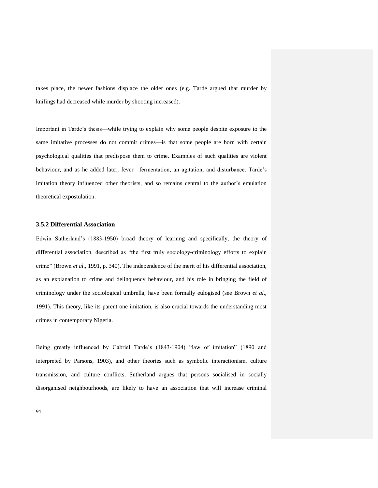takes place, the newer fashions displace the older ones (e.g. Tarde argued that murder by knifings had decreased while murder by shooting increased).

Important in Tarde"s thesis—while trying to explain why some people despite exposure to the same imitative processes do not commit crimes—is that some people are born with certain psychological qualities that predispose them to crime. Examples of such qualities are violent behaviour, and as he added later, fever—fermentation, an agitation, and disturbance. Tarde's imitation theory influenced other theorists, and so remains central to the author"s emulation theoretical expostulation.

# **3.5.2 Differential Association**

Edwin Sutherland"s (1883-1950) broad theory of learning and specifically, the theory of differential association, described as "the first truly sociology-criminology efforts to explain crime" (Brown *et al*.*,* 1991, p. 340). The independence of the merit of his differential association, as an explanation to crime and delinquency behaviour, and his role in bringing the field of criminology under the sociological umbrella, have been formally eulogised (see Brown *et al*., 1991). This theory, like its parent one imitation, is also crucial towards the understanding most crimes in contemporary Nigeria.

Being greatly influenced by Gabriel Tarde"s (1843-1904) "law of imitation" (1890 and interpreted by Parsons, 1903), and other theories such as symbolic interactionism, culture transmission, and culture conflicts, Sutherland argues that persons socialised in socially disorganised neighbourhoods, are likely to have an association that will increase criminal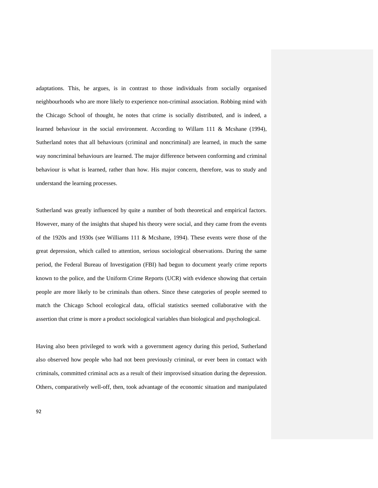adaptations. This, he argues, is in contrast to those individuals from socially organised neighbourhoods who are more likely to experience non-criminal association. Robbing mind with the Chicago School of thought, he notes that crime is socially distributed, and is indeed, a learned behaviour in the social environment. According to Willam 111 & Mcshane (1994), Sutherland notes that all behaviours (criminal and noncriminal) are learned, in much the same way noncriminal behaviours are learned. The major difference between conforming and criminal behaviour is what is learned, rather than how. His major concern, therefore, was to study and understand the learning processes.

Sutherland was greatly influenced by quite a number of both theoretical and empirical factors. However, many of the insights that shaped his theory were social, and they came from the events of the 1920s and 1930s (see Williams 111 & Mcshane, 1994). These events were those of the great depression, which called to attention, serious sociological observations. During the same period, the Federal Bureau of Investigation (FBI) had begun to document yearly crime reports known to the police, and the Uniform Crime Reports (UCR) with evidence showing that certain people are more likely to be criminals than others. Since these categories of people seemed to match the Chicago School ecological data, official statistics seemed collaborative with the assertion that crime is more a product sociological variables than biological and psychological.

Having also been privileged to work with a government agency during this period, Sutherland also observed how people who had not been previously criminal, or ever been in contact with criminals, committed criminal acts as a result of their improvised situation during the depression. Others, comparatively well-off, then, took advantage of the economic situation and manipulated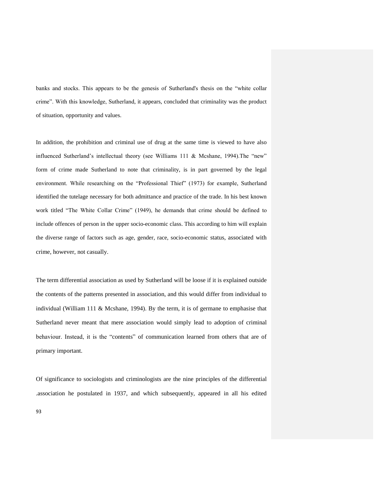banks and stocks. This appears to be the genesis of Sutherland's thesis on the "white collar crime". With this knowledge, Sutherland, it appears, concluded that criminality was the product of situation, opportunity and values.

In addition, the prohibition and criminal use of drug at the same time is viewed to have also influenced Sutherland"s intellectual theory (see Williams 111 & Mcshane, 1994).The "new" form of crime made Sutherland to note that criminality, is in part governed by the legal environment. While researching on the "Professional Thief" (1973) for example, Sutherland identified the tutelage necessary for both admittance and practice of the trade. In his best known work titled "The White Collar Crime" (1949), he demands that crime should be defined to include offences of person in the upper socio-economic class. This according to him will explain the diverse range of factors such as age, gender, race, socio-economic status, associated with crime, however, not casually.

The term differential association as used by Sutherland will be loose if it is explained outside the contents of the patterns presented in association, and this would differ from individual to individual (William 111 & Mcshane, 1994). By the term, it is of germane to emphasise that Sutherland never meant that mere association would simply lead to adoption of criminal behaviour. Instead, it is the "contents" of communication learned from others that are of primary important.

Of significance to sociologists and criminologists are the nine principles of the differential .association he postulated in 1937, and which subsequently, appeared in all his edited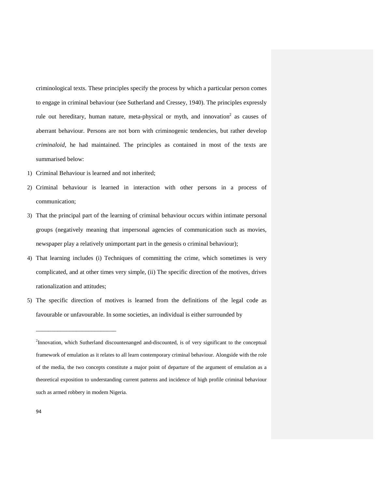criminological texts. These principles specify the process by which a particular person comes to engage in criminal behaviour (see Sutherland and Cressey, 1940). The principles expressly rule out hereditary, human nature, meta-physical or myth, and innovation<sup>2</sup> as causes of aberrant behaviour. Persons are not born with criminogenic tendencies, but rather develop *criminaloid,* he had maintained. The principles as contained in most of the texts are summarised below:

1) Criminal Behaviour is learned and not inherited;

\_\_\_\_\_\_\_\_\_\_\_\_\_\_\_\_\_\_\_\_\_\_\_\_\_\_

- 2) Criminal behaviour is learned in interaction with other persons in a process of communication;
- 3) That the principal part of the learning of criminal behaviour occurs within intimate personal groups (negatively meaning that impersonal agencies of communication such as movies, newspaper play a relatively unimportant part in the genesis o criminal behaviour);
- 4) That learning includes (i) Techniques of committing the crime, which sometimes is very complicated, and at other times very simple, (ii) The specific direction of the motives, drives rationalization and attitudes;
- 5) The specific direction of motives is learned from the definitions of the legal code as favourable or unfavourable. In some societies, an individual is either surrounded by

<sup>&</sup>lt;sup>2</sup>Innovation, which Sutherland discountenanged and-discounted, is of very significant to the conceptual framework of emulation as it relates to all learn contemporary criminal behaviour. Alongside with the role of the media, the two concepts constitute a major point of departure of the argument of emulation as a theoretical exposition to understanding current patterns and incidence of high profile criminal behaviour such as armed robbery in modem Nigeria.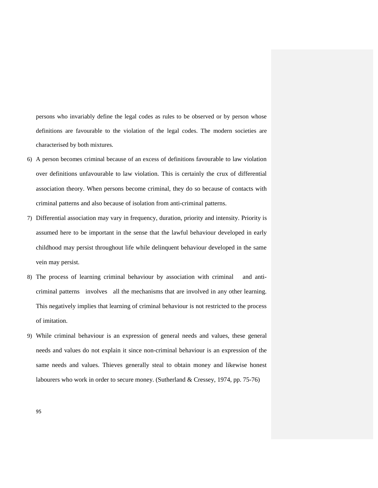persons who invariably define the legal codes as rules to be observed or by person whose definitions are favourable to the violation of the legal codes. The modern societies are characterised by both mixtures.

- 6) A person becomes criminal because of an excess of definitions favourable to law violation over definitions unfavourable to law violation. This is certainly the crux of differential association theory. When persons become criminal, they do so because of contacts with criminal patterns and also because of isolation from anti-criminal patterns.
- 7) Differential association may vary in frequency, duration, priority and intensity. Priority is assumed here to be important in the sense that the lawful behaviour developed in early childhood may persist throughout life while delinquent behaviour developed in the same vein may persist.
- 8) The process of learning criminal behaviour by association with criminal and anticriminal patterns involves all the mechanisms that are involved in any other learning. This negatively implies that learning of criminal behaviour is not restricted to the process of imitation.
- 9) While criminal behaviour is an expression of general needs and values, these general needs and values do not explain it since non-criminal behaviour is an expression of the same needs and values. Thieves generally steal to obtain money and likewise honest labourers who work in order to secure money. (Sutherland & Cressey, 1974, pp. 75-76)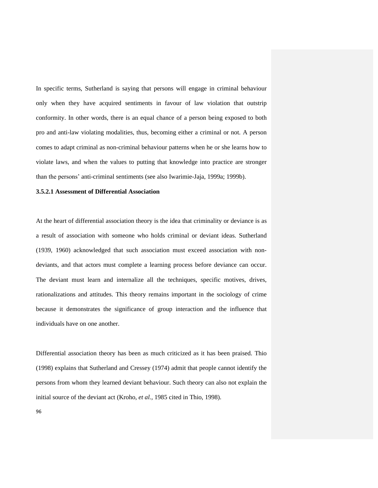In specific terms, Sutherland is saying that persons will engage in criminal behaviour only when they have acquired sentiments in favour of law violation that outstrip conformity. In other words, there is an equal chance of a person being exposed to both pro and anti-law violating modalities, thus, becoming either a criminal or not. A person comes to adapt criminal as non-criminal behaviour patterns when he or she learns how to violate laws, and when the values to putting that knowledge into practice are stronger than the persons" anti-criminal sentiments (see also Iwarimie-Jaja, 1999a; 1999b).

#### **3.5.2.1 Assessment of Differential Association**

At the heart of differential association theory is the idea that criminality or deviance is as a result of association with someone who holds criminal or deviant ideas. Sutherland (1939, 1960) acknowledged that such association must exceed association with nondeviants, and that actors must complete a learning process before deviance can occur. The deviant must learn and internalize all the techniques, specific motives, drives, rationalizations and attitudes. This theory remains important in the sociology of crime because it demonstrates the significance of group interaction and the influence that individuals have on one another.

Differential association theory has been as much criticized as it has been praised. Thio (1998) explains that Sutherland and Cressey (1974) admit that people cannot identify the persons from whom they learned deviant behaviour. Such theory can also not explain the initial source of the deviant act (Kroho, *et al.,* 1985 cited in Thio, 1998).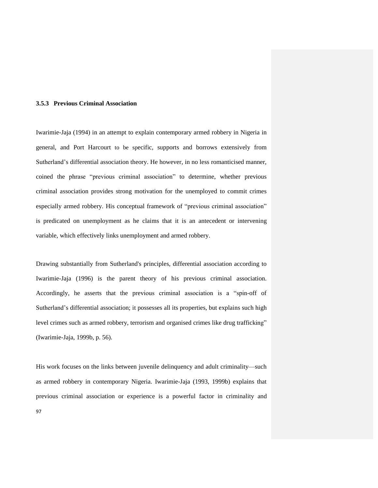## **3.5.3 Previous Criminal Association**

Iwarimie-Jaja (1994) in an attempt to explain contemporary armed robbery in Nigeria in general, and Port Harcourt to be specific, supports and borrows extensively from Sutherland's differential association theory. He however, in no less romanticised manner, coined the phrase "previous criminal association" to determine, whether previous criminal association provides strong motivation for the unemployed to commit crimes especially armed robbery. His conceptual framework of "previous criminal association" is predicated on unemployment as he claims that it is an antecedent or intervening variable, which effectively links unemployment and armed robbery.

Drawing substantially from Sutherland's principles, differential association according to Iwarimie-Jaja (1996) is the parent theory of his previous criminal association. Accordingly, he asserts that the previous criminal association is a "spin-off of Sutherland"s differential association; it possesses all its properties, but explains such high level crimes such as armed robbery, terrorism and organised crimes like drug trafficking" (Iwarimie-Jaja, 1999b, p. 56).

His work focuses on the links between juvenile delinquency and adult criminality—such as armed robbery in contemporary Nigeria. Iwarimie-Jaja (1993, 1999b) explains that previous criminal association or experience is a powerful factor in criminality and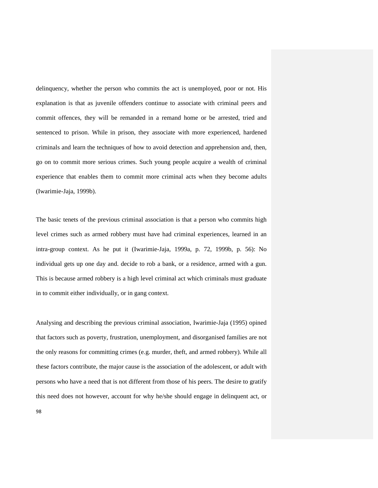delinquency, whether the person who commits the act is unemployed, poor or not. His explanation is that as juvenile offenders continue to associate with criminal peers and commit offences, they will be remanded in a remand home or be arrested, tried and sentenced to prison. While in prison, they associate with more experienced, hardened criminals and learn the techniques of how to avoid detection and apprehension and, then, go on to commit more serious crimes. Such young people acquire a wealth of criminal experience that enables them to commit more criminal acts when they become adults (Iwarimie-Jaja, 1999b).

The basic tenets of the previous criminal association is that a person who commits high level crimes such as armed robbery must have had criminal experiences, learned in an intra-group context. As he put it (Iwarimie-Jaja, 1999a, p. 72, 1999b, p. 56): No individual gets up one day and. decide to rob a bank, or a residence, armed with a gun. This is because armed robbery is a high level criminal act which criminals must graduate in to commit either individually, or in gang context.

Analysing and describing the previous criminal association, Iwarimie-Jaja (1995) opined that factors such as poverty, frustration, unemployment, and disorganised families are not the only reasons for committing crimes (e.g. murder, theft, and armed robbery). While all these factors contribute, the major cause is the association of the adolescent, or adult with persons who have a need that is not different from those of his peers. The desire to gratify this need does not however, account for why he/she should engage in delinquent act, or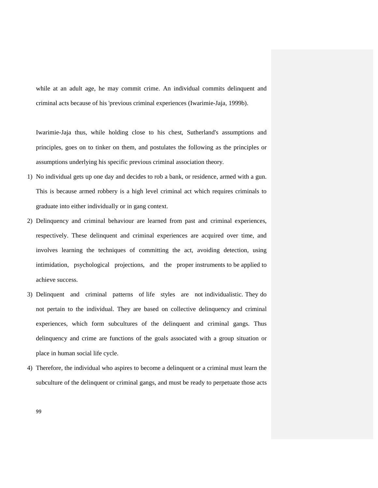while at an adult age, he may commit crime. An individual commits delinquent and criminal acts because of his 'previous criminal experiences (Iwarimie-Jaja, 1999b).

Iwarimie-Jaja thus, while holding close to his chest, Sutherland's assumptions and principles, goes on to tinker on them, and postulates the following as the principles or assumptions underlying his specific previous criminal association theory.

- 1) No individual gets up one day and decides to rob a bank, or residence, armed with a gun. This is because armed robbery is a high level criminal act which requires criminals to graduate into either individually or in gang context.
- 2) Delinquency and criminal behaviour are learned from past and criminal experiences, respectively. These delinquent and criminal experiences are acquired over time, and involves learning the techniques of committing the act, avoiding detection, using intimidation, psychological projections, and the proper instruments to be applied to achieve success.
- 3) Delinquent and criminal patterns of life styles are not individualistic. They do not pertain to the individual. They are based on collective delinquency and criminal experiences, which form subcultures of the delinquent and criminal gangs. Thus delinquency and crime are functions of the goals associated with a group situation or place in human social life cycle.
- 4) Therefore, the individual who aspires to become a delinquent or a criminal must learn the subculture of the delinquent or criminal gangs, and must be ready to perpetuate those acts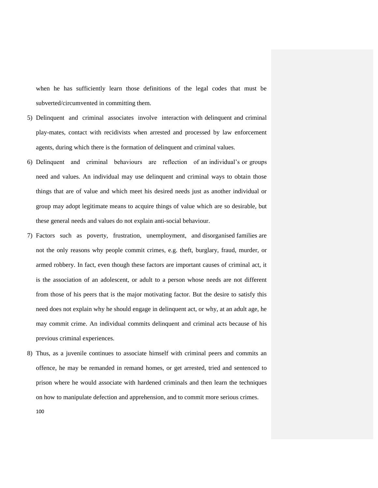when he has sufficiently learn those definitions of the legal codes that must be subverted/circumvented in committing them.

- 5) Delinquent and criminal associates involve interaction with delinquent and criminal play-mates, contact with recidivists when arrested and processed by law enforcement agents, during which there is the formation of delinquent and criminal values.
- 6) Delinquent and criminal behaviours are reflection of an individual"s or groups need and values. An individual may use delinquent and criminal ways to obtain those things that are of value and which meet his desired needs just as another individual or group may adopt legitimate means to acquire things of value which are so desirable, but these general needs and values do not explain anti-social behaviour.
- 7) Factors such as poverty, frustration, unemployment, and disorganised families are not the only reasons why people commit crimes, e.g. theft, burglary, fraud, murder, or armed robbery. In fact, even though these factors are important causes of criminal act, it is the association of an adolescent, or adult to a person whose needs are not different from those of his peers that is the major motivating factor. But the desire to satisfy this need does not explain why he should engage in delinquent act, or why, at an adult age, he may commit crime. An individual commits delinquent and criminal acts because of his previous criminal experiences.
- 8) Thus, as a juvenile continues to associate himself with criminal peers and commits an offence, he may be remanded in remand homes, or get arrested, tried and sentenced to prison where he would associate with hardened criminals and then learn the techniques on how to manipulate defection and apprehension, and to commit more serious crimes.
	- 100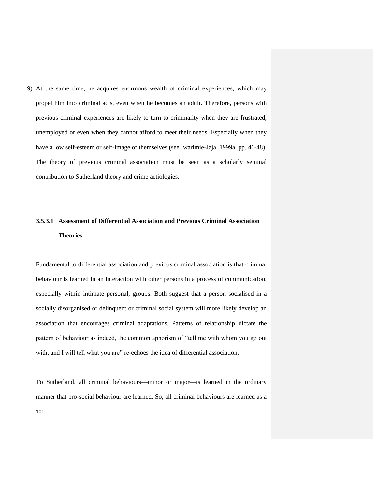9) At the same time, he acquires enormous wealth of criminal experiences, which may propel him into criminal acts, even when he becomes an adult. Therefore, persons with previous criminal experiences are likely to turn to criminality when they are frustrated, unemployed or even when they cannot afford to meet their needs. Especially when they have a low self-esteem or self-image of themselves (see Iwarimie-Jaja, 1999a, pp. 46-48). The theory of previous criminal association must be seen as a scholarly seminal contribution to Sutherland theory and crime aetiologies.

# **3.5.3.1 Assessment of Differential Association and Previous Criminal Association Theories**

Fundamental to differential association and previous criminal association is that criminal behaviour is learned in an interaction with other persons in a process of communication, especially within intimate personal, groups. Both suggest that a person socialised in a socially disorganised or delinquent or criminal social system will more likely develop an association that encourages criminal adaptations. Patterns of relationship dictate the pattern of behaviour as indeed, the common aphorism of "tell me with whom you go out with, and I will tell what you are" re-echoes the idea of differential association.

101 To Sutherland, all criminal behaviours—minor or major—is learned in the ordinary manner that pro-social behaviour are learned. So, all criminal behaviours are learned as a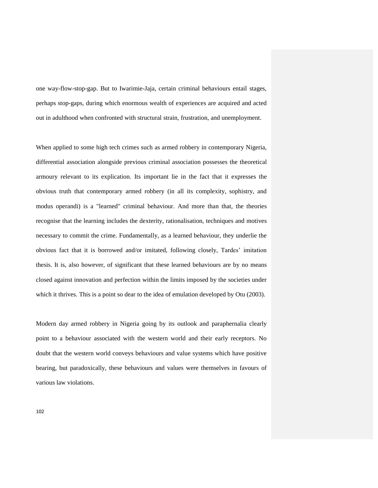one way-flow-stop-gap. But to Iwarimie-Jaja, certain criminal behaviours entail stages, perhaps stop-gaps, during which enormous wealth of experiences are acquired and acted out in adulthood when confronted with structural strain, frustration, and unemployment.

When applied to some high tech crimes such as armed robbery in contemporary Nigeria, differential association alongside previous criminal association possesses the theoretical armoury relevant to its explication. Its important lie in the fact that it expresses the obvious truth that contemporary armed robbery (in all its complexity, sophistry, and modus operandi) is a "learned" criminal behaviour. And more than that, the theories recognise that the learning includes the dexterity, rationalisation, techniques and motives necessary to commit the crime. Fundamentally, as a learned behaviour, they underlie the obvious fact that it is borrowed and/or imitated, following closely, Tardes" imitation thesis. It is, also however, of significant that these learned behaviours are by no means closed against innovation and perfection within the limits imposed by the societies under which it thrives. This is a point so dear to the idea of emulation developed by Otu (2003).

Modern day armed robbery in Nigeria going by its outlook and paraphernalia clearly point to a behaviour associated with the western world and their early receptors. No doubt that the western world conveys behaviours and value systems which have positive bearing, but paradoxically, these behaviours and values were themselves in favours of various law violations.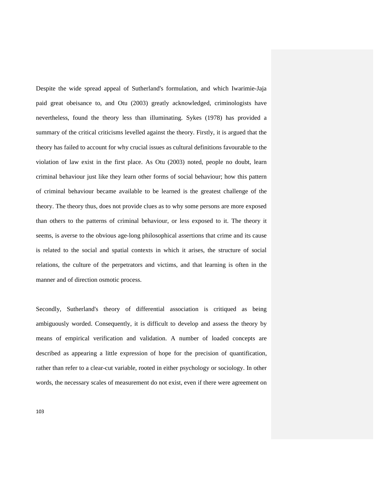Despite the wide spread appeal of Sutherland's formulation, and which Iwarimie-Jaja paid great obeisance to, and Otu (2003) greatly acknowledged, criminologists have nevertheless, found the theory less than illuminating. Sykes (1978) has provided a summary of the critical criticisms levelled against the theory. Firstly, it is argued that the theory has failed to account for why crucial issues as cultural definitions favourable to the violation of law exist in the first place. As Otu (2003) noted, people no doubt, learn criminal behaviour just like they learn other forms of social behaviour; how this pattern of criminal behaviour became available to be learned is the greatest challenge of the theory. The theory thus, does not provide clues as to why some persons are more exposed than others to the patterns of criminal behaviour, or less exposed to it. The theory it seems, is averse to the obvious age-long philosophical assertions that crime and its cause is related to the social and spatial contexts in which it arises, the structure of social relations, the culture of the perpetrators and victims, and that learning is often in the manner and of direction osmotic process.

Secondly, Sutherland's theory of differential association is critiqued as being ambiguously worded. Consequently, it is difficult to develop and assess the theory by means of empirical verification and validation. A number of loaded concepts are described as appearing a little expression of hope for the precision of quantification, rather than refer to a clear-cut variable, rooted in either psychology or sociology. In other words, the necessary scales of measurement do not exist, even if there were agreement on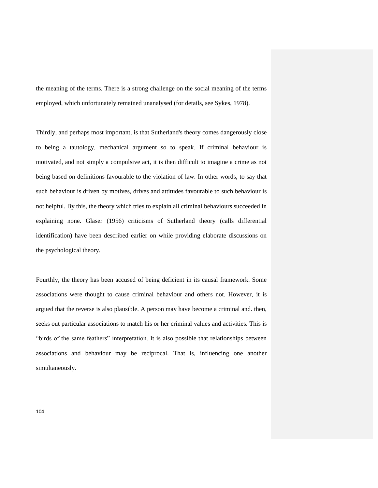the meaning of the terms. There is a strong challenge on the social meaning of the terms employed, which unfortunately remained unanalysed (for details, see Sykes, 1978).

Thirdly, and perhaps most important, is that Sutherland's theory comes dangerously close to being a tautology, mechanical argument so to speak. If criminal behaviour is motivated, and not simply a compulsive act, it is then difficult to imagine a crime as not being based on definitions favourable to the violation of law. In other words, to say that such behaviour is driven by motives, drives and attitudes favourable to such behaviour is not helpful. By this, the theory which tries to explain all criminal behaviours succeeded in explaining none. Glaser (1956) criticisms of Sutherland theory (calls differential identification) have been described earlier on while providing elaborate discussions on the psychological theory.

Fourthly, the theory has been accused of being deficient in its causal framework. Some associations were thought to cause criminal behaviour and others not. However, it is argued that the reverse is also plausible. A person may have become a criminal and. then, seeks out particular associations to match his or her criminal values and activities. This is "birds of the same feathers" interpretation. It is also possible that relationships between associations and behaviour may be reciprocal. That is, influencing one another simultaneously.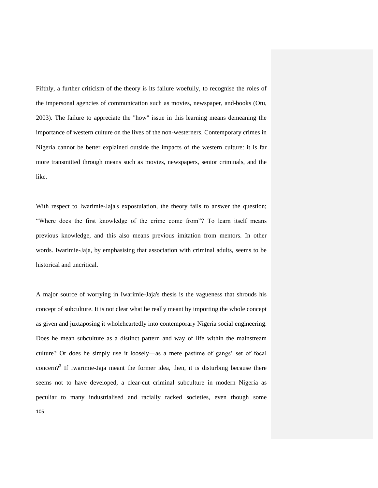Fifthly, a further criticism of the theory is its failure woefully, to recognise the roles of the impersonal agencies of communication such as movies, newspaper, and-books (Otu, 2003). The failure to appreciate the "how" issue in this learning means demeaning the importance of western culture on the lives of the non-westerners. Contemporary crimes in Nigeria cannot be better explained outside the impacts of the western culture: it is far more transmitted through means such as movies, newspapers, senior criminals, and the like.

With respect to Iwarimie-Jaja's expostulation, the theory fails to answer the question; "Where does the first knowledge of the crime come from"? To learn itself means previous knowledge, and this also means previous imitation from mentors. In other words. Iwarimie-Jaja, by emphasising that association with criminal adults, seems to be historical and uncritical.

105 A major source of worrying in Iwarimie-Jaja's thesis is the vagueness that shrouds his concept of subculture. It is not clear what he really meant by importing the whole concept as given and juxtaposing it wholeheartedly into contemporary Nigeria social engineering. Does he mean subculture as a distinct pattern and way of life within the mainstream culture? Or does he simply use it loosely—as a mere pastime of gangs" set of focal concern?<sup>3</sup> If Iwarimie-Jaja meant the former idea, then, it is disturbing because there seems not to have developed, a clear-cut criminal subculture in modern Nigeria as peculiar to many industrialised and racially racked societies, even though some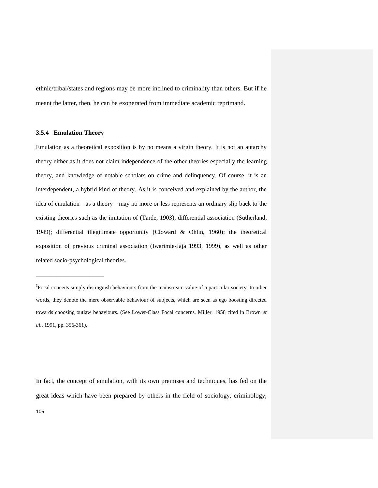ethnic/tribal/states and regions may be more inclined to criminality than others. But if he meant the latter, then, he can be exonerated from immediate academic reprimand.

#### **3.5.4 Emulation Theory**

\_\_\_\_\_\_\_\_\_\_\_\_\_\_\_\_\_\_\_\_\_\_\_

Emulation as a theoretical exposition is by no means a virgin theory. It is not an autarchy theory either as it does not claim independence of the other theories especially the learning theory, and knowledge of notable scholars on crime and delinquency. Of course, it is an interdependent, a hybrid kind of theory. As it is conceived and explained by the author, the idea of emulation—as a theory—may no more or less represents an ordinary slip back to the existing theories such as the imitation of (Tarde, 1903); differential association (Sutherland, 1949); differential illegitimate opportunity (Cloward & Ohlin, 1960); the theoretical exposition of previous criminal association (Iwarimie-Jaja 1993, 1999), as well as other related socio-psychological theories.

<sup>3</sup>Focal conceits simply distinguish behaviours from the mainstream value of a particular society. In other words, they denote the mere observable behaviour of subjects, which are seen as ego boosting directed towards choosing outlaw behaviours. (See Lower-Class Focal concerns. Miller, 1958 cited in Brown *et al*.*,* 1991, pp. 356-361).

In fact, the concept of emulation, with its own premises and techniques, has fed on the great ideas which have been prepared by others in the field of sociology, criminology,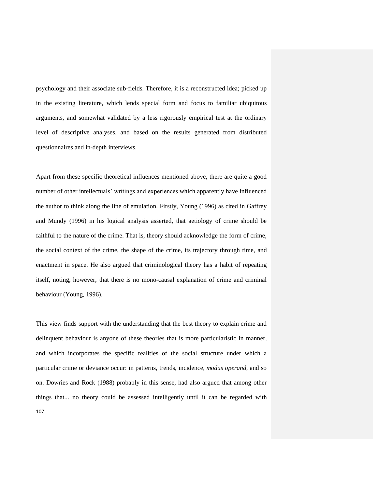psychology and their associate sub-fields. Therefore, it is a reconstructed idea; picked up in the existing literature, which lends special form and focus to familiar ubiquitous arguments, and somewhat validated by a less rigorously empirical test at the ordinary level of descriptive analyses, and based on the results generated from distributed questionnaires and in-depth interviews.

Apart from these specific theoretical influences mentioned above, there are quite a good number of other intellectuals" writings and experiences which apparently have influenced the author to think along the line of emulation. Firstly, Young (1996) as cited in Gaffrey and Mundy (1996) in his logical analysis asserted, that aetiology of crime should be faithful to the nature of the crime. That is, theory should acknowledge the form of crime, the social context of the crime, the shape of the crime, its trajectory through time, and enactment in space. He also argued that criminological theory has a habit of repeating itself, noting, however, that there is no mono-causal explanation of crime and criminal behaviour (Young, 1996).

107 This view finds support with the understanding that the best theory to explain crime and delinquent behaviour is anyone of these theories that is more particularistic in manner, and which incorporates the specific realities of the social structure under which a particular crime or deviance occur: in patterns, trends, incidence, *modus operand*, and so on. Dowries and Rock (1988) probably in this sense, had also argued that among other things that... no theory could be assessed intelligently until it can be regarded with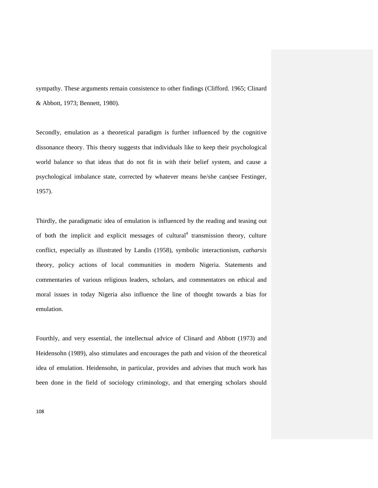sympathy. These arguments remain consistence to other findings (Clifford. 1965; Clinard & Abbott, 1973; Bennett, 1980).

Secondly, emulation as a theoretical paradigm is further influenced by the cognitive dissonance theory. This theory suggests that individuals like to keep their psychological world balance so that ideas that do not fit in with their belief system, and cause a psychological imbalance state, corrected by whatever means he/she can(see Festinger, 1957).

Thirdly, the paradigmatic idea of emulation is influenced by the reading and teasing out of both the implicit and explicit messages of cultural<sup>4</sup> transmission theory, culture conflict, especially as illustrated by Landis (1958), symbolic interactionism, *catharsis*  theory, policy actions of local communities in modern Nigeria. Statements and commentaries of various religious leaders, scholars, and commentators on ethical and moral issues in today Nigeria also influence the line of thought towards a bias for emulation.

Fourthly, and very essential, the intellectual advice of Clinard and Abbott (1973) and Heidensohn (1989), also stimulates and encourages the path and vision of the theoretical idea of emulation. Heidensohn, in particular, provides and advises that much work has been done in the field of sociology criminology, and that emerging scholars should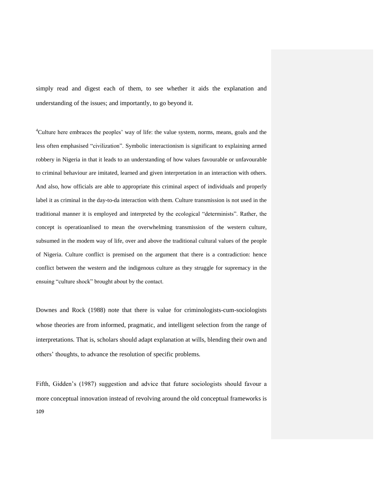simply read and digest each of them, to see whether it aids the explanation and understanding of the issues; and importantly, to go beyond it.

<sup>4</sup>Culture here embraces the peoples' way of life: the value system, norms, means, goals and the less often emphasised "civilization". Symbolic interactionism is significant to explaining armed robbery in Nigeria in that it leads to an understanding of how values favourable or unfavourable to criminal behaviour are imitated, learned and given interpretation in an interaction with others. And also, how officials are able to appropriate this criminal aspect of individuals and properly label it as criminal in the day-to-da interaction with them. Culture transmission is not used in the traditional manner it is employed and interpreted by the ecological "determinists". Rather, the concept is operatioanlised to mean the overwhelming transmission of the western culture, subsumed in the modem way of life, over and above the traditional cultural values of the people of Nigeria. Culture conflict is premised on the argument that there is a contradiction: hence conflict between the western and the indigenous culture as they struggle for supremacy in the ensuing "culture shock" brought about by the contact.

Downes and Rock (1988) note that there is value for criminologists-cum-sociologists whose theories are from informed, pragmatic, and intelligent selection from the range of interpretations. That is, scholars should adapt explanation at wills, blending their own and others" thoughts, to advance the resolution of specific problems.

109 Fifth, Gidden"s (1987) suggestion and advice that future sociologists should favour a more conceptual innovation instead of revolving around the old conceptual frameworks is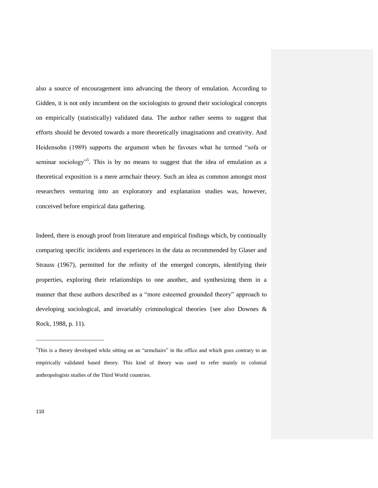also a source of encouragement into advancing the theory of emulation. According to Gidden, it is not only incumbent on the sociologists to ground their sociological concepts on empirically (statistically) validated data. The author rather seems to suggest that efforts should be devoted towards a more theoretically imaginationn and creativity. And Heidensohn (1989) supports the argument when he favours what he termed "sofa or seminar sociology<sup>35</sup>. This is by no means to suggest that the idea of emulation as a theoretical exposition is a mere armchair theory. Such an idea as common amongst most researchers venturing into an exploratory and explanation studies was, however, conceived before empirical data gathering.

Indeed, there is enough proof from literature and empirical findings which, by continually comparing specific incidents and experiences in the data as recommended by Glaser and Strauss (1967), permitted for the refinity of the emerged concepts, identifying their properties, exploring their relationships to one another, and synthesizing them in a manner that these authors described as a "more esteemed grounded theory" approach to developing sociological, and invariably criminological theories {see also Downes & Rock, 1988, p. 11).

\_\_\_\_\_\_\_\_\_\_\_\_\_\_\_\_\_\_\_\_\_\_\_\_\_

 $<sup>5</sup>$ This is a theory developed while sitting on an "armchairs" in the office and which goes contrary to an</sup> empirically validated based theory. This kind of theory was used to refer mainly to colonial anthropologists studies of the Third World countries.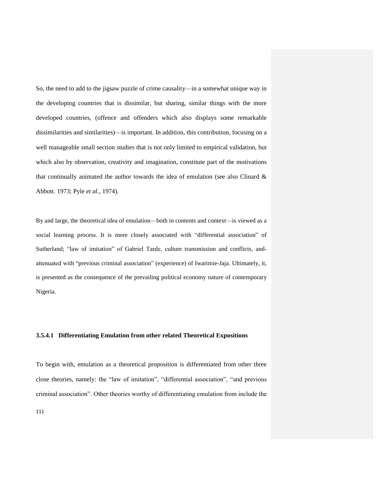So, the need to add to the jigsaw puzzle of crime causality—in a somewhat unique way in the developing countries that is dissimilar, but sharing, similar things with the more developed countries, (offence and offenders which also displays some remarkable dissimilarities and similarities)—is important. In addition, this contribution, focusing on a well manageable small section studies that is not only limited to empirical validation, but which also by observation, creativity and imagination, constitute part of the motivations that continually animated the author towards the idea of emulation (see also Clinard  $\&$ Abbott. 1973; Pyle *et al*., 1974).

By and large, the theoretical idea of emulation—both in contents and context—is viewed as a social learning process. It is more closely associated with "differential association" of Sutherland; "law of imitation" of Gabriel Tarde, culture transmission and conflicts, andattenuated with "previous criminal association" (experience) of Iwarimie-Jaja. Ultimately, it, is presented as the consequence of the prevailing political economy nature of contemporary Nigeria.

## **3.5.4.1 Differentiating Emulation from other related Theoretical Expositions**

To begin with, emulation as a theoretical proposition is differentiated from other three close theories, namely: the "law of imitation", "differential association", "and previous criminal association". Other theories worthy of differentiating emulation from include the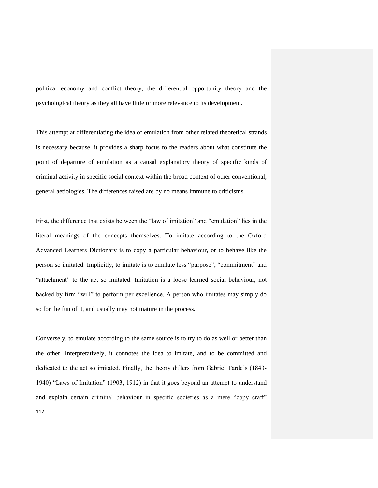political economy and conflict theory, the differential opportunity theory and the psychological theory as they all have little or more relevance to its development.

This attempt at differentiating the idea of emulation from other related theoretical strands is necessary because, it provides a sharp focus to the readers about what constitute the point of departure of emulation as a causal explanatory theory of specific kinds of criminal activity in specific social context within the broad context of other conventional, general aetiologies. The differences raised are by no means immune to criticisms.

First, the difference that exists between the "law of imitation" and "emulation" lies in the literal meanings of the concepts themselves. To imitate according to the Oxford Advanced Learners Dictionary is to copy a particular behaviour, or to behave like the person so imitated. Implicitly, to imitate is to emulate less "purpose", "commitment" and "attachment" to the act so imitated. Imitation is a loose learned social behaviour, not backed by firm "will" to perform per excellence. A person who imitates may simply do so for the fun of it, and usually may not mature in the process.

112 Conversely, to emulate according to the same source is to try to do as well or better than the other. Interpretatively, it connotes the idea to imitate, and to be committed and dedicated to the act so imitated. Finally, the theory differs from Gabriel Tarde"s (1843- 1940) "Laws of Imitation" (1903, 1912) in that it goes beyond an attempt to understand and explain certain criminal behaviour in specific societies as a mere "copy craft"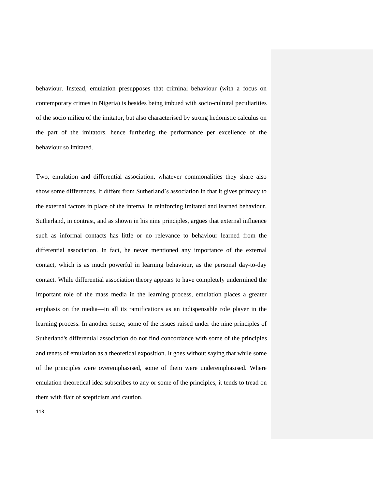behaviour. Instead, emulation presupposes that criminal behaviour (with a focus on contemporary crimes in Nigeria) is besides being imbued with socio-cultural peculiarities of the socio milieu of the imitator, but also characterised by strong hedonistic calculus on the part of the imitators, hence furthering the performance per excellence of the behaviour so imitated.

Two, emulation and differential association, whatever commonalities they share also show some differences. It differs from Sutherland"s association in that it gives primacy to the external factors in place of the internal in reinforcing imitated and learned behaviour. Sutherland, in contrast, and as shown in his nine principles, argues that external influence such as informal contacts has little or no relevance to behaviour learned from the differential association. In fact, he never mentioned any importance of the external contact, which is as much powerful in learning behaviour, as the personal day-to-day contact. While differential association theory appears to have completely undermined the important role of the mass media in the learning process, emulation places a greater emphasis on the media—in all its ramifications as an indispensable role player in the learning process. In another sense, some of the issues raised under the nine principles of Sutherland's differential association do not find concordance with some of the principles and tenets of emulation as a theoretical exposition. It goes without saying that while some of the principles were overemphasised, some of them were underemphasised. Where emulation theoretical idea subscribes to any or some of the principles, it tends to tread on them with flair of scepticism and caution.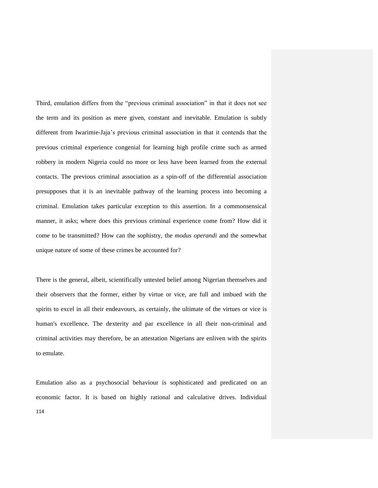Third, emulation differs from the "previous criminal association" in that it does not see the term and its position as mere given, constant and inevitable. Emulation is subtly different from Iwarimie-Jaja"s previous criminal association in that it contends that the previous criminal experience congenial for learning high profile crime such as armed robbery in modern Nigeria could no more or less have been learned from the external contacts. The previous criminal association as a spin-off of the differential association presupposes that it is an inevitable pathway of the learning process into becoming a criminal. Emulation takes particular exception to this assertion. In a commonsensical manner, it asks; where does this previous criminal experience come from? How did it come to be transmitted? How can the sophistry, the *modus operandi* and the somewhat unique nature of some of these crimes be accounted for?

There is the general, albeit, scientifically untested belief among Nigerian themselves and their observers that the former, either by virtue or vice, are full and imbued with the spirits to excel in all their endeavours, as certainly, the ultimate of the virtues or vice is human's excellence. The dexterity and par excellence in all their non-criminal and criminal activities may therefore, be an attestation Nigerians are enliven with the spirits to emulate.

114 Emulation also as a psychosocial behaviour is sophisticated and predicated on an economic factor. It is based on highly rational and calculative drives. Individual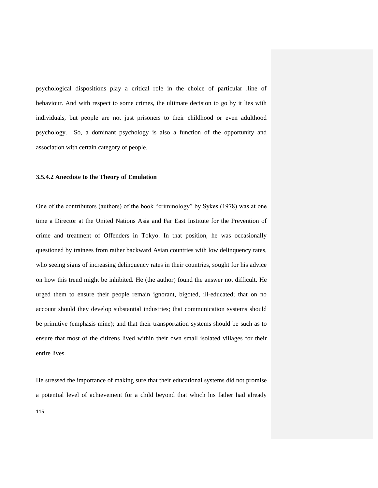psychological dispositions play a critical role in the choice of particular .line of behaviour. And with respect to some crimes, the ultimate decision to go by it lies with individuals, but people are not just prisoners to their childhood or even adulthood psychology. So, a dominant psychology is also a function of the opportunity and association with certain category of people.

## **3.5.4.2 Anecdote to the Theory of Emulation**

One of the contributors (authors) of the book "criminology" by Sykes (1978) was at one time a Director at the United Nations Asia and Far East Institute for the Prevention of crime and treatment of Offenders in Tokyo. In that position, he was occasionally questioned by trainees from rather backward Asian countries with low delinquency rates, who seeing signs of increasing delinquency rates in their countries, sought for his advice on how this trend might be inhibited. He (the author) found the answer not difficult. He urged them to ensure their people remain ignorant, bigoted, ill-educated; that on no account should they develop substantial industries; that communication systems should be primitive (emphasis mine); and that their transportation systems should be such as to ensure that most of the citizens lived within their own small isolated villages for their entire lives.

He stressed the importance of making sure that their educational systems did not promise a potential level of achievement for a child beyond that which his father had already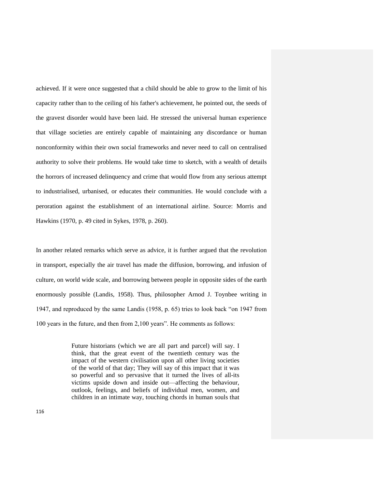achieved. If it were once suggested that a child should be able to grow to the limit of his capacity rather than to the ceiling of his father's achievement, he pointed out, the seeds of the gravest disorder would have been laid. He stressed the universal human experience that village societies are entirely capable of maintaining any discordance or human nonconformity within their own social frameworks and never need to call on centralised authority to solve their problems. He would take time to sketch, with a wealth of details the horrors of increased delinquency and crime that would flow from any serious attempt to industrialised, urbanised, or educates their communities. He would conclude with a peroration against the establishment of an international airline. Source: Morris and Hawkins (1970, p. 49 cited in Sykes, 1978, p. 260).

In another related remarks which serve as advice, it is further argued that the revolution in transport, especially the air travel has made the diffusion, borrowing, and infusion of culture, on world wide scale, and borrowing between people in opposite sides of the earth enormously possible (Landis, 1958). Thus, philosopher Arnod J. Toynbee writing in 1947, and reproduced by the same Landis (1958, p. 65) tries to look back "on 1947 from 100 years in the future, and then from 2,100 years". He comments as follows:

> Future historians (which we are all part and parcel) will say. I think, that the great event of the twentieth century was the impact of the western civilisation upon all other living societies of the world of that day; They will say of this impact that it was so powerful and so pervasive that it turned the lives of all-its victims upside down and inside out—affecting the behaviour, outlook, feelings, and beliefs of individual men, women, and children in an intimate way, touching chords in human souls that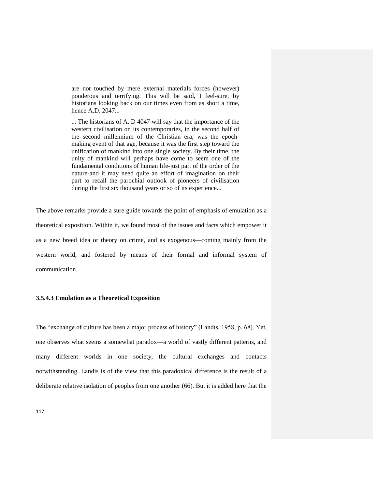are not touched by mere external materials forces (however) ponderous and terrifying. This will be said, I feel-sure, by historians looking back on our times even from as short a time, hence A.D. 2047...

... The historians of A. D 4047 will say that the importance of the western civilisation on its contemporaries, in the second half of the second millennium of the Christian era, was the epochmaking event of that age, because it was the first step toward the unification of mankind into one single society. By their time, the unity of mankind will perhaps have come to seem one of the fundamental conditions of human life-just part of the order of the nature-and it may need quite an effort of imagination on their part to recall the parochial outlook of pioneers of civilisation during the first six thousand years or so of its experience...

The above remarks provide a sure guide towards the point of emphasis of emulation as a theoretical exposition. Within it, we found most of the issues and facts which empower it as a new breed idea or theory on crime, and as exogenous—coming mainly from the western world, and fostered by means of their formal and informal system of communication.

## **3.5.4.3 Emulation as a Theoretical Exposition**

The "exchange of culture has been a major process of history" (Landis, 1958, p. 68). Yet, one observes what seems a somewhat paradox—a world of vastly different patterns, and many different worlds in one society, the cultural exchanges and contacts notwithstanding. Landis is of the view that this paradoxical difference is the result of a deliberate relative isolation of peoples from one another (66). But it is added here that the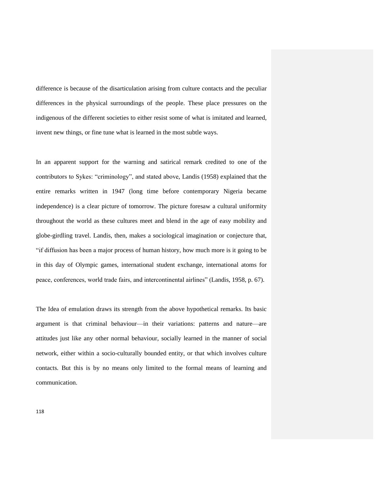difference is because of the disarticulation arising from culture contacts and the peculiar differences in the physical surroundings of the people. These place pressures on the indigenous of the different societies to either resist some of what is imitated and learned, invent new things, or fine tune what is learned in the most subtle ways.

In an apparent support for the warning and satirical remark credited to one of the contributors to Sykes: "criminology", and stated above, Landis (1958) explained that the entire remarks written in 1947 (long time before contemporary Nigeria became independence) is a clear picture of tomorrow. The picture foresaw a cultural uniformity throughout the world as these cultures meet and blend in the age of easy mobility and globe-girdling travel. Landis, then, makes a sociological imagination or conjecture that, "if diffusion has been a major process of human history, how much more is it going to be in this day of Olympic games, international student exchange, international atoms for peace, conferences, world trade fairs, and intercontinental airlines" (Landis, 1958, p. 67).

The Idea of emulation draws its strength from the above hypothetical remarks. Its basic argument is that criminal behaviour—in their variations: patterns and nature—are attitudes just like any other normal behaviour, socially learned in the manner of social network, either within a socio-culturally bounded entity, or that which involves culture contacts. But this is by no means only limited to the formal means of learning and communication.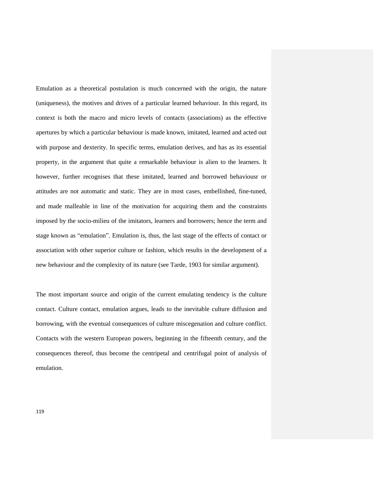Emulation as a theoretical postulation is much concerned with the origin, the nature (uniqueness), the motives and drives of a particular learned behaviour. In this regard, its context is both the macro and micro levels of contacts (associations) as the effective apertures by which a particular behaviour is made known, imitated, learned and acted out with purpose and dexterity. In specific terms, emulation derives, and has as its essential property, in the argument that quite a remarkable behaviour is alien to the learners. It however, further recognises that these imitated, learned and borrowed behaviousr or attitudes are not automatic and static. They are in most cases, embellished, fine-tuned, and made malleable in line of the motivation for acquiring them and the constraints imposed by the socio-milieu of the imitators, learners and borrowers; hence the term and stage known as "emulation". Emulation is, thus, the last stage of the effects of contact or association with other superior culture or fashion, which results in the development of a new behaviour and the complexity of its nature (see Tarde, 1903 for similar argument).

The most important source and origin of the current emulating tendency is the culture contact. Culture contact, emulation argues, leads to the inevitable culture diffusion and borrowing, with the eventual consequences of culture miscegenation and culture conflict. Contacts with the western European powers, beginning in the fifteenth century, and the consequences thereof, thus become the centripetal and centrifugal point of analysis of emulation.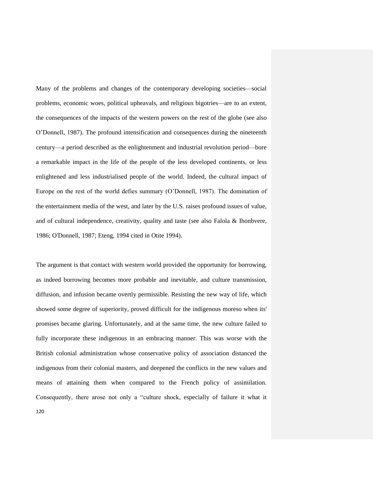Many of the problems and changes of the contemporary developing societies—social problems, economic woes, political upheavals, and religious bigotries—are to an extent, the consequences of the impacts of the western powers on the rest of the globe (see also O"Donnell, 1987). The profound intensification and consequences during the nineteenth century—a period described as the enlightenment and industrial revolution period—bore a remarkable impact in the life of the people of the less developed continents, or less enlightened and less industrialised people of the world. Indeed, the cultural impact of Europe on the rest of the world defies summary (O"Donnell, 1987). The domination of the entertainment media of the west, and later by the U.S. raises profound issues of value, and of cultural independence, creativity, quality and taste (see also Falola & Ihonbvere, 1986; O'Donnell, 1987; Eteng, 1994 cited in Otite 1994).

120 The argument is that contact with western world provided the opportunity for borrowing, as indeed borrowing becomes more probable and inevitable, and culture transmission, diffusion, and infusion became overtly permissible. Resisting the new way of life, which showed some degree of superiority, proved difficult for the indigenous moreso when its' promises became glaring. Unfortunately, and at the same time, the new culture failed to fully incorporate these indigenous in an embracing manner. This was worse with the British colonial administration whose conservative policy of association distanced the indigenous from their colonial masters, and deepened the conflicts in the new values and means of attaining them when compared to the French policy of assimilation. Consequently, there arose not only a "culture shock, especially of failure it what it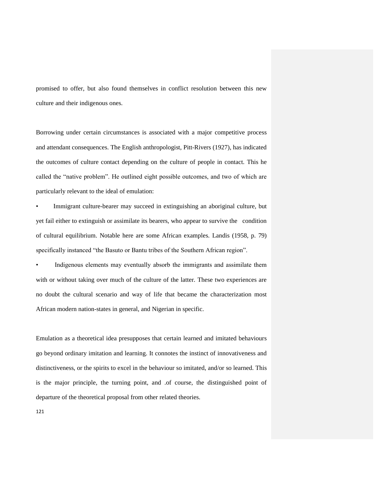promised to offer, but also found themselves in conflict resolution between this new culture and their indigenous ones.

Borrowing under certain circumstances is associated with a major competitive process and attendant consequences. The English anthropologist, Pitt-Rivers (1927), has indicated the outcomes of culture contact depending on the culture of people in contact. This he called the "native problem". He outlined eight possible outcomes, and two of which are particularly relevant to the ideal of emulation:

Immigrant culture-bearer may succeed in extinguishing an aboriginal culture, but yet fail either to extinguish or assimilate its bearers, who appear to survive the condition of cultural equilibrium. Notable here are some African examples. Landis (1958, p. 79) specifically instanced "the Basuto or Bantu tribes of the Southern African region".

Indigenous elements may eventually absorb the immigrants and assimilate them with or without taking over much of the culture of the latter. These two experiences are no doubt the cultural scenario and way of life that became the characterization most African modern nation-states in general, and Nigerian in specific.

Emulation as a theoretical idea presupposes that certain learned and imitated behaviours go beyond ordinary imitation and learning. It connotes the instinct of innovativeness and distinctiveness, or the spirits to excel in the behaviour so imitated, and/or so learned. This is the major principle, the turning point, and .of course, the distinguished point of departure of the theoretical proposal from other related theories.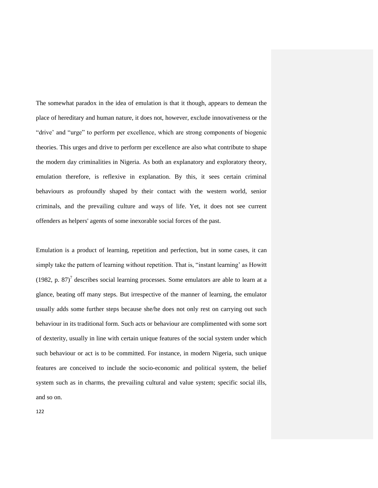The somewhat paradox in the idea of emulation is that it though, appears to demean the place of hereditary and human nature, it does not, however, exclude innovativeness or the "drive" and "urge" to perform per excellence, which are strong components of biogenic theories. This urges and drive to perform per excellence are also what contribute to shape the modern day criminalities in Nigeria. As both an explanatory and exploratory theory, emulation therefore, is reflexive in explanation. By this, it sees certain criminal behaviours as profoundly shaped by their contact with the western world, senior criminals, and the prevailing culture and ways of life. Yet, it does not see current offenders as helpers' agents of some inexorable social forces of the past.

Emulation is a product of learning, repetition and perfection, but in some cases, it can simply take the pattern of learning without repetition. That is, "instant learning" as Howitt (1982, p. 87)<sup>7</sup> describes social learning processes. Some emulators are able to learn at a glance, beating off many steps. But irrespective of the manner of learning, the emulator usually adds some further steps because she/he does not only rest on carrying out such behaviour in its traditional form. Such acts or behaviour are complimented with some sort of dexterity, usually in line with certain unique features of the social system under which such behaviour or act is to be committed. For instance, in modern Nigeria, such unique features are conceived to include the socio-economic and political system, the belief system such as in charms, the prevailing cultural and value system; specific social ills, and so on.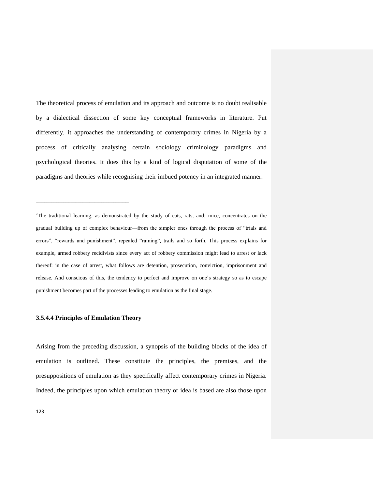The theoretical process of emulation and its approach and outcome is no doubt realisable by a dialectical dissection of some key conceptual frameworks in literature. Put differently, it approaches the understanding of contemporary crimes in Nigeria by a process of critically analysing certain sociology criminology paradigms and psychological theories. It does this by a kind of logical disputation of some of the paradigms and theories while recognising their imbued potency in an integrated manner.

<sup>7</sup>The traditional learning, as demonstrated by the study of cats, rats, and; mice, concentrates on the gradual building up of complex behaviour—from the simpler ones through the process of "trials and errors", "rewards and punishment", repealed "raining", trails and so forth. This process explains for example, armed robbery recidivists since every act of robbery commission might lead to arrest or lack thereof: in the case of arrest, what follows are detention, prosecution, conviction, imprisonment and release. And conscious of this, the tendency to perfect and improve on one"s strategy so as to escape punishment becomes part of the processes leading to emulation as the final stage.

#### **3.5.4.4 Principles of Emulation Theory**

 $\mathcal{L}_\text{max}$  and  $\mathcal{L}_\text{max}$  and  $\mathcal{L}_\text{max}$  and  $\mathcal{L}_\text{max}$  and  $\mathcal{L}_\text{max}$ 

Arising from the preceding discussion, a synopsis of the building blocks of the idea of emulation is outlined. These constitute the principles, the premises, and the presuppositions of emulation as they specifically affect contemporary crimes in Nigeria. Indeed, the principles upon which emulation theory or idea is based are also those upon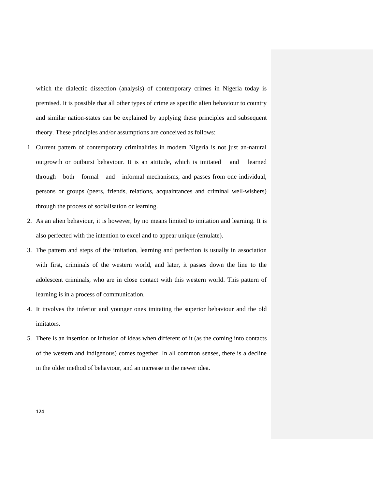which the dialectic dissection (analysis) of contemporary crimes in Nigeria today is premised. It is possible that all other types of crime as specific alien behaviour to country and similar nation-states can be explained by applying these principles and subsequent theory. These principles and/or assumptions are conceived as follows:

- 1. Current pattern of contemporary criminalities in modem Nigeria is not just an-natural outgrowth or outburst behaviour. It is an attitude, which is imitated and learned through both formal and informal mechanisms, and passes from one individual, persons or groups (peers, friends, relations, acquaintances and criminal well-wishers) through the process of socialisation or learning.
- 2. As an alien behaviour, it is however, by no means limited to imitation and learning. It is also perfected with the intention to excel and to appear unique (emulate).
- 3. The pattern and steps of the imitation, learning and perfection is usually in association with first, criminals of the western world, and later, it passes down the line to the adolescent criminals, who are in close contact with this western world. This pattern of learning is in a process of communication.
- 4. It involves the inferior and younger ones imitating the superior behaviour and the old imitators.
- 5. There is an insertion or infusion of ideas when different of it (as the coming into contacts of the western and indigenous) comes together. In all common senses, there is a decline in the older method of behaviour, and an increase in the newer idea.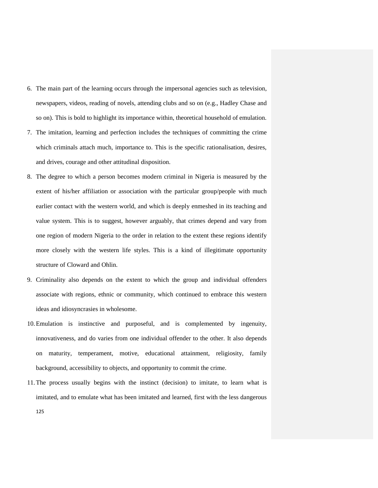- 6. The main part of the learning occurs through the impersonal agencies such as television, newspapers, videos, reading of novels, attending clubs and so on (e.g., Hadley Chase and so on). This is bold to highlight its importance within, theoretical household of emulation.
- 7. The imitation, learning and perfection includes the techniques of committing the crime which criminals attach much, importance to. This is the specific rationalisation, desires, and drives, courage and other attitudinal disposition.
- 8. The degree to which a person becomes modern criminal in Nigeria is measured by the extent of his/her affiliation or association with the particular group/people with much earlier contact with the western world, and which is deeply enmeshed in its teaching and value system. This is to suggest, however arguably, that crimes depend and vary from one region of modern Nigeria to the order in relation to the extent these regions identify more closely with the western life styles. This is a kind of illegitimate opportunity structure of Cloward and Ohlin.
- 9. Criminality also depends on the extent to which the group and individual offenders associate with regions, ethnic or community, which continued to embrace this western ideas and idiosyncrasies in wholesome.
- 10.Emulation is instinctive and purposeful, and is complemented by ingenuity, innovativeness, and do varies from one individual offender to the other. It also depends on maturity, temperament, motive, educational attainment, religiosity, family background, accessibility to objects, and opportunity to commit the crime.
- 125 11.The process usually begins with the instinct (decision) to imitate, to learn what is imitated, and to emulate what has been imitated and learned, first with the less dangerous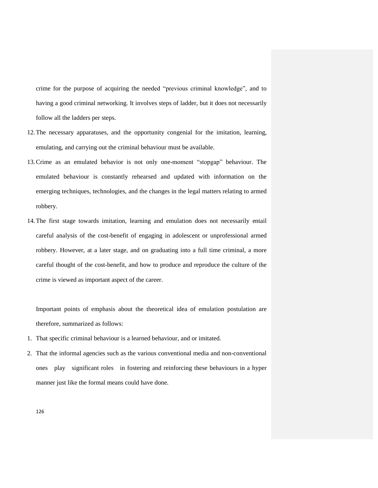crime for the purpose of acquiring the needed "previous criminal knowledge", and to having a good criminal networking. It involves steps of ladder, but it does not necessarily follow all the ladders per steps.

- 12.The necessary apparatuses, and the opportunity congenial for the imitation, learning, emulating, and carrying out the criminal behaviour must be available.
- 13.Crime as an emulated behavior is not only one-moment "stopgap" behaviour. The emulated behaviour is constantly rehearsed and updated with information on the emerging techniques, technologies, and the changes in the legal matters relating to armed robbery.
- 14.The first stage towards imitation, learning and emulation does not necessarily entail careful analysis of the cost-benefit of engaging in adolescent or unprofessional armed robbery. However, at a later stage, and on graduating into a full time criminal, a more careful thought of the cost-benefit, and how to produce and reproduce the culture of the crime is viewed as important aspect of the career.

Important points of emphasis about the theoretical idea of emulation postulation are therefore, summarized as follows:

- 1. That specific criminal behaviour is a learned behaviour, and or imitated.
- 2. That the informal agencies such as the various conventional media and non-conventional ones play significant roles in fostering and reinforcing these behaviours in a hyper manner just like the formal means could have done.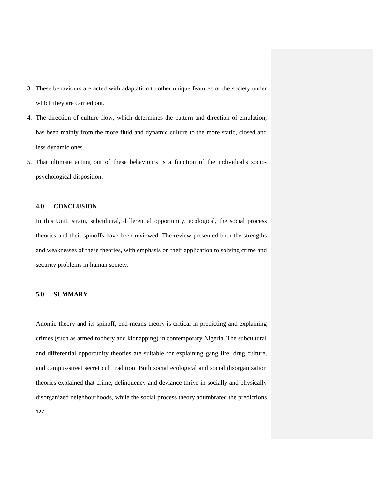- 3. These behaviours are acted with adaptation to other unique features of the society under which they are carried out.
- 4. The direction of culture flow, which determines the pattern and direction of emulation, has been mainly from the more fluid and dynamic culture to the more static, closed and less dynamic ones.
- 5. That ultimate acting out of these behaviours is a function of the individual's sociopsychological disposition.

## **4.0 CONCLUSION**

In this Unit, strain, subcultural, differential opportunity, ecological, the social process theories and their spinoffs have been reviewed. The review presented both the strengths and weaknesses of these theories, with emphasis on their application to solving crime and security problems in human society.

### **5.0 SUMMARY**

Anomie theory and its spinoff, end-means theory is critical in predicting and explaining crimes (such as armed robbery and kidnapping) in contemporary Nigeria. The subcultural and differential opportunity theories are suitable for explaining gang life, drug culture, and campus/street secret cult tradition. Both social ecological and social disorganization theories explained that crime, delinquency and deviance thrive in socially and physically disorganized neighbourhoods, while the social process theory adumbrated the predictions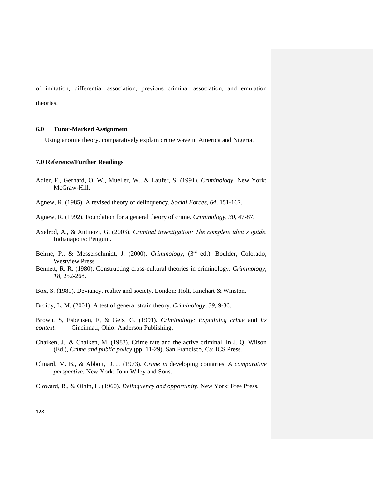of imitation, differential association, previous criminal association, and emulation theories.

# **6.0 Tutor-Marked Assignment**

Using anomie theory, comparatively explain crime wave in America and Nigeria.

# **7.0 Reference/Further Readings**

Adler, F., Gerhard, O. W., Mueller, W., & Laufer, S. (1991). *Criminology*. New York: McGraw-Hill.

Agnew, R. (1985). A revised theory of delinquency. *Social Forces, 64*, 151-167.

- Agnew, R. (1992). Foundation for a general theory of crime. *Criminology, 30*, 47-87.
- Axelrod, A., & Antinozi, G. (2003). *Criminal investigation: The complete idiot's guide*. Indianapolis: Penguin.
- Beirne, P., & Messerschmidt, J. (2000). *Criminology*, (3<sup>rd</sup> ed.). Boulder, Colorado; Westview Press.
- Bennett, R. R. (1980). Constructing cross-cultural theories in criminology. *Criminology, 18*, 252-268.
- Box, S. (1981). Deviancy, reality and society. London: Holt, Rinehart & Winston.

Broidy, L. M. (2001). A test of general strain theory. *Criminology, 39*, 9-36.

Brown, S, Esbensen, F, & Geis, G. (1991). *Criminology: Explaining crime* and *its context.* Cincinnati, Ohio: Anderson Publishing.

- Chaiken, J., & Chaiken, M. (1983). Crime rate and the active criminal. In J. Q. Wilson (Ed.), *Crime and public policy* (pp. 11-29). San Francisco, Ca: ICS Press.
- Clinard, M. B., & Abbott, D. J. (1973). *Crime in* developing countries: *A comparative perspective.* New York: John Wiley and Sons.

Cloward, R., & Olhin, L. (1960). *Delinquency and opportunity*. New York: Free Press.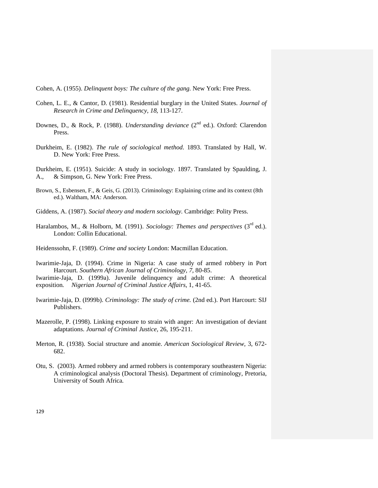Cohen, A. (1955). *Delinquent boys: The culture of the gang*. New York: Free Press.

- Cohen, L. E., & Cantor, D. (1981). Residential burglary in the United States. *Journal of Research in Crime and Delinquency, 18*, 113-127.
- Downes, D., & Rock, P. (1988). *Understanding deviance* (2<sup>nd</sup> ed.). Oxford: Clarendon Press.
- Durkheim, E. (1982). *The rule of sociological method*. 1893. Translated by Hall, W. D. New York: Free Press.
- Durkheim, E. (1951). Suicide: A study in sociology. 1897. Translated by Spaulding, J. A., & Simpson, G. New York: Free Press.
- Brown, S., Esbensen, F., & Geis, G. (2013). Criminology: Explaining crime and its context (8th ed.). Waltham, MA: Anderson.
- Giddens, A. (1987). *Social theory and modern sociology.* Cambridge: Polity Press.
- Haralambos, M., & Holborn, M. (1991). *Sociology: Themes and perspectives* (3<sup>rd</sup> ed.). London: Collin Educational.
- Heidenssohn, F. (1989). *Crime and society* London: Macmillan Education.
- Iwarimie-Jaja, D. (1994). Crime in Nigeria: A case study of armed robbery in Port Harcourt*. Southern African Journal of Criminology, 7,* 80-85.
- Iwarimie-Jaja, D. (1999a). Juvenile delinquency and adult crime: A theoretical exposition*. Nigerian Journal of Criminal Justice Affairs,* 1, 41-65.
- Iwarimie-Jaja, D. (I999b). *Criminology: The study of crime.* (2nd ed.). Port Harcourt: SIJ Publishers.
- Mazerolle, P. (1998). Linking exposure to strain with anger: An investigation of deviant adaptations. *Journal of Criminal Justice,* 26, 195-211.
- Merton, R. (1938). Social structure and anomie. *American Sociological Review,* 3, 672- 682.
- Otu, S. (2003). Armed robbery and armed robbers is contemporary southeastern Nigeria: A criminological analysis (Doctoral Thesis). Department of criminology, Pretoria, University of South Africa*.*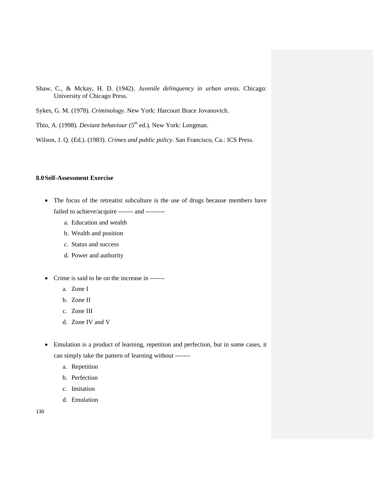- Shaw, C., & Mckay, H. D. (1942). *Juvenile delinquency in urban areas.* Chicago: University of Chicago Press.
- Sykes, G. M. (1978). *Criminology.* New York: Harcourt Brace Jovanovich.
- Thio, A. (1998). *Deviant behaviour* (5<sup>th</sup> ed.). New York: Longman.

Wilson, J. Q. (Ed.). (1983). *Crimes and public policy.* San Francisco, Ca.: ICS Press.

# **8.0Self-Assessment Exercise**

- The focus of the retreatist subculture is the use of drugs because members have failed to achieve/acquire ------- and --------
	- a. Education and wealth
	- b. Wealth and position
	- c. Status and success
	- d. Power and authority
- Crime is said to be on the increase in ------
	- a. Zone I
	- b. Zone II
	- c. Zone III
	- d. Zone IV and V
- Emulation is a product of learning, repetition and perfection, but in some cases, it can simply take the pattern of learning without ------
	- a. Repetition
	- b. Perfection
	- c. Imitation
	- d. Emulation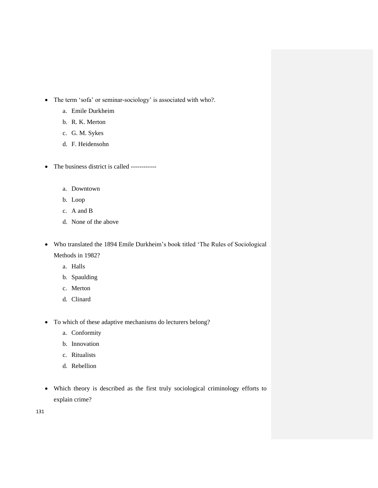- The term 'sofa' or seminar-sociology' is associated with who?.
	- a. Emile Durkheim
	- b. R. K. Merton
	- c. G. M. Sykes
	- d. F. Heidensohn
- The business district is called -----------
	- a. Downtown
	- b. Loop
	- c. A and B
	- d. None of the above
- Who translated the 1894 Emile Durkheim"s book titled "The Rules of Sociological Methods in 1982?
	- a. Halls
	- b. Spaulding
	- c. Merton
	- d. Clinard
- To which of these adaptive mechanisms do lecturers belong?
	- a. Conformity
	- b. Innovation
	- c. Ritualists
	- d. Rebellion
- Which theory is described as the first truly sociological criminology efforts to explain crime?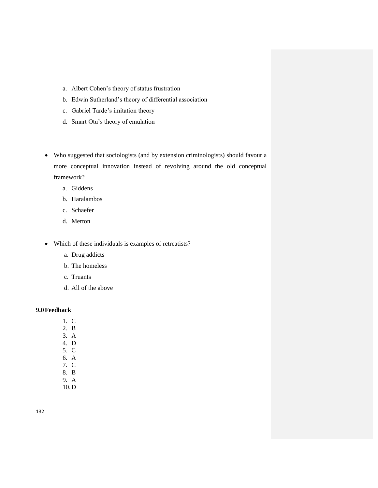- a. Albert Cohen"s theory of status frustration
- b. Edwin Sutherland"s theory of differential association
- c. Gabriel Tarde"s imitation theory
- d. Smart Otu"s theory of emulation
- Who suggested that sociologists (and by extension criminologists) should favour a more conceptual innovation instead of revolving around the old conceptual framework?
	- a. Giddens
	- b. Haralambos
	- c. Schaefer
	- d. Merton
- Which of these individuals is examples of retreatists?
	- a. Drug addicts
	- b. The homeless
	- c. Truants
	- d. All of the above

# **9.0Feedback**

- 1. C
- 2. B
- 3. A
- 4. D 5. C
- 6. A
- 7. C
- 8. B
- 9. A
- 10.D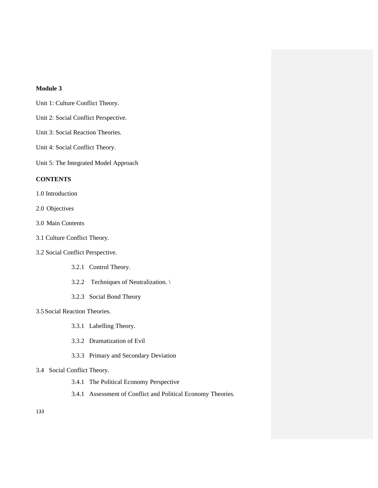# **Module 3**

- Unit 1: Culture Conflict Theory.
- Unit 2: Social Conflict Perspective.
- Unit 3: Social Reaction Theories.
- Unit 4: Social Conflict Theory.

Unit 5: The Integrated Model Approach

# **CONTENTS**

- 1.0 Introduction
- 2.0 Objectives
- 3.0 Main Contents
- 3.1 Culture Conflict Theory.
- 3.2 Social Conflict Perspective.
	- 3.2.1 Control Theory.
	- 3.2.2 Techniques of Neutralization. \
	- 3.2.3 Social Bond Theory

## 3.5Social Reaction Theories.

- 3.3.1 Labelling Theory.
- 3.3.2 Dramatization of Evil
- 3.3.3 Primary and Secondary Deviation

# 3.4 Social Conflict Theory.

- 3.4.1 The Political Economy Perspective
- 3.4.1 Assessment of Conflict and Political Economy Theories.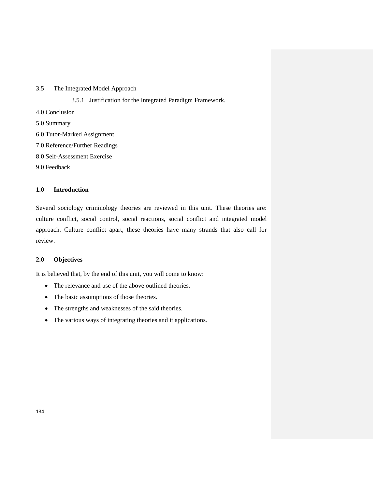# 3.5 The Integrated Model Approach

- 3.5.1 Justification for the Integrated Paradigm Framework.
- 4.0 Conclusion
- 5.0 Summary
- 6.0 Tutor-Marked Assignment
- 7.0 Reference/Further Readings
- 8.0 Self-Assessment Exercise

9.0 Feedback

# **1.0 Introduction**

Several sociology criminology theories are reviewed in this unit. These theories are: culture conflict, social control, social reactions, social conflict and integrated model approach. Culture conflict apart, these theories have many strands that also call for review.

# **2.0 Objectives**

It is believed that, by the end of this unit, you will come to know:

- The relevance and use of the above outlined theories.
- The basic assumptions of those theories.
- The strengths and weaknesses of the said theories.
- The various ways of integrating theories and it applications.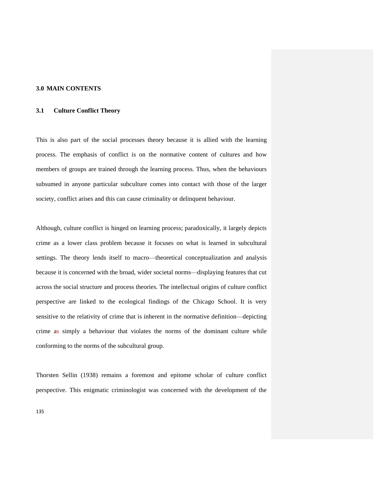# **3.0 MAIN CONTENTS**

# **3.1 Culture Conflict Theory**

This is also part of the social processes theory because it is allied with the learning process. The emphasis of conflict is on the normative content of cultures and how members of groups are trained through the learning process. Thus, when the behaviours subsumed in anyone particular subculture comes into contact with those of the larger society, conflict arises and this can cause criminality or delinquent behaviour.

Although, culture conflict is hinged on learning process; paradoxically, it largely depicts crime as a lower class problem because it focuses on what is learned in subcultural settings. The theory lends itself to macro—theoretical conceptualization and analysis because it is concerned with the broad, wider societal norms—displaying features that cut across the social structure and process theories. The intellectual origins of culture conflict perspective are linked to the ecological findings of the Chicago School. It is very sensitive to the relativity of crime that is inherent in the normative definition—depicting crime as simply a behaviour that violates the norms of the dominant culture while conforming to the norms of the subcultural group.

Thorsten Sellin (1938) remains a foremost and epitome scholar of culture conflict perspective. This enigmatic criminologist was concerned with the development of the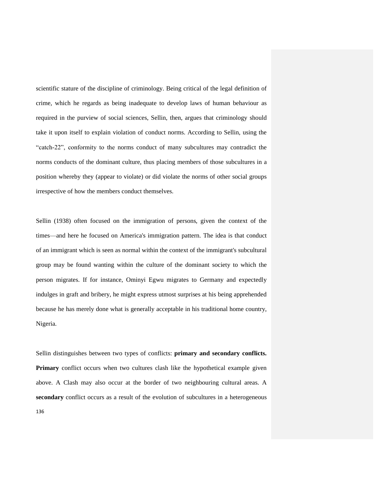scientific stature of the discipline of criminology. Being critical of the legal definition of crime, which he regards as being inadequate to develop laws of human behaviour as required in the purview of social sciences, Sellin, then, argues that criminology should take it upon itself to explain violation of conduct norms. According to Sellin, using the "catch-22", conformity to the norms conduct of many subcultures may contradict the norms conducts of the dominant culture, thus placing members of those subcultures in a position whereby they (appear to violate) or did violate the norms of other social groups irrespective of how the members conduct themselves.

Sellin (1938) often focused on the immigration of persons, given the context of the times—and here he focused on America's immigration pattern. The idea is that conduct of an immigrant which is seen as normal within the context of the immigrant's subcultural group may be found wanting within the culture of the dominant society to which the person migrates. If for instance, Ominyi Egwu migrates to Germany and expectedly indulges in graft and bribery, he might express utmost surprises at his being apprehended because he has merely done what is generally acceptable in his traditional home country, Nigeria.

136 Sellin distinguishes between two types of conflicts: **primary and secondary conflicts. Primary** conflict occurs when two cultures clash like the hypothetical example given above. A Clash may also occur at the border of two neighbouring cultural areas. A **secondary** conflict occurs as a result of the evolution of subcultures in a heterogeneous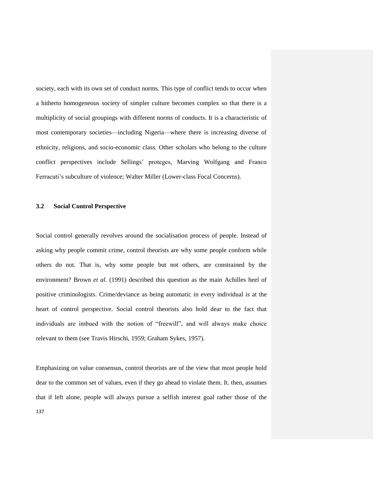society, each with its own set of conduct norms. This type of conflict tends to occur when a hitherto homogeneous society of simpler culture becomes complex so that there is a multiplicity of social groupings with different norms of conducts. It is a characteristic of most contemporary societies—including Nigeria—where there is increasing diverse of ethnicity, religions, and socio-economic class. Other scholars who belong to the culture conflict perspectives include Sellings" proteges, Marving Wolfgang and Franco Ferracuti's subculture of violence; Walter Miller (Lower-class Focal Concerns).

# **3.2 Social Control Perspective**

Social control generally revolves around the socialisation process of people. Instead of asking why people commit crime, control theorists are why some people conform while others do not. That is, why some people but not others, are constrained by the environment? Brown *et al*. (1991) described this question as the main Achilles heel of positive criminologists. Crime/deviance as being automatic in every individual is at the heart of control perspective. Social control theorists also hold dear to the fact that individuals are imbued with the notion of "freewill", and will always make choice relevant to them (see Travis Hirschi, 1959; Graham Sykes, 1957).

137 Emphasizing on value consensus, control theorists are of the view that most people hold dear to the common set of values, even if they go ahead to violate them. It. then, assumes that if left alone, people will always pursue a selfish interest goal rather those of the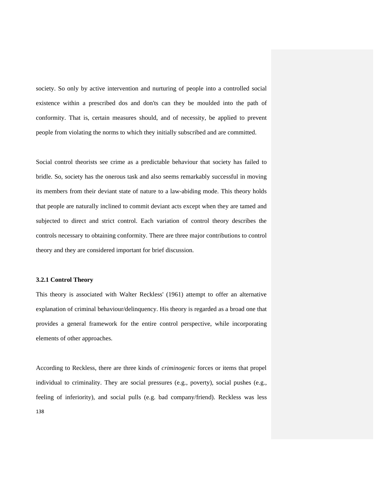society. So only by active intervention and nurturing of people into a controlled social existence within a prescribed dos and don'ts can they be moulded into the path of conformity. That is, certain measures should, and of necessity, be applied to prevent people from violating the norms to which they initially subscribed and are committed.

Social control theorists see crime as a predictable behaviour that society has failed to bridle. So, society has the onerous task and also seems remarkably successful in moving its members from their deviant state of nature to a law-abiding mode. This theory holds that people are naturally inclined to commit deviant acts except when they are tamed and subjected to direct and strict control. Each variation of control theory describes the controls necessary to obtaining conformity. There are three major contributions to control theory and they are considered important for brief discussion.

#### **3.2.1 Control Theory**

This theory is associated with Walter Reckless' (1961) attempt to offer an alternative explanation of criminal behaviour/delinquency. His theory is regarded as a broad one that provides a general framework for the entire control perspective, while incorporating elements of other approaches.

138 According to Reckless, there are three kinds of *criminogenic* forces or items that propel individual to criminality. They are social pressures (e.g., poverty), social pushes (e.g., feeling of inferiority), and social pulls (e.g. bad company/friend). Reckless was less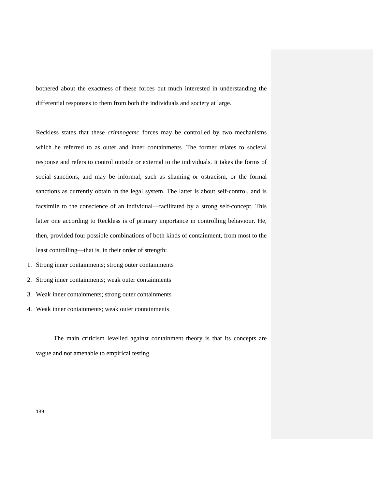bothered about the exactness of these forces but much interested in understanding the differential responses to them from both the individuals and society at large.

Reckless states that these *crimnogemc* forces may be controlled by two mechanisms which he referred to as outer and inner containments. The former relates to societal response and refers to control outside or external to the individuals. It takes the forms of social sanctions, and may be informal, such as shaming or ostracism, or the formal sanctions as currently obtain in the legal system. The latter is about self-control, and is facsimile to the conscience of an individual—facilitated by a strong self-concept. This latter one according to Reckless is of primary importance in controlling behaviour. He, then, provided four possible combinations of both kinds of containment, from most to the least controlling—that is, in their order of strength:

- 1. Strong inner containments; strong outer containments
- 2. Strong inner containments; weak outer containments
- 3. Weak inner containments; strong outer containments
- 4. Weak inner containments; weak outer containments

The main criticism levelled against containment theory is that its concepts are vague and not amenable to empirical testing.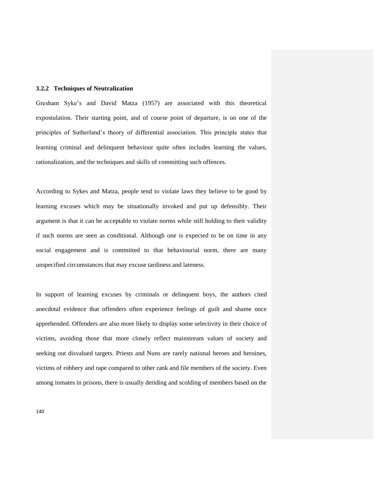### **3.2.2 Techniques of Neutralization**

Gresham Syke"s and David Matza (1957) are associated with this theoretical expostulation. Their starting point, and of course point of departure, is on one of the principles of Sutherland"s theory of differential association. This principle states that learning criminal and delinquent behaviour quite often includes learning the values, rationalization, and the techniques and skills of committing such offences.

According to Sykes and Matza, people tend to violate laws they believe to be good by learning excuses which may be situationally invoked and put up defensibly. Their argument is that it can be acceptable to violate norms while still holding to their validity if such norms are seen as conditional. Although one is expected to be on time in any social engagement and is committed to that behaviourial norm, there are many unspecified circumstances that may excuse tardiness and lateness.

In support of learning excuses by criminals or delinquent boys, the authors cited anecdotal evidence that offenders often experience feelings of guilt and shame once apprehended. Offenders are also more likely to display some selectivity in their choice of victims, avoiding those that more closely reflect mainstream values of society and seeking out disvalued targets. Priests and Nuns are rarely national heroes and heroines, victims of robbery and rape compared to other rank and file members of the society. Even among inmates in prisons, there is usually deriding and scolding of members based on the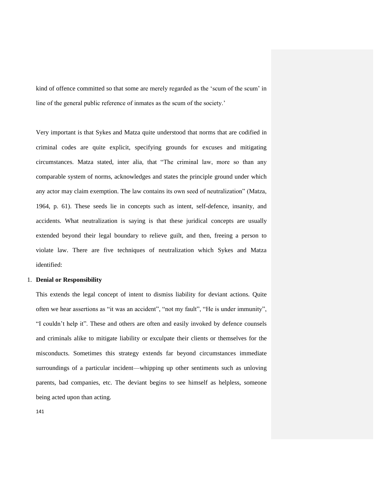kind of offence committed so that some are merely regarded as the 'scum of the scum' in line of the general public reference of inmates as the scum of the society.'

Very important is that Sykes and Matza quite understood that norms that are codified in criminal codes are quite explicit, specifying grounds for excuses and mitigating circumstances. Matza stated, inter alia*,* that "The criminal law, more so than any comparable system of norms, acknowledges and states the principle ground under which any actor may claim exemption. The law contains its own seed of neutralization" (Matza, 1964, p. 61). These seeds lie in concepts such as intent, self-defence, insanity, and accidents. What neutralization is saying is that these juridical concepts are usually extended beyond their legal boundary to relieve guilt, and then, freeing a person to violate law. There are five techniques of neutralization which Sykes and Matza identified:

#### 1. **Denial or Responsibility**

This extends the legal concept of intent to dismiss liability for deviant actions. Quite often we hear assertions as "it was an accident", "not my fault", "He is under immunity", "I couldn"t help it". These and others are often and easily invoked by defence counsels and criminals alike to mitigate liability or exculpate their clients or themselves for the misconducts. Sometimes this strategy extends far beyond circumstances immediate surroundings of a particular incident—whipping up other sentiments such as unloving parents, bad companies, etc. The deviant begins to see himself as helpless, someone being acted upon than acting.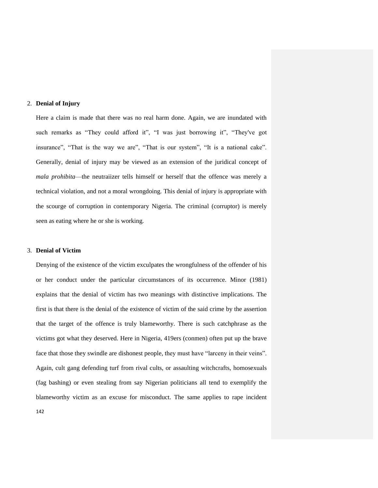## 2. **Denial of Injury**

Here a claim is made that there was no real harm done. Again, we are inundated with such remarks as "They could afford it", "I was just borrowing it", "They've got insurance", "That is the way we are", "That is our system", "It is a national cake". Generally, denial of injury may be viewed as an extension of the juridical concept of *mala prohibita*—the neutraiizer tells himself or herself that the offence was merely a technical violation, and not a moral wrongdoing. This denial of injury is appropriate with the scourge of corruption in contemporary Nigeria. The criminal (corruptor) is merely seen as eating where he or she is working.

## 3. **Denial of Victim**

142 Denying of the existence of the victim exculpates the wrongfulness of the offender of his or her conduct under the particular circumstances of its occurrence. Minor (1981) explains that the denial of victim has two meanings with distinctive implications. The first is that there is the denial of the existence of victim of the said crime by the assertion that the target of the offence is truly blameworthy. There is such catchphrase as the victims got what they deserved. Here in Nigeria, 419ers (conmen) often put up the brave face that those they swindle are dishonest people, they must have "larceny in their veins". Again, cult gang defending turf from rival cults, or assaulting witchcrafts, homosexuals (fag bashing) or even stealing from say Nigerian politicians all tend to exemplify the blameworthy victim as an excuse for misconduct. The same applies to rape incident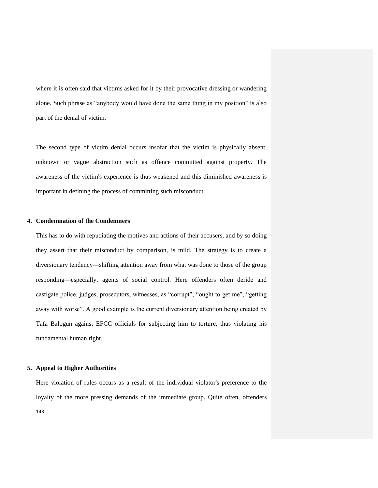where it is often said that victims asked for it by their provocative dressing or wandering alone. Such phrase as "anybody would have done the same thing in my position" is also part of the denial of victim.

The second type of victim denial occurs insofar that the victim is physically absent, unknown or vague abstraction such as offence committed against property. The awareness of the victim's experience is thus weakened and this diminished awareness is important in defining the process of committing such misconduct.

# **4. Condemnation of the Condemners**

This has to do with repudiating the motives and actions of their accusers, and by so doing they assert that their misconduct by comparison, is mild. The strategy is to create a diversionary tendency—shifting attention away from what was done to those of the group responding—especially, agents of social control. Here offenders often deride and castigate police, judges, prosecutors, witnesses, as "corrupt", "ought to get me", "getting away with worse". A good example is the current diversionary attention being created by Tafa Balogun against EFCC officials for subjecting him to torture, thus violating his fundamental human right.

#### **5. Appeal to Higher Authorities**

143 Here violation of rules occurs as a result of the individual violator's preference to the loyalty of the more pressing demands of the immediate group. Quite often, offenders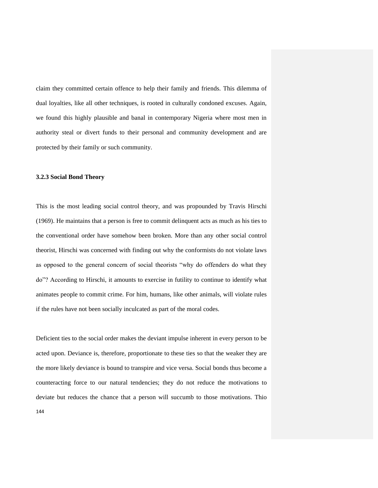claim they committed certain offence to help their family and friends. This dilemma of dual loyalties, like all other techniques, is rooted in culturally condoned excuses. Again, we found this highly plausible and banal in contemporary Nigeria where most men in authority steal or divert funds to their personal and community development and are protected by their family or such community.

#### **3.2.3 Social Bond Theory**

This is the most leading social control theory, and was propounded by Travis Hirschi (1969). He maintains that a person is free to commit delinquent acts as much as his ties to the conventional order have somehow been broken. More than any other social control theorist, Hirschi was concerned with finding out why the conformists do not violate laws as opposed to the general concern of social theorists "why do offenders do what they do"? According to Hirschi, it amounts to exercise in futility to continue to identify what animates people to commit crime. For him, humans, like other animals, will violate rules if the rules have not been socially inculcated as part of the moral codes.

Deficient ties to the social order makes the deviant impulse inherent in every person to be acted upon. Deviance is, therefore, proportionate to these ties so that the weaker they are the more likely deviance is bound to transpire and vice versa. Social bonds thus become a counteracting force to our natural tendencies; they do not reduce the motivations to deviate but reduces the chance that a person will succumb to those motivations. Thio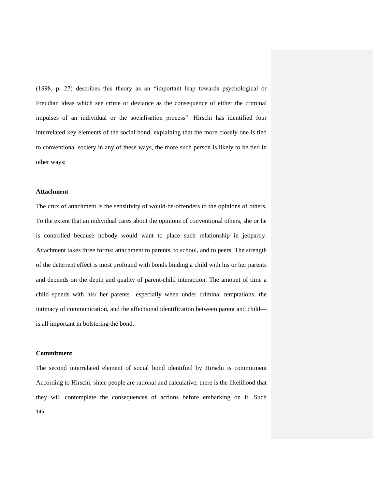(1998, p. 27) describes this theory as an "important leap towards psychological or Freudian ideas which see crime or deviance as the consequence of either the criminal impulses of an individual or the socialisation process". Hirschi has identified four interrelated key elements of the social bond, explaining that the more closely one is tied to conventional society in any of these ways, the more such person is likely to be tied in other ways:

#### **Attachment**

The crux of attachment is the sensitivity of would-be-offenders to the opinions of others. To the extent that an individual cares about the opinions of conventional others, she or he is controlled because nobody would want to place such relationship in jeopardy. Attachment takes three forms: attachment to parents, to school, and to peers. The strength of the deterrent effect is most profound with bonds binding a child with his or her parents and depends on the depth and quality of parent-child interaction. The amount of time a child spends with his/ her parents—especially when under criminal temptations, the intimacy of communication, and the affectional identification between parent and child is all important in bolstering the bond.

## **Commitment**

145 The second interrelated element of social bond identified by Hirschi is commitment According to Hirschi, since people are rational and calculative, there is the likelihood that they will contemplate the consequences of actions before embarking on it. Such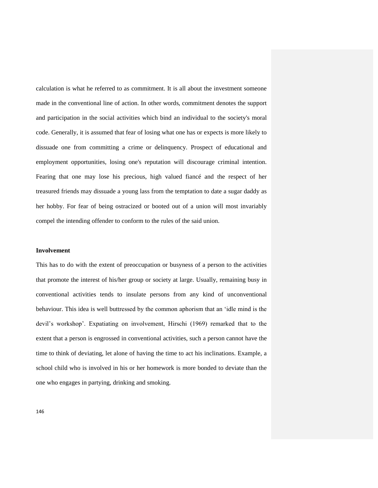calculation is what he referred to as commitment. It is all about the investment someone made in the conventional line of action. In other words, commitment denotes the support and participation in the social activities which bind an individual to the society's moral code. Generally, it is assumed that fear of losing what one has or expects is more likely to dissuade one from committing a crime or delinquency. Prospect of educational and employment opportunities, losing one's reputation will discourage criminal intention. Fearing that one may lose his precious, high valued fiancé and the respect of her treasured friends may dissuade a young lass from the temptation to date a sugar daddy as her hobby. For fear of being ostracized or booted out of a union will most invariably compel the intending offender to conform to the rules of the said union.

#### **Involvement**

This has to do with the extent of preoccupation or busyness of a person to the activities that promote the interest of his/her group or society at large. Usually, remaining busy in conventional activities tends to insulate persons from any kind of unconventional behaviour. This idea is well buttressed by the common aphorism that an "idle mind is the devil"s workshop". Expatiating on involvement, Hirschi (1969) remarked that to the extent that a person is engrossed in conventional activities, such a person cannot have the time to think of deviating, let alone of having the time to act his inclinations. Example, a school child who is involved in his or her homework is more bonded to deviate than the one who engages in partying, drinking and smoking.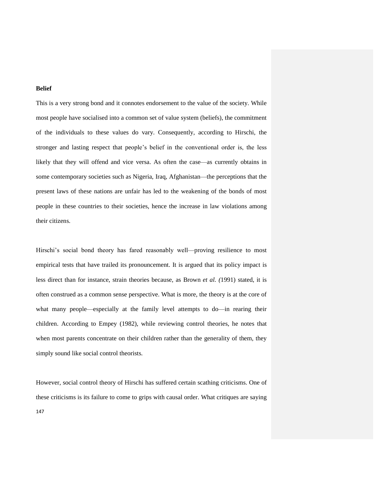## **Belief**

This is a very strong bond and it connotes endorsement to the value of the society. While most people have socialised into a common set of value system (beliefs), the commitment of the individuals to these values do vary. Consequently, according to Hirschi, the stronger and lasting respect that people"s belief in the conventional order is, the less likely that they will offend and vice versa. As often the case—as currently obtains in some contemporary societies such as Nigeria, Iraq, Afghanistan—the perceptions that the present laws of these nations are unfair has led to the weakening of the bonds of most people in these countries to their societies, hence the increase in law violations among their citizens.

Hirschi's social bond theory has fared reasonably well—proving resilience to most empirical tests that have trailed its pronouncement. It is argued that its policy impact is less direct than for instance, strain theories because, as Brown *et al. (*1991) stated, it is often construed as a common sense perspective. What is more, the theory is at the core of what many people—especially at the family level attempts to do—in rearing their children. According to Empey (1982), while reviewing control theories, he notes that when most parents concentrate on their children rather than the generality of them, they simply sound like social control theorists.

However, social control theory of Hirschi has suffered certain scathing criticisms. One of these criticisms is its failure to come to grips with causal order. What critiques are saying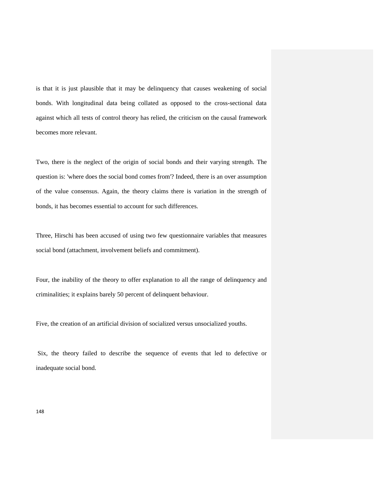is that it is just plausible that it may be delinquency that causes weakening of social bonds. With longitudinal data being collated as opposed to the cross-sectional data against which all tests of control theory has relied, the criticism on the causal framework becomes more relevant.

Two, there is the neglect of the origin of social bonds and their varying strength. The question is: 'where does the social bond comes from'? Indeed, there is an over assumption of the value consensus. Again, the theory claims there is variation in the strength of bonds, it has becomes essential to account for such differences.

Three, Hirschi has been accused of using two few questionnaire variables that measures social bond (attachment, involvement beliefs and commitment).

Four, the inability of the theory to offer explanation to all the range of delinquency and criminalities; it explains barely 50 percent of delinquent behaviour.

Five, the creation of an artificial division of socialized versus unsocialized youths.

Six, the theory failed to describe the sequence of events that led to defective or inadequate social bond.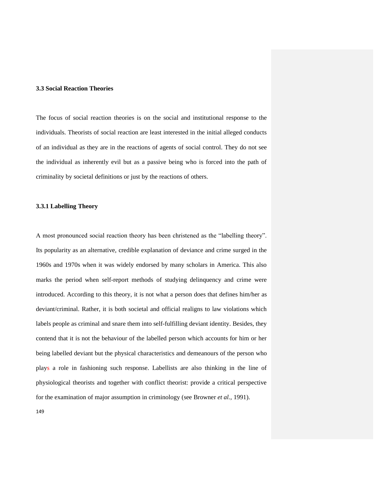## **3.3 Social Reaction Theories**

The focus of social reaction theories is on the social and institutional response to the individuals. Theorists of social reaction are least interested in the initial alleged conducts of an individual as they are in the reactions of agents of social control. They do not see the individual as inherently evil but as a passive being who is forced into the path of criminality by societal definitions or just by the reactions of others.

### **3.3.1 Labelling Theory**

A most pronounced social reaction theory has been christened as the "labelling theory". Its popularity as an alternative, credible explanation of deviance and crime surged in the 1960s and 1970s when it was widely endorsed by many scholars in America. This also marks the period when self-report methods of studying delinquency and crime were introduced. According to this theory, it is not what a person does that defines him/her as deviant/criminal. Rather, it is both societal and official realigns to law violations which labels people as criminal and snare them into self-fulfilling deviant identity. Besides, they contend that it is not the behaviour of the labelled person which accounts for him or her being labelled deviant but the physical characteristics and demeanours of the person who plays a role in fashioning such response. Labellists are also thinking in the line of physiological theorists and together with conflict theorist: provide a critical perspective for the examination of major assumption in criminology (see Browner *et al.*, 1991).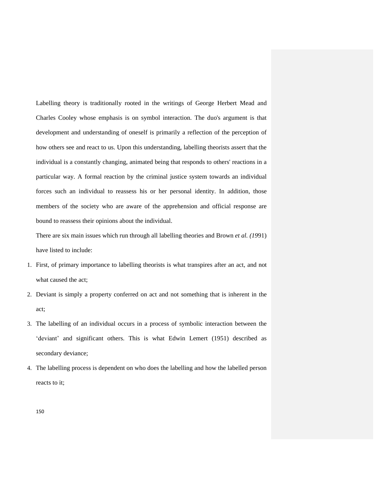Labelling theory is traditionally rooted in the writings of George Herbert Mead and Charles Cooley whose emphasis is on symbol interaction. The duo's argument is that development and understanding of oneself is primarily a reflection of the perception of how others see and react to us. Upon this understanding, labelling theorists assert that the individual is a constantly changing, animated being that responds to others' reactions in a particular way. A formal reaction by the criminal justice system towards an individual forces such an individual to reassess his or her personal identity. In addition, those members of the society who are aware of the apprehension and official response are bound to reassess their opinions about the individual.

There are six main issues which run through all labelling theories and Brown *et al. (19*91) have listed to include:

- 1. First, of primary importance to labelling theorists is what transpires after an act, and not what caused the act;
- 2. Deviant is simply a property conferred on act and not something that is inherent in the act;
- 3. The labelling of an individual occurs in a process of symbolic interaction between the 'deviant' and significant others. This is what Edwin Lemert (1951) described as secondary deviance;
- 4. The labelling process is dependent on who does the labelling and how the labelled person reacts to it;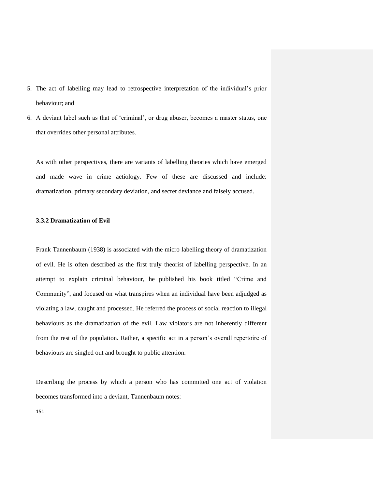- 5. The act of labelling may lead to retrospective interpretation of the individual"s prior behaviour; and
- 6. A deviant label such as that of "criminal", or drug abuser, becomes a master status, one that overrides other personal attributes.

As with other perspectives, there are variants of labelling theories which have emerged and made wave in crime aetiology. Few of these are discussed and include: dramatization, primary secondary deviation, and secret deviance and falsely accused.

## **3.3.2 Dramatization of Evil**

Frank Tannenbaum (1938) is associated with the micro labelling theory of dramatization of evil. He is often described as the first truly theorist of labelling perspective. In an attempt to explain criminal behaviour, he published his book titled "Crime and Community", and focused on what transpires when an individual have been adjudged as violating a law, caught and processed. He referred the process of social reaction to illegal behaviours as the dramatization of the evil. Law violators are not inherently different from the rest of the population. Rather, a specific act in a person"s overall repertoire of behaviours are singled out and brought to public attention.

Describing the process by which a person who has committed one act of violation becomes transformed into a deviant, Tannenbaum notes: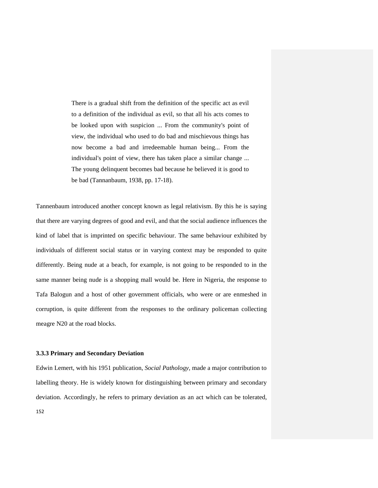There is a gradual shift from the definition of the specific act as evil to a definition of the individual as evil, so that all his acts comes to be looked upon with suspicion ... From the community's point of view, the individual who used to do bad and mischievous things has now become a bad and irredeemable human being... From the individual's point of view, there has taken place a similar change ... The young delinquent becomes bad because he believed it is good to be bad (Tannanbaum, 1938, pp. 17-18).

Tannenbaum introduced another concept known as legal relativism. By this he is saying that there are varying degrees of good and evil, and that the social audience influences the kind of label that is imprinted on specific behaviour. The same behaviour exhibited by individuals of different social status or in varying context may be responded to quite differently. Being nude at a beach, for example, is not going to be responded to in the same manner being nude is a shopping mall would be. Here in Nigeria, the response to Tafa Balogun and a host of other government officials, who were or are enmeshed in corruption, is quite different from the responses to the ordinary policeman collecting meagre N20 at the road blocks.

#### **3.3.3 Primary and Secondary Deviation**

Edwin Lemert, with his 1951 publication, *Social Pathology,* made a major contribution to labelling theory. He is widely known for distinguishing between primary and secondary deviation. Accordingly, he refers to primary deviation as an act which can be tolerated,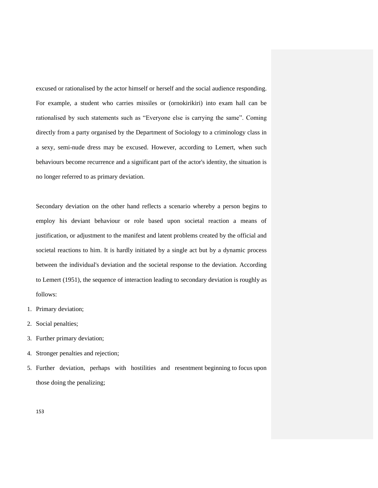excused or rationalised by the actor himself or herself and the social audience responding. For example, a student who carries missiles or (ornokirikiri) into exam hall can be rationalised by such statements such as "Everyone else is carrying the same". Coming directly from a party organised by the Department of Sociology to a criminology class in a sexy, semi-nude dress may be excused. However, according to Lemert, when such behaviours become recurrence and a significant part of the actor's identity, the situation is no longer referred to as primary deviation.

Secondary deviation on the other hand reflects a scenario whereby a person begins to employ his deviant behaviour or role based upon societal reaction a means of justification, or adjustment to the manifest and latent problems created by the official and societal reactions to him. It is hardly initiated by a single act but by a dynamic process between the individual's deviation and the societal response to the deviation. According to Lemert (1951), the sequence of interaction leading to secondary deviation is roughly as follows:

- 1. Primary deviation;
- 2. Social penalties;
- 3. Further primary deviation;
- 4. Stronger penalties and rejection;
- 5. Further deviation, perhaps with hostilities and resentment beginning to focus upon those doing the penalizing;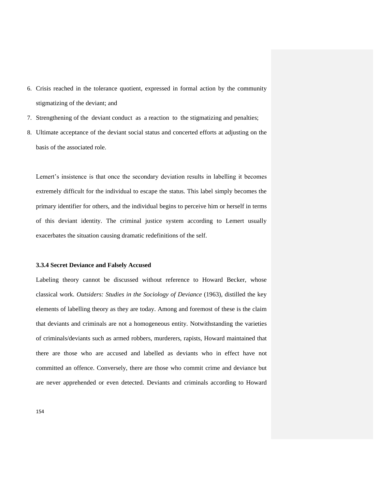- 6. Crisis reached in the tolerance quotient, expressed in formal action by the community stigmatizing of the deviant; and
- 7. Strengthening of the deviant conduct as a reaction to the stigmatizing and penalties;
- 8. Ultimate acceptance of the deviant social status and concerted efforts at adjusting on the basis of the associated role.

Lemert"s insistence is that once the secondary deviation results in labelling it becomes extremely difficult for the individual to escape the status. This label simply becomes the primary identifier for others, and the individual begins to perceive him or herself in terms of this deviant identity. The criminal justice system according to Lemert usually exacerbates the situation causing dramatic redefinitions of the self.

#### **3.3.4 Secret Deviance and Falsely Accused**

Labeling theory cannot be discussed without reference to Howard Becker, whose classical work. *Outsiders: Studies in the Sociology of Deviance* (1963), distilled the key elements of labelling theory as they are today. Among and foremost of these is the claim that deviants and criminals are not a homogeneous entity. Notwithstanding the varieties of criminals/deviants such as armed robbers, murderers, rapists, Howard maintained that there are those who are accused and labelled as deviants who in effect have not committed an offence. Conversely, there are those who commit crime and deviance but are never apprehended or even detected. Deviants and criminals according to Howard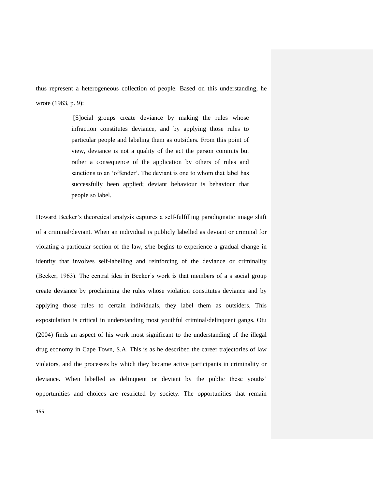thus represent a heterogeneous collection of people. Based on this understanding, he wrote (1963, p. 9):

> [S]ocial groups create deviance by making the rules whose infraction constitutes deviance, and by applying those rules to particular people and labeling them as outsiders. From this point of view, deviance is not a quality of the act the person commits but rather a consequence of the application by others of rules and sanctions to an "offender". The deviant is one to whom that label has successfully been applied; deviant behaviour is behaviour that people so label.

Howard Becker"s theoretical analysis captures a self-fulfilling paradigmatic image shift of a criminal/deviant. When an individual is publicly labelled as deviant or criminal for violating a particular section of the law, s/he begins to experience a gradual change in identity that involves self-labelling and reinforcing of the deviance or criminality (Becker, 1963). The central idea in Becker"s work is that members of a s social group create deviance by proclaiming the rules whose violation constitutes deviance and by applying those rules to certain individuals, they label them as outsiders. This expostulation is critical in understanding most youthful criminal/delinquent gangs. Otu (2004) finds an aspect of his work most significant to the understanding of the illegal drug economy in Cape Town, S.A. This is as he described the career trajectories of law violators, and the processes by which they became active participants in criminality or deviance. When labelled as delinquent or deviant by the public these youths' opportunities and choices are restricted by society. The opportunities that remain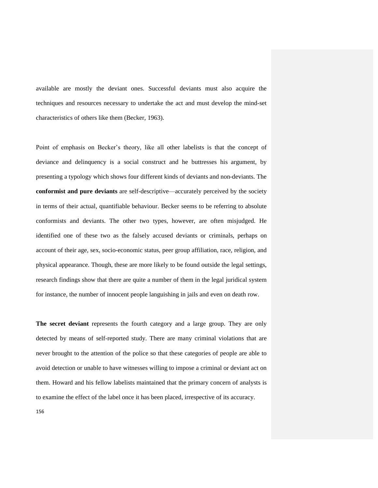available are mostly the deviant ones. Successful deviants must also acquire the techniques and resources necessary to undertake the act and must develop the mind-set characteristics of others like them (Becker, 1963).

Point of emphasis on Becker"s theory, like all other labelists is that the concept of deviance and delinquency is a social construct and he buttresses his argument, by presenting a typology which shows four different kinds of deviants and non-deviants. The **conformist and pure deviants** are self-descriptive—accurately perceived by the society in terms of their actual, quantifiable behaviour. Becker seems to be referring to absolute conformists and deviants. The other two types, however, are often misjudged. He identified one of these two as the falsely accused deviants or criminals, perhaps on account of their age, sex, socio-economic status, peer group affiliation, race, religion, and physical appearance. Though, these are more likely to be found outside the legal settings, research findings show that there are quite a number of them in the legal juridical system for instance, the number of innocent people languishing in jails and even on death row.

**The secret deviant** represents the fourth category and a large group. They are only detected by means of self-reported study. There are many criminal violations that are never brought to the attention of the police so that these categories of people are able to avoid detection or unable to have witnesses willing to impose a criminal or deviant act on them. Howard and his fellow labelists maintained that the primary concern of analysts is to examine the effect of the label once it has been placed, irrespective of its accuracy.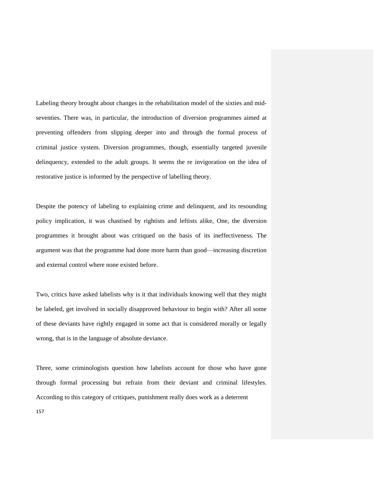Labeling theory brought about changes in the rehabilitation model of the sixties and midseventies. There was, in particular, the introduction of diversion programmes aimed at preventing offenders from slipping deeper into and through the formal process of criminal justice system. Diversion programmes, though, essentially targeted juvenile delinquency, extended to the adult groups. It seems the re invigoration on the idea of restorative justice is informed by the perspective of labelling theory.

Despite the potency of labeling to explaining crime and delinquent, and its resounding policy implication, it was chastised by rightists and leftists alike, One, the diversion programmes it brought about was critiqued on the basis of its ineffectiveness. The argument was that the programme had done more harm than good—increasing discretion and external control where none existed before.

Two, critics have asked labelists why is it that individuals knowing well that they might be labeled, get involved in socially disapproved behaviour to begin with? After all some of these deviants have rightly engaged in some act that is considered morally or legally wrong, that is in the language of absolute deviance.

Three, some criminologists question how labelists account for those who have gone through formal processing but refrain from their deviant and criminal lifestyles. According to this category of critiques, punishment really does work as a deterrent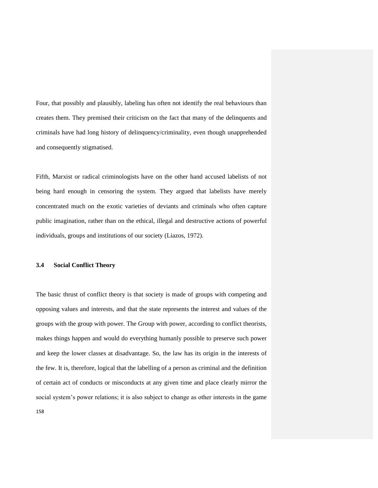Four, that possibly and plausibly, labeling has often not identify the real behaviours than creates them. They premised their criticism on the fact that many of the delinquents and criminals have had long history of delinquency/criminality, even though unapprehended and consequently stigmatised.

Fifth, Marxist or radical criminologists have on the other hand accused labelists of not being hard enough in censoring the system. They argued that labelists have merely concentrated much on the exotic varieties of deviants and criminals who often capture public imagination, rather than on the ethical, illegal and destructive actions of powerful individuals, groups and institutions of our society (Liazos, 1972).

#### **3.4 Social Conflict Theory**

The basic thrust of conflict theory is that society is made of groups with competing and opposing values and interests, and that the state represents the interest and values of the groups with the group with power. The Group with power, according to conflict theorists, makes things happen and would do everything humanly possible to preserve such power and keep the lower classes at disadvantage. So, the law has its origin in the interests of the few. It is, therefore, logical that the labelling of a person as criminal and the definition of certain act of conducts or misconducts at any given time and place clearly mirror the social system's power relations; it is also subject to change as other interests in the game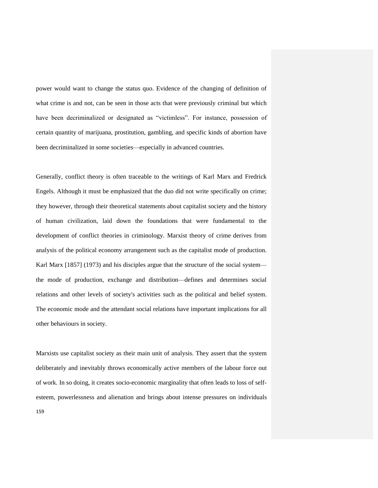power would want to change the status quo. Evidence of the changing of definition of what crime is and not, can be seen in those acts that were previously criminal but which have been decriminalized or designated as "victimless". For instance, possession of certain quantity of marijuana, prostitution, gambling, and specific kinds of abortion have been decriminalized in some societies—especially in advanced countries.

Generally, conflict theory is often traceable to the writings of Karl Marx and Fredrick Engels. Although it must be emphasized that the duo did not write specifically on crime; they however, through their theoretical statements about capitalist society and the history of human civilization, laid down the foundations that were fundamental to the development of conflict theories in criminology. Marxist theory of crime derives from analysis of the political economy arrangement such as the capitalist mode of production. Karl Marx [1857] (1973) and his disciples argue that the structure of the social system the mode of production, exchange and distribution—defines and determines social relations and other levels of society's activities such as the political and belief system. The economic mode and the attendant social relations have important implications for all other behaviours in society.

159 Marxists use capitalist society as their main unit of analysis. They assert that the system deliberately and inevitably throws economically active members of the labour force out of work. In so doing, it creates socio-economic marginality that often leads to loss of selfesteem, powerlessness and alienation and brings about intense pressures on individuals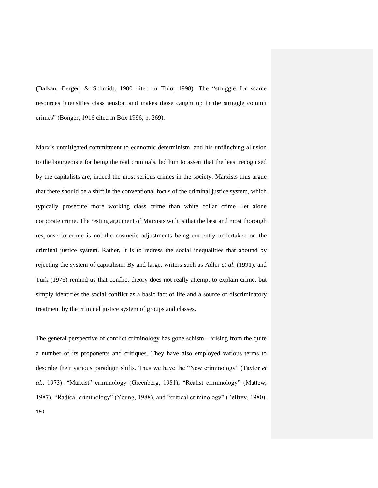(Balkan, Berger, & Schmidt, 1980 cited in Thio, 1998)*.* The "struggle for scarce resources intensifies class tension and makes those caught up in the struggle commit crimes" (Bonger, 1916 cited in Box 1996, p. 269).

Marx"s unmitigated commitment to economic determinism, and his unflinching allusion to the bourgeoisie for being the real criminals, led him to assert that the least recognised by the capitalists are, indeed the most serious crimes in the society. Marxists thus argue that there should be a shift in the conventional focus of the criminal justice system, which typically prosecute more working class crime than white collar crime—let alone corporate crime. The resting argument of Marxists with is that the best and most thorough response to crime is not the cosmetic adjustments being currently undertaken on the criminal justice system. Rather, it is to redress the social inequalities that abound by rejecting the system of capitalism. By and large, writers such as Adler *et al*. (1991), and Turk (1976) remind us that conflict theory does not really attempt to explain crime, but simply identifies the social conflict as a basic fact of life and a source of discriminatory treatment by the criminal justice system of groups and classes.

160 The general perspective of conflict criminology has gone schism—arising from the quite a number of its proponents and critiques. They have also employed various terms to describe their various paradigm shifts. Thus we have the "New criminology" (Taylor *et al.,* 1973). "Marxist" criminology (Greenberg, 1981), "Realist criminology" (Mattew, 1987), "Radical criminology" (Young, 1988), and "critical criminology" (Pelfrey, 1980).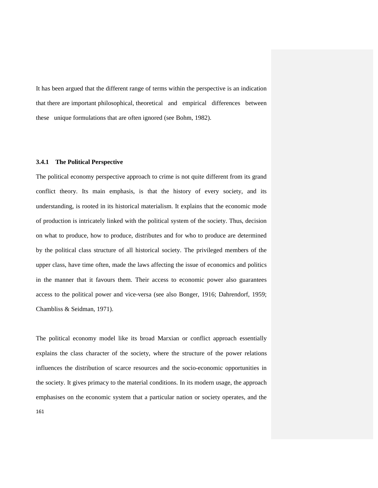It has been argued that the different range of terms within the perspective is an indication that there are important philosophical, theoretical and empirical differences between these unique formulations that are often ignored (see Bohm, 1982).

## **3.4.1 The Political Perspective**

The political economy perspective approach to crime is not quite different from its grand conflict theory. Its main emphasis, is that the history of every society, and its understanding, is rooted in its historical materialism. It explains that the economic mode of production is intricately linked with the political system of the society. Thus, decision on what to produce, how to produce, distributes and for who to produce are determined by the political class structure of all historical society. The privileged members of the upper class, have time often, made the laws affecting the issue of economics and politics in the manner that it favours them. Their access to economic power also guarantees access to the political power and vice-versa (see also Bonger, 1916; Dahrendorf, 1959; Chambliss & Seidman, 1971).

The political economy model like its broad Marxian or conflict approach essentially explains the class character of the society, where the structure of the power relations influences the distribution of scarce resources and the socio-economic opportunities in the society. It gives primacy to the material conditions. In its modern usage, the approach emphasises on the economic system that a particular nation or society operates, and the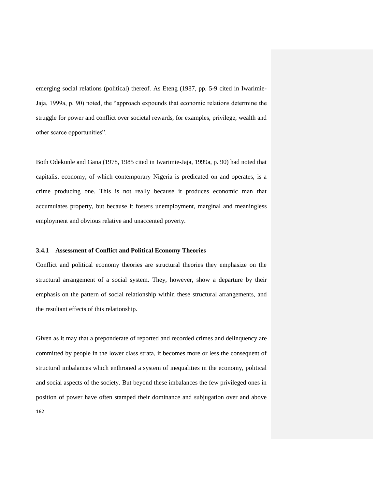emerging social relations (political) thereof. As Eteng (1987, pp. 5-9 cited in Iwarimie-Jaja, 1999a, p. 90) noted, the "approach expounds that economic relations determine the struggle for power and conflict over societal rewards, for examples, privilege, wealth and other scarce opportunities".

Both Odekunle and Gana (1978, 1985 cited in Iwarimie-Jaja, 1999a, p. 90) had noted that capitalist economy, of which contemporary Nigeria is predicated on and operates, is a crime producing one. This is not really because it produces economic man that accumulates property, but because it fosters unemployment, marginal and meaningless employment and obvious relative and unaccented poverty.

#### **3.4.1 Assessment of Conflict and Political Economy Theories**

Conflict and political economy theories are structural theories they emphasize on the structural arrangement of a social system. They, however, show a departure by their emphasis on the pattern of social relationship within these structural arrangements, and the resultant effects of this relationship.

162 Given as it may that a preponderate of reported and recorded crimes and delinquency are committed by people in the lower class strata, it becomes more or less the consequent of structural imbalances which enthroned a system of inequalities in the economy, political and social aspects of the society. But beyond these imbalances the few privileged ones in position of power have often stamped their dominance and subjugation over and above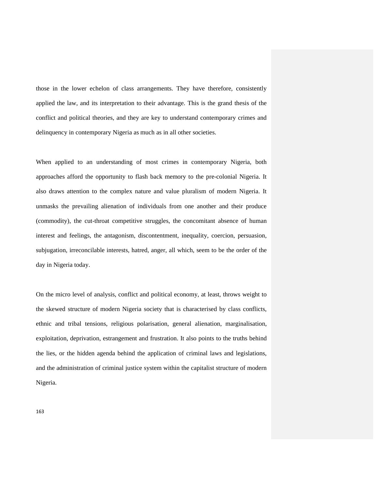those in the lower echelon of class arrangements. They have therefore, consistently applied the law, and its interpretation to their advantage. This is the grand thesis of the conflict and political theories, and they are key to understand contemporary crimes and delinquency in contemporary Nigeria as much as in all other societies.

When applied to an understanding of most crimes in contemporary Nigeria, both approaches afford the opportunity to flash back memory to the pre-colonial Nigeria. It also draws attention to the complex nature and value pluralism of modern Nigeria. It unmasks the prevailing alienation of individuals from one another and their produce (commodity), the cut-throat competitive struggles, the concomitant absence of human interest and feelings, the antagonism, discontentment, inequality, coercion, persuasion, subjugation, irreconcilable interests, hatred, anger, all which, seem to be the order of the day in Nigeria today.

On the micro level of analysis, conflict and political economy, at least, throws weight to the skewed structure of modern Nigeria society that is characterised by class conflicts, ethnic and tribal tensions, religious polarisation, general alienation, marginalisation, exploitation, deprivation, estrangement and frustration. It also points to the truths behind the lies, or the hidden agenda behind the application of criminal laws and legislations, and the administration of criminal justice system within the capitalist structure of modern Nigeria.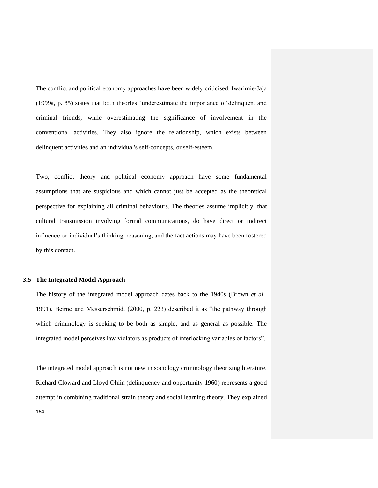The conflict and political economy approaches have been widely criticised. Iwarimie-Jaja (1999a, p. 85) states that both theories "underestimate the importance of delinquent and criminal friends, while overestimating the significance of involvement in the conventional activities. They also ignore the relationship, which exists between delinquent activities and an individual's self-concepts, or self-esteem.

Two, conflict theory and political economy approach have some fundamental assumptions that are suspicious and which cannot just be accepted as the theoretical perspective for explaining all criminal behaviours. The theories assume implicitly, that cultural transmission involving formal communications, do have direct or indirect influence on individual"s thinking, reasoning, and the fact actions may have been fostered by this contact.

#### **3.5 The Integrated Model Approach**

The history of the integrated model approach dates back to the 1940s (Brown *et al.*, 1991). Beirne and Messerschmidt (2000, p. 223) described it as "the pathway through which criminology is seeking to be both as simple, and as general as possible. The integrated model perceives law violators as products of interlocking variables or factors".

The integrated model approach is not new in sociology criminology theorizing literature. Richard Cloward and Lloyd Ohlin (delinquency and opportunity 1960) represents a good attempt in combining traditional strain theory and social learning theory. They explained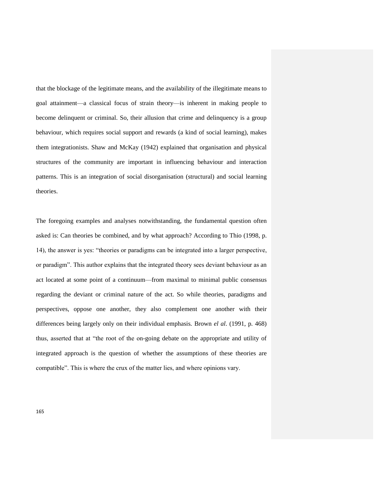that the blockage of the legitimate means, and the availability of the illegitimate means to goal attainment—a classical focus of strain theory—is inherent in making people to become delinquent or criminal. So, their allusion that crime and delinquency is a group behaviour, which requires social support and rewards (a kind of social learning), makes them integrationists. Shaw and McKay (1942) explained that organisation and physical structures of the community are important in influencing behaviour and interaction patterns. This is an integration of social disorganisation (structural) and social learning theories.

The foregoing examples and analyses notwithstanding, the fundamental question often asked is: Can theories be combined, and by what approach? According to Thio (1998, p. 14), the answer is yes: "theories or paradigms can be integrated into a larger perspective, or paradigm". This author explains that the integrated theory sees deviant behaviour as an act located at some point of a continuum—from maximal to minimal public consensus regarding the deviant or criminal nature of the act. So while theories, paradigms and perspectives, oppose one another, they also complement one another with their differences being largely only on their individual emphasis. Brown *el al*. (1991, p. 468) thus, asserted that at "the root of the on-going debate on the appropriate and utility of integrated approach is the question of whether the assumptions of these theories are compatible". This is where the crux of the matter lies, and where opinions vary.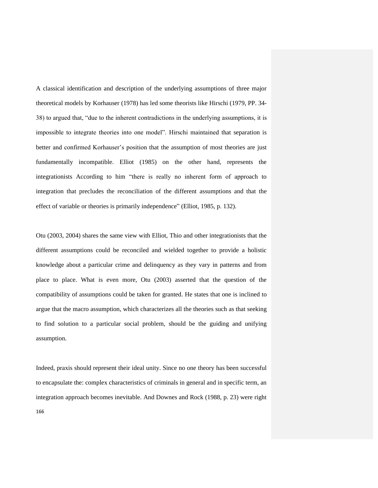A classical identification and description of the underlying assumptions of three major theoretical models by Korhauser (1978) has led some theorists like Hirschi (1979, PP. 34- 38) to argued that, "due to the inherent contradictions in the underlying assumptions, it is impossible to integrate theories into one model". Hirschi maintained that separation is better and confirmed Korhauser"s position that the assumption of most theories are just fundamentally incompatible. Elliot (1985) on the other hand, represents the integrationists According to him "there is really no inherent form of approach to integration that precludes the reconciliation of the different assumptions and that the effect of variable or theories is primarily independence" (Elliot, 1985, p. 132).

Otu (2003, 2004) shares the same view with Elliot, Thio and other integrationists that the different assumptions could be reconciled and wielded together to provide a holistic knowledge about a particular crime and delinquency as they vary in patterns and from place to place. What is even more, Otu (2003) asserted that the question of the compatibility of assumptions could be taken for granted. He states that one is inclined to argue that the macro assumption, which characterizes all the theories such as that seeking to find solution to a particular social problem, should be the guiding and unifying assumption.

166 Indeed, praxis should represent their ideal unity. Since no one theory has been successful to encapsulate the: complex characteristics of criminals in general and in specific term, an integration approach becomes inevitable. And Downes and Rock (1988, p. 23) were right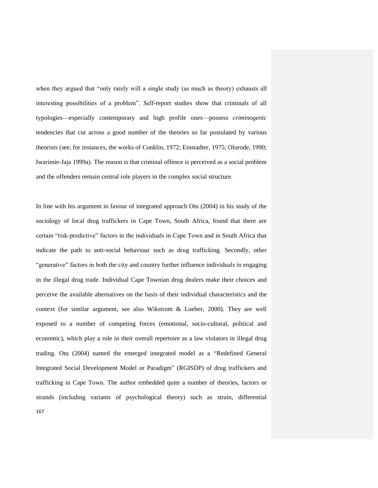when they argued that "only rarely will a single study (as much as theory) exhausts all interesting possibilities of a problem". Self-report studies show that criminals of all typologies—especially contemporary and high profile ones—possess *criminogenic*  tendencies that cut across a good number of the theories so far postulated by various theorists (see, for instances, the works of Conklin, 1972; Einstadter, 1975; Olurode, 1990; Iwarimie-Jaja 1999a). The reason is that criminal offence is perceived as a social problem and the offenders remain central role players in the complex social structure.

167 In line with his argument in favour of integrated approach Otu (2004) in his study of the sociology of local drug traffickers in Cape Town, South Africa, found that there are certain "risk-predictive" factors in the individuals in Cape Town and in South Africa that indicate the path to anti-social behaviour such as drug trafficking. Secondly, other "generative" factors in both the city and country further influence individuals in engaging in the illegal drug trade. Individual Cape Townian drug dealers make their choices and perceive the available alternatives on the basis of their individual characteristics and the context (for similar argument, see also Wikstrom & Loeber, 2000). They are well exposed to a number of competing forces (emotional, socio-cultural, political and economic), which play a role in their overall repertoire as a law violators in illegal drug trading. Otu (2004) named the emerged integrated model as a "Redefined General Integrated Social Development Model or Paradigm" (RGISDP) of drug traffickers and trafficking in Cape Town. The author embedded quite a number of theories, factors or strands (including variants of psychological theory) such as strain, differential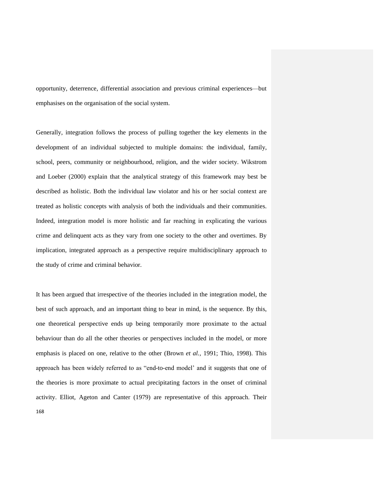opportunity, deterrence, differential association and previous criminal experiences—but emphasises on the organisation of the social system.

Generally, integration follows the process of pulling together the key elements in the development of an individual subjected to multiple domains: the individual, family, school, peers, community or neighbourhood, religion, and the wider society. Wikstrom and Loeber (2000) explain that the analytical strategy of this framework may best be described as holistic. Both the individual law violator and his or her social context are treated as holistic concepts with analysis of both the individuals and their communities. Indeed, integration model is more holistic and far reaching in explicating the various crime and delinquent acts as they vary from one society to the other and overtimes. By implication, integrated approach as a perspective require multidisciplinary approach to the study of crime and criminal behavior.

168 It has been argued that irrespective of the theories included in the integration model, the best of such approach, and an important thing to bear in mind, is the sequence. By this, one theoretical perspective ends up being temporarily more proximate to the actual behaviour than do all the other theories or perspectives included in the model, or more emphasis is placed on one, relative to the other (Brown *et al.,* 1991; Thio, 1998). This approach has been widely referred to as "end-to-end model" and it suggests that one of the theories is more proximate to actual precipitating factors in the onset of criminal activity. Elliot, Ageton and Canter (1979) are representative of this approach. Their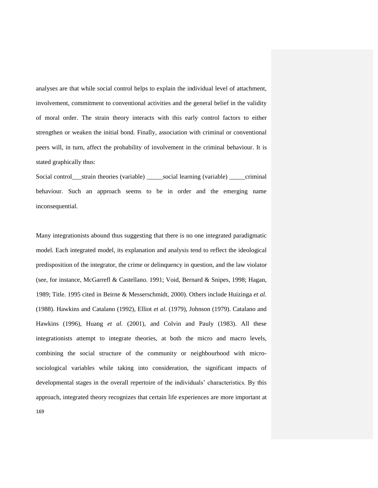analyses are that while social control helps to explain the individual level of attachment, involvement, commitment to conventional activities and the general belief in the validity of moral order. The strain theory interacts with this early control factors to either strengthen or weaken the initial bond. Finally, association with criminal or conventional peers will, in turn, affect the probability of involvement in the criminal behaviour. It is stated graphically thus:

Social control\_\_\_strain theories (variable) \_\_\_\_\_social learning (variable) \_\_\_\_\_criminal behaviour. Such an approach seems to be in order and the emerging name inconsequential.

Many integrationists abound thus suggesting that there is no one integrated paradigmatic model. Each integrated model, its explanation and analysis tend to reflect the ideological predisposition of the integrator, the crime or delinquency in question, and the law violator (see, for instance, McGarrefl & Castellano. 1991; Void, Bernard & Snipes, 1998; Hagan, 1989; Title. 1995 cited in Beirne & Messerschmidt, 2000). Others include Huizinga *et al.*  (1988). Hawkins and Catalano (1992), Elliot *et al.* (1979), Johnson (1979). Catalano and Hawkins (1996), Huang *et al.* (2001), and Colvin and Pauly (1983). All these integrationists attempt to integrate theories, at both the micro and macro levels, combining the social structure of the community or neighbourhood with microsociological variables while taking into consideration, the significant impacts of developmental stages in the overall repertoire of the individuals" characteristics. By this approach, integrated theory recognizes that certain life experiences are more important at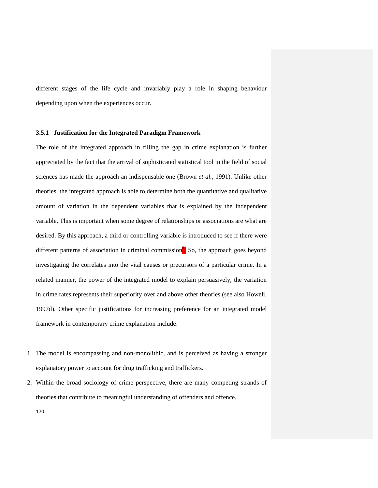different stages of the life cycle and invariably play a role in shaping behaviour depending upon when the experiences occur.

## **3.5.1 Justification for the Integrated Paradigm Framework**

The role of the integrated approach in filling the gap in crime explanation is further appreciated by the fact that the arrival of sophisticated statistical tool in the field of social sciences has made the approach an indispensable one (Brown *et al.,* 1991). Unlike other theories, the integrated approach is able to determine both the quantitative and qualitative amount of variation in the dependent variables that is explained by the independent variable. This is important when some degree of relationships or associations are what are desired. By this approach, a third or controlling variable is introduced to see if there were different patterns of association in criminal commission<sup>8</sup>. So, the approach goes beyond investigating the correlates into the vital causes or precursors of a particular crime. In a related manner, the power of the integrated model to explain persuasively, the variation in crime rates represents their superiority over and above other theories (see also Howeli, 1997d). Other specific justifications for increasing preference for an integrated model framework in contemporary crime explanation include:

- 1. The model is encompassing and non-monolithic, and is perceived as having a stronger explanatory power to account for drug trafficking and traffickers.
- 2. Within the broad sociology of crime perspective, there are many competing strands of theories that contribute to meaningful understanding of offenders and offence.
	- 170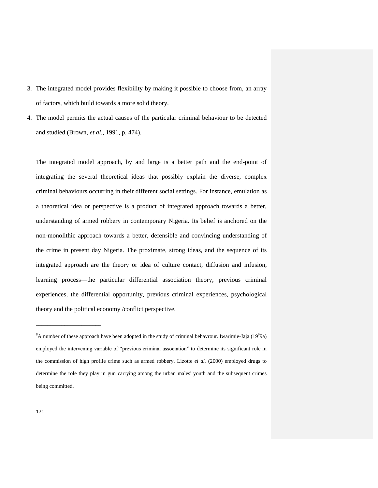- 3. The integrated model provides flexibility by making it possible to choose from, an array of factors, which build towards a more solid theory.
- 4. The model permits the actual causes of the particular criminal behaviour to be detected and studied (Brown, *et al.,* 1991, p. 474).

The integrated model approach, by and large is a better path and the end-point of integrating the several theoretical ideas that possibly explain the diverse, complex criminal behaviours occurring in their different social settings. For instance, emulation as a theoretical idea or perspective is a product of integrated approach towards a better, understanding of armed robbery in contemporary Nigeria. Its belief is anchored on the non-monolithic approach towards a better, defensible and convincing understanding of the crime in present day Nigeria. The proximate, strong ideas, and the sequence of its integrated approach are the theory or idea of culture contact, diffusion and infusion, learning process—the particular differential association theory, previous criminal experiences, the differential opportunity, previous criminal experiences, psychological theory and the political economy /conflict perspective.

\_\_\_\_\_\_\_\_\_\_\_\_\_\_\_\_\_\_\_\_\_\_\_

<sup>&</sup>lt;sup>8</sup>A number of these approach have been adopted in the study of criminal behavrour. Iwarimie-Jaja (19<sup>9</sup>9a) employed the intervening variable of "previous criminal association" to determine its significant role in the commission of high profile crime such as armed robbery. Lizotte *el al.* (2000) employed drugs to determine the role they play in gun carrying among the urban males' youth and the subsequent crimes being committed.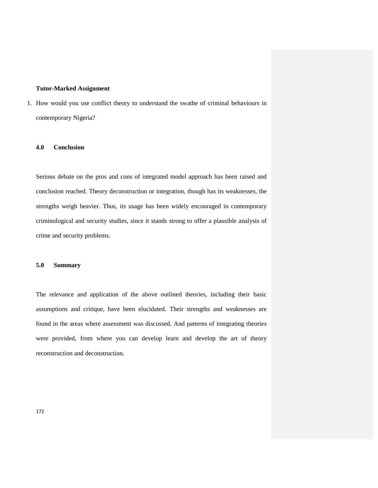#### **Tutor-Marked Assignment**

1. How would you use conflict theory to understand the swathe of criminal behaviours in contemporary Nigeria?

#### **4.0 Conclusion**

Serious debate on the pros and cons of integrated model approach has been raised and conclusion reached. Theory deconstruction or integration, though has its weaknesses, the strengths weigh heavier. Thus, its usage has been widely encouraged in contemporary criminological and security studies, since it stands strong to offer a plausible analysis of crime and security problems.

## **5.0 Summary**

The relevance and application of the above outlined theories, including their basic assumptions and critique, have been elucidated. Their strengths and weaknesses are found in the areas where assessment was discussed. And patterns of integrating theories were provided, from where you can develop learn and develop the art of theory reconstruction and deconstruction.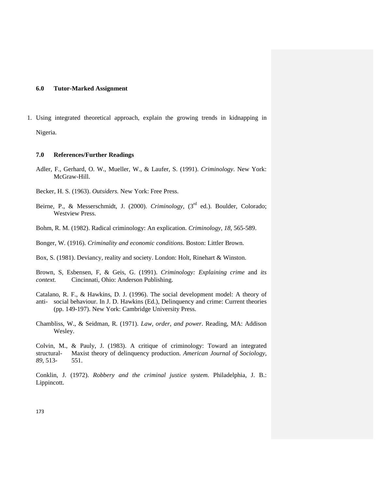## **6.0 Tutor-Marked Assignment**

1. Using integrated theoretical approach, explain the growing trends in kidnapping in Nigeria.

## **7.0 References/Further Readings**

- Adler, F., Gerhard, O. W., Mueller, W., & Laufer, S. (1991). *Criminology*. New York: McGraw-Hill.
- Becker, H. S. (1963). *Outsiders.* New York: Free Press.
- Beirne, P., & Messerschmidt, J. (2000). *Criminology*, (3<sup>rd</sup> ed.). Boulder, Colorado; Westview Press.
- Bohm, R. M. (1982). Radical criminology: An explication. *Criminology, 18*, 565-589.

Bonger, W. (1916). *Criminality and economic conditions*. Boston: Littler Brown.

Box, S. (1981). Deviancy, reality and society. London: Holt, Rinehart & Winston.

Brown, S, Esbensen, F, & Geis, G. (1991). *Criminology: Explaining crime* and *its context.* Cincinnati, Ohio: Anderson Publishing.

- Catalano, R. F., & Hawkins, D. J. (1996). The social development model: A theory of anti- social behaviour. In J. D. Hawkins (Ed.), Delinquency and crime: Current theories (pp. 149-197). New York: Cambridge University Press.
- Chambliss, W., & Seidman, R. (1971). *Law, order, and power*. Reading, MA: Addison Wesley.

Colvin, M., & Pauly, J. (1983). A critique of criminology: Toward an integrated structural- Maxist theory of delinquency production. *American Journal of Sociology, 89*, 513- 551.

Conklin, J. (1972). *Robbery and the criminal justice system*. Philadelphia, J. B.: Lippincott.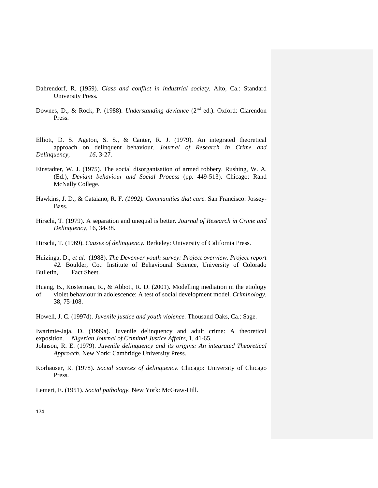- Dahrendorf, R. (1959). *Class and conflict in industrial society*. Alto, Ca.: Standard University Press.
- Downes, D., & Rock, P. (1988). *Understanding deviance* (2<sup>nd</sup> ed.). Oxford: Clarendon Press.
- Elliott, D. S. Ageton, S. S., & Canter, R. J. (1979). An integrated theoretical approach on delinquent behaviour. *Journal of Research in Crime and Delinquency, 16*, 3-27.
- Einstadter, W. J. (1975). The social disorganisation of armed robbery. Rushing, W. A. (Ed.), *Deviant behaviour and Social Process* (pp. 449-513). Chicago: Rand McNally College.
- Hawkins, J. D., & Cataiano, R. F. *(1992). Communities that care.* San Francisco: Jossey-Bass.
- Hirschi, T. (1979). A separation and unequal is better. *Journal of Research in Crime and Delinquency,* 16, 34-38.
- Hirschi, T. (1969). *Causes of delinquency.* Berkeley: University of California Press.
- Huizinga, D., *et al.* (1988). *The Devenver youth survey: Project overview. Project report #2.* Boulder, Co.: Institute of Behavioural Science, University of Colorado Bulletin, Fact Sheet.
- Huang, B., Kosterman, R., & Abbott, R. D. (2001). Modelling mediation in the etiology of violet behaviour in adolescence: A test of social development model. *Criminology,*  38, 75-108.
- Howell, J. C. (1997d). *Juvenile justice and youth violence.* Thousand Oaks, Ca.: Sage.
- Iwarimie-Jaja, D. (1999a). Juvenile delinquency and adult crime: A theoretical exposition*. Nigerian Journal of Criminal Justice Affairs,* 1, 41-65.
- Johnson, R. E. (1979). *Juvenile delinquency and its origins: An integrated Theoretical Approach.* New York: Cambridge University Press.
- Korhauser, R. (1978). *Social sources of delinquency.* Chicago: University of Chicago Press.
- Lemert, E. (1951). *Social pathology.* New York: McGraw-Hill.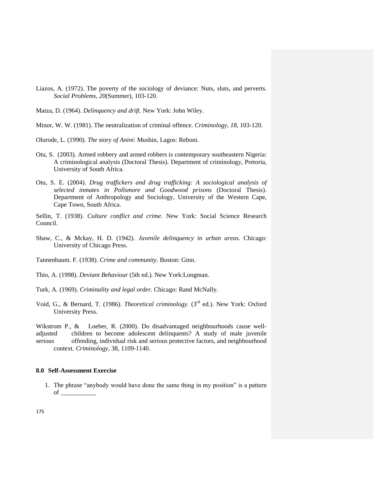- Liazos, A. (1972). The poverty of the sociology of deviance: Nuts, sluts, and perverts. *Social Problems, 20*(Summer), 103-120.
- Matza, D. (1964). *Delinquency and drift*. New York: John Wiley.
- Minor, W. W. (1981). The neutralization of criminal offence. *Criminology, 18*, 103-120.
- Olurode, L. (1990). *The* story *of Anini*: Mushin, Lagos: Reboni.
- Otu, S. (2003). Armed robbery and armed robbers is contemporary southeastern Nigeria: A criminological analysis (Doctoral Thesis). Department of criminology, Pretoria, University of South Africa*.*
- Otu, S. E. (2004). *Drug traffickers and drug trafficking: A sociological analysis of selected inmates in Pollsmore and Goodwood prisons* (Doctoral Thesis). Department of Anthropology and Sociology, University of the Western Cape, Cape Town, South Africa.
- Sellin, T. (1938). *Culture conflict and crime*. New York: Social Science Research Council.
- Shaw, C., & Mckay, H. D. (1942). *Juvenile delinquency in urban areas.* Chicago: University of Chicago Press.
- Tannenbaum. F. (1938). *Crime and community.* Boston: Ginn.
- Thio, A. (1998). *Deviant Behaviour* (5th ed.). New York:Longman.
- Turk, A. (1969). *Criminality and legal order.* Chicago: Rand McNally.
- Void, G., & Bernard, T. (1986). *Theoretical criminology*. (3<sup>rd</sup> ed.). New York: Oxford University Press.

Wikstrom P., & Loeber, R. (2000). Do disadvantaged neighbourhoods cause welladjusted children to become adolescent delinquents? A study of male juvenile serious offending, individual risk and serious protective factors, and neighbourhood context. *Criminology,* 38, 1109-1140.

#### **8.0 Self-Assessment Exercise**

1. The phrase "anybody would have done the same thing in my position" is a pattern of \_\_\_\_\_\_\_\_\_\_\_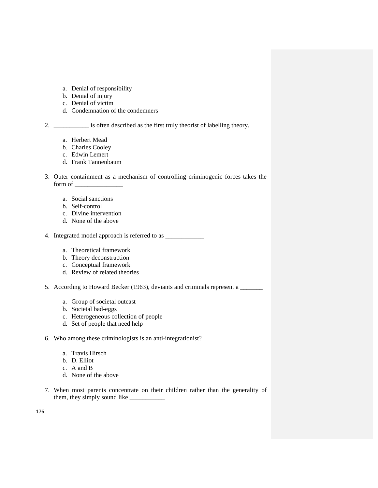- a. Denial of responsibility
- b. Denial of injury
- c. Denial of victim
- d. Condemnation of the condemners

2. \_\_\_\_\_\_\_\_\_\_\_ is often described as the first truly theorist of labelling theory.

- a. Herbert Mead
- b. Charles Cooley
- c. Edwin Lemert
- d. Frank Tannenbaum
- 3. Outer containment as a mechanism of controlling criminogenic forces takes the form of
	- a. Social sanctions
	- b. Self-control
	- c. Divine intervention
	- d. None of the above
- 4. Integrated model approach is referred to as  $\frac{1}{\sqrt{2}}$ 
	- a. Theoretical framework
	- b. Theory deconstruction
	- c. Conceptual framework
	- d. Review of related theories
- 5. According to Howard Becker (1963), deviants and criminals represent a \_\_\_\_\_\_\_
	- a. Group of societal outcast
	- b. Societal bad-eggs
	- c. Heterogeneous collection of people
	- d. Set of people that need help
- 6. Who among these criminologists is an anti-integrationist?
	- a. Travis Hirsch
	- b. D. Elliot
	- c. A and B
	- d. None of the above
- 7. When most parents concentrate on their children rather than the generality of them, they simply sound like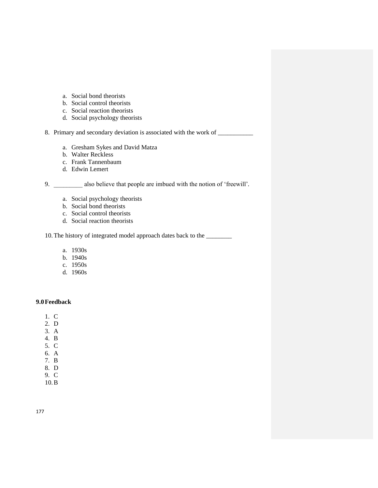- a. Social bond theorists
- b. Social control theorists
- c. Social reaction theorists
- d. Social psychology theorists

8. Primary and secondary deviation is associated with the work of

- a. Gresham Sykes and David Matza
- b. Walter Reckless
- c. Frank Tannenbaum
- d. Edwin Lemert

9. \_\_\_\_\_\_\_\_\_ also believe that people are imbued with the notion of "freewill".

- a. Social psychology theorists
- b. Social bond theorists
- c. Social control theorists
- d. Social reaction theorists

10.The history of integrated model approach dates back to the \_\_\_\_\_\_\_\_

- a. 1930s
- b. 1940s
- c. 1950s
- d. 1960s

# **9.0Feedback**

- 1. C
- 2. D
- 3. A
- 4. B
- 5. C
- 6. A
- 7. B
- 8. D 9. C
- 10.B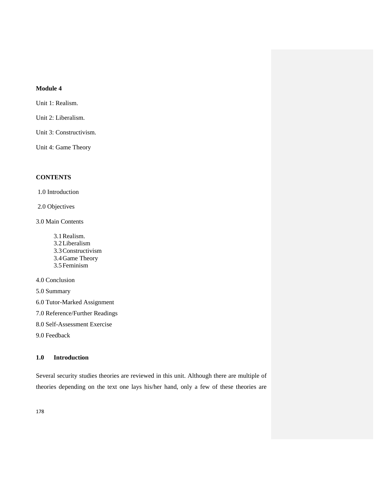# **Module 4**

Unit 1: Realism.

Unit 2: Liberalism.

Unit 3: Constructivism.

Unit 4: Game Theory

# **CONTENTS**

1.0 Introduction

2.0 Objectives

3.0 Main Contents

3.1Realism. 3.2Liberalism 3.3Constructivism 3.4Game Theory 3.5Feminism

4.0 Conclusion

5.0 Summary

6.0 Tutor-Marked Assignment

7.0 Reference/Further Readings

8.0 Self-Assessment Exercise

9.0 Feedback

# **1.0 Introduction**

Several security studies theories are reviewed in this unit. Although there are multiple of theories depending on the text one lays his/her hand, only a few of these theories are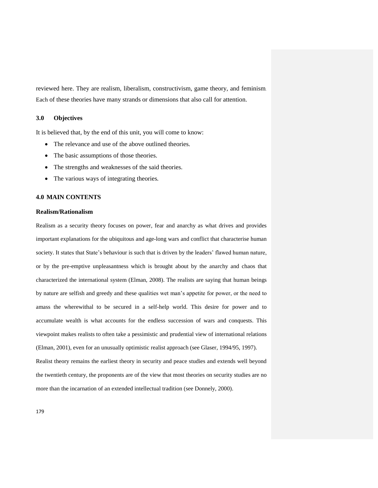reviewed here. They are realism, liberalism, constructivism, game theory, and feminism. Each of these theories have many strands or dimensions that also call for attention.

## **3.0 Objectives**

It is believed that, by the end of this unit, you will come to know:

- The relevance and use of the above outlined theories.
- The basic assumptions of those theories.
- The strengths and weaknesses of the said theories.
- The various ways of integrating theories.

## **4.0 MAIN CONTENTS**

#### **Realism/Rationalism**

Realism as a security theory focuses on power, fear and anarchy as what drives and provides important explanations for the ubiquitous and age-long wars and conflict that characterise human society. It states that State's behaviour is such that is driven by the leaders' flawed human nature, or by the pre-emptive unpleasantness which is brought about by the anarchy and chaos that characterized the international system (Elman, 2008). The realists are saying that human beings by nature are selfish and greedy and these qualities wet man"s appetite for power, or the need to amass the wherewithal to be secured in a self-help world. This desire for power and to accumulate wealth is what accounts for the endless succession of wars and conquests. This viewpoint makes realists to often take a pessimistic and prudential view of international relations (Elman, 2001), even for an unusually optimistic realist approach (see Glaser, 1994/95, 1997).

Realist theory remains the earliest theory in security and peace studies and extends well beyond the twentieth century, the proponents are of the view that most theories on security studies are no more than the incarnation of an extended intellectual tradition (see Donnely, 2000).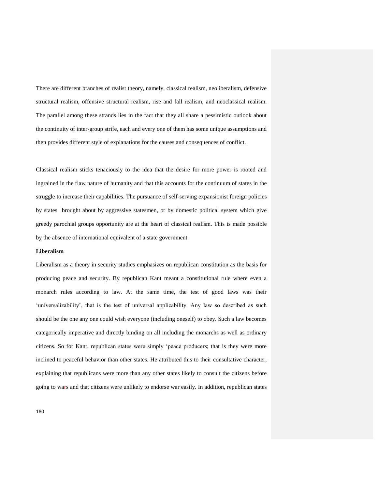There are different branches of realist theory, namely, classical realism, neoliberalism, defensive structural realism, offensive structural realism, rise and fall realism, and neoclassical realism. The parallel among these strands lies in the fact that they all share a pessimistic outlook about the continuity of inter-group strife, each and every one of them has some unique assumptions and then provides different style of explanations for the causes and consequences of conflict.

Classical realism sticks tenaciously to the idea that the desire for more power is rooted and ingrained in the flaw nature of humanity and that this accounts for the continuum of states in the struggle to increase their capabilities. The pursuance of self-serving expansionist foreign policies by states brought about by aggressive statesmen, or by domestic political system which give greedy parochial groups opportunity are at the heart of classical realism. This is made possible by the absence of international equivalent of a state government.

#### **Liberalism**

Liberalism as a theory in security studies emphasizes on republican constitution as the basis for producing peace and security. By republican Kant meant a constitutional rule where even a monarch rules according to law. At the same time, the test of good laws was their 'universalizability', that is the test of universal applicability. Any law so described as such should be the one any one could wish everyone (including oneself) to obey. Such a law becomes categorically imperative and directly binding on all including the monarchs as well as ordinary citizens. So for Kant, republican states were simply "peace producers; that is they were more inclined to peaceful behavior than other states. He attributed this to their consultative character, explaining that republicans were more than any other states likely to consult the citizens before going to wars and that citizens were unlikely to endorse war easily. In addition, republican states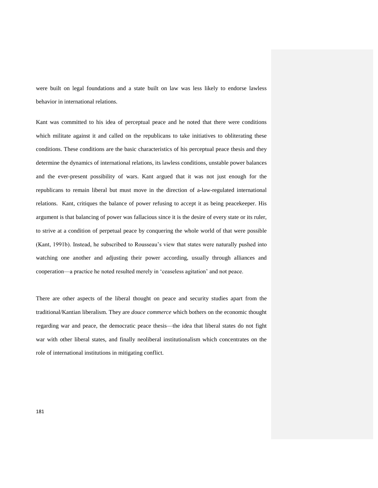were built on legal foundations and a state built on law was less likely to endorse lawless behavior in international relations.

Kant was committed to his idea of perceptual peace and he noted that there were conditions which militate against it and called on the republicans to take initiatives to obliterating these conditions. These conditions are the basic characteristics of his perceptual peace thesis and they determine the dynamics of international relations, its lawless conditions, unstable power balances and the ever-present possibility of wars. Kant argued that it was not just enough for the republicans to remain liberal but must move in the direction of a-law-regulated international relations. Kant, critiques the balance of power refusing to accept it as being peacekeeper. His argument is that balancing of power was fallacious since it is the desire of every state or its ruler, to strive at a condition of perpetual peace by conquering the whole world of that were possible (Kant, 1991b). Instead, he subscribed to Rousseau"s view that states were naturally pushed into watching one another and adjusting their power according, usually through alliances and cooperation—a practice he noted resulted merely in "ceaseless agitation" and not peace.

There are other aspects of the liberal thought on peace and security studies apart from the traditional/Kantian liberalism. They are *douce commerce* which bothers on the economic thought regarding war and peace, the democratic peace thesis—the idea that liberal states do not fight war with other liberal states, and finally neoliberal institutionalism which concentrates on the role of international institutions in mitigating conflict.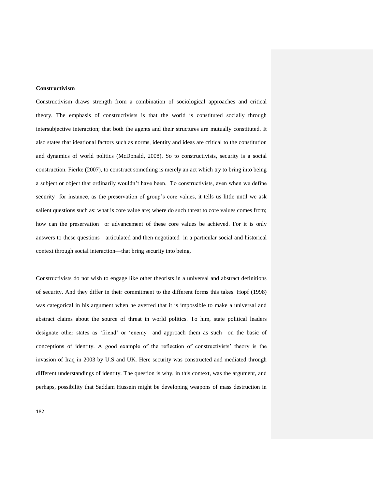## **Constructivism**

Constructivism draws strength from a combination of sociological approaches and critical theory. The emphasis of constructivists is that the world is constituted socially through intersubjective interaction; that both the agents and their structures are mutually constituted. It also states that ideational factors such as norms, identity and ideas are critical to the constitution and dynamics of world politics (McDonald, 2008). So to constructivists, security is a social construction. Fierke (2007), to construct something is merely an act which try to bring into being a subject or object that ordinarily wouldn"t have been. To constructivists, even when we define security for instance, as the preservation of group's core values, it tells us little until we ask salient questions such as: what is core value are; where do such threat to core values comes from; how can the preservation or advancement of these core values be achieved. For it is only answers to these questions—articulated and then negotiated in a particular social and historical context through social interaction—that bring security into being.

Constructivists do not wish to engage like other theorists in a universal and abstract definitions of security. And they differ in their commitment to the different forms this takes. Hopf (1998) was categorical in his argument when he averred that it is impossible to make a universal and abstract claims about the source of threat in world politics. To him, state political leaders designate other states as "friend" or "enemy—and approach them as such—on the basic of conceptions of identity. A good example of the reflection of constructivists" theory is the invasion of Iraq in 2003 by U.S and UK. Here security was constructed and mediated through different understandings of identity. The question is why, in this context, was the argument, and perhaps, possibility that Saddam Hussein might be developing weapons of mass destruction in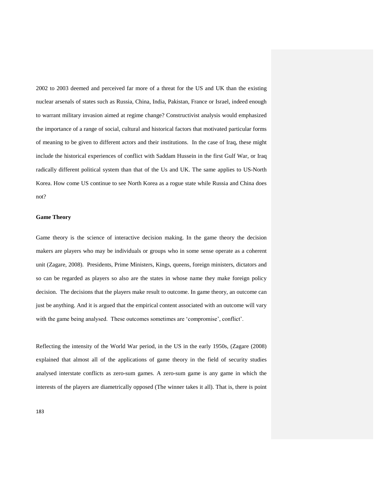2002 to 2003 deemed and perceived far more of a threat for the US and UK than the existing nuclear arsenals of states such as Russia, China, India, Pakistan, France or Israel, indeed enough to warrant military invasion aimed at regime change? Constructivist analysis would emphasized the importance of a range of social, cultural and historical factors that motivated particular forms of meaning to be given to different actors and their institutions. In the case of Iraq, these might include the historical experiences of conflict with Saddam Hussein in the first Gulf War, or Iraq radically different political system than that of the Us and UK. The same applies to US-North Korea. How come US continue to see North Korea as a rogue state while Russia and China does not?

## **Game Theory**

Game theory is the science of interactive decision making. In the game theory the decision makers are players who may be individuals or groups who in some sense operate as a coherent unit (Zagare, 2008). Presidents, Prime Ministers, Kings, queens, foreign ministers, dictators and so can be regarded as players so also are the states in whose name they make foreign policy decision. The decisions that the players make result to outcome. In game theory, an outcome can just be anything. And it is argued that the empirical content associated with an outcome will vary with the game being analysed. These outcomes sometimes are 'compromise', conflict'.

Reflecting the intensity of the World War period, in the US in the early 1950s, (Zagare (2008) explained that almost all of the applications of game theory in the field of security studies analysed interstate conflicts as zero-sum games. A zero-sum game is any game in which the interests of the players are diametrically opposed (The winner takes it all). That is, there is point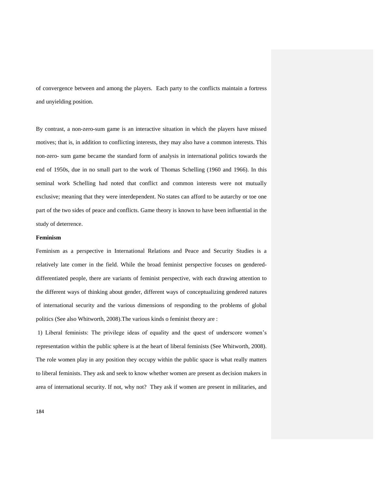of convergence between and among the players. Each party to the conflicts maintain a fortress and unyielding position.

By contrast, a non-zero-sum game is an interactive situation in which the players have missed motives; that is, in addition to conflicting interests, they may also have a common interests. This non-zero- sum game became the standard form of analysis in international politics towards the end of 1950s, due in no small part to the work of Thomas Schelling (1960 and 1966). In this seminal work Schelling had noted that conflict and common interests were not mutually exclusive; meaning that they were interdependent. No states can afford to be autarchy or toe one part of the two sides of peace and conflicts. Game theory is known to have been influential in the study of deterrence.

## **Feminism**

Feminism as a perspective in International Relations and Peace and Security Studies is a relatively late comer in the field. While the broad feminist perspective focuses on gendereddifferentiated people, there are variants of feminist perspective, with each drawing attention to the different ways of thinking about gender, different ways of conceptualizing gendered natures of international security and the various dimensions of responding to the problems of global politics (See also Whitworth, 2008).The various kinds o feminist theory are :

1) Liberal feminists: The privilege ideas of equality and the quest of underscore women"s representation within the public sphere is at the heart of liberal feminists (See Whitworth, 2008). The role women play in any position they occupy within the public space is what really matters to liberal feminists. They ask and seek to know whether women are present as decision makers in area of international security. If not, why not? They ask if women are present in militaries, and

184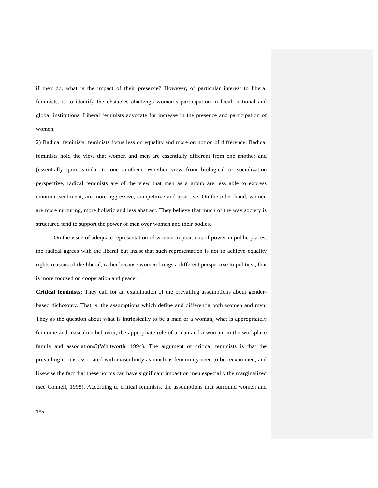if they do, what is the impact of their presence? However, of particular interest to liberal feminists, is to identify the obstacles challenge women"s participation in local, national and global institutions. Liberal feminists advocate for increase in the presence and participation of women.

2) Radical feminists: feminists focus less on equality and more on notion of difference. Radical feminists hold the view that women and men are essentially different from one another and (essentially quite similar to one another). Whether view from biological or socialization perspective, radical feminists are of the view that men as a group are less able to express emotion, sentiment, are more aggressive, competitive and assertive. On the other hand, women are more nurturing, more holistic and less abstract. They believe that much of the way society is structured tend to support the power of men over women and their bodies.

On the issue of adequate representation of women in positions of power in public places, the radical agrees with the liberal but insist that such representation is not to achieve equality rights reasons of the liberal, rather because women brings a different perspective to politics , that is more focused on cooperation and peace.

**Critical feminists:** They call for an examination of the prevailing assumptions about genderbased dichotomy. That is, the assumptions which define and differentia both women and men. They as the question about what is intrinsically to be a man or a woman, what is appropriately feminine and masculine behavior, the appropriate role of a man and a woman, in the workplace family and associations?(Whitworth, 1994). The argument of critical feminists is that the prevailing norms associated with masculinity as much as femininity need to be reexamined, and likewise the fact that these norms can have significant impact on men especially the marginalized (see Connell, 1995). According to critical feminists, the assumptions that surround women and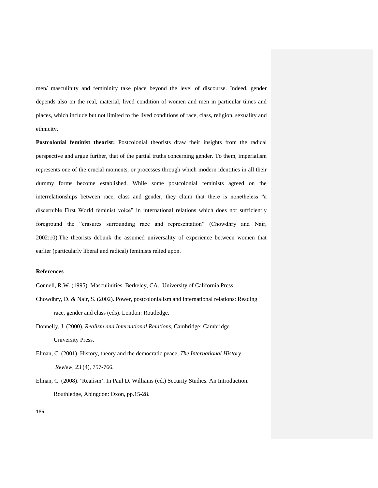men/ masculinity and femininity take place beyond the level of discourse. Indeed, gender depends also on the real, material, lived condition of women and men in particular times and places, which include but not limited to the lived conditions of race, class, religion, sexuality and ethnicity.

**Postcolonial feminist theorist:** Postcolonial theorists draw their insights from the radical perspective and argue further, that of the partial truths concerning gender. To them, imperialism represents one of the crucial moments, or processes through which modern identities in all their dummy forms become established. While some postcolonial feminists agreed on the interrelationships between race, class and gender, they claim that there is nonetheless "a discernible First World feminist voice" in international relations which does not sufficiently foreground the "erasures surrounding race and representation" (Chowdhry and Nair, 2002:10).The theorists debunk the assumed universality of experience between women that earlier (particularly liberal and radical) feminists relied upon.

## **References**

Connell, R.W. (1995). Masculinities. Berkeley, CA.: University of California Press.

- Chowdhry, D. & Nair, S. (2002). Power, postcolonialism and international relations: Reading race, gender and class (eds). London: Routledge.
- Donnelly, J. (2000). *Realism and International Relations,* Cambridge: Cambridge University Press.
- Elman, C. (2001). History, theory and the democratic peace, *The International History Review*, 23 (4), 757-766.
- Elman, C. (2008). "Realism". In Paul D. Williams (ed.) Security Studies. An Introduction. Routhledge, Abingdon: Oxon, pp.15-28.